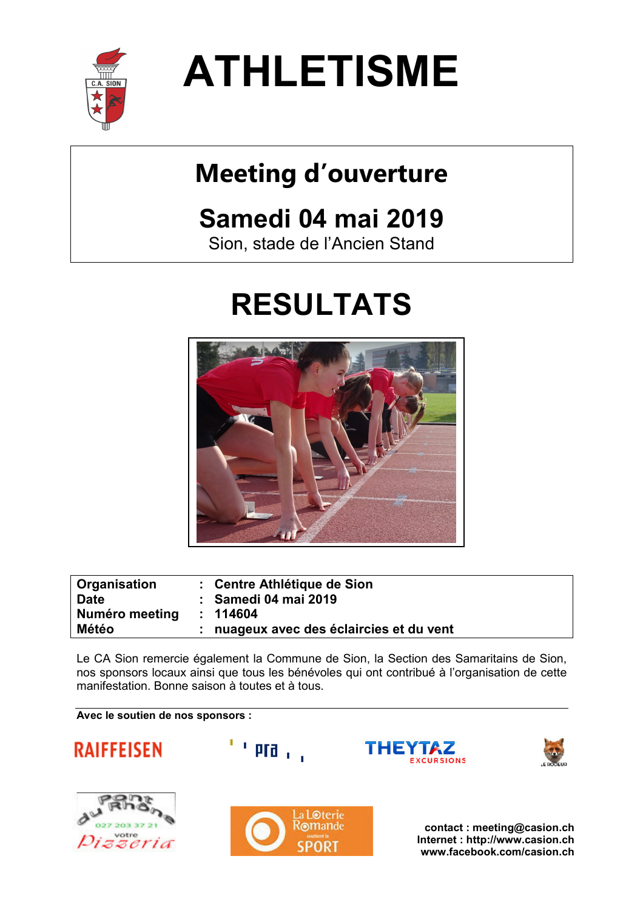

**ATHLETISME** 

# **Meeting d'ouverture**

# **Samedi 04 mai 2019**

Sion, stade de l'Ancien Stand

# **RESULTATS**



| Organisation<br><b>Date</b> | : Centre Athlétique de Sion<br>: Samedi 04 mai 2019 |
|-----------------------------|-----------------------------------------------------|
| Numéro meeting              | : 114604                                            |
| <b>Météo</b>                | : nuageux avec des éclaircies et du vent            |

Le CA Sion remercie également la Commune de Sion, la Section des Samaritains de Sion, nos sponsors locaux ainsi que tous les bénévoles qui ont contribué à l'organisation de cette manifestation. Bonne saison à toutes et à tous.

THEY

**Avec le soutien de nos sponsors :** 







 $^{\prime}$  pra  $_{\rm 1.1}$ 

**contact : meeting@casion.ch Internet : http://www.casion.ch www.facebook.com/casion.ch**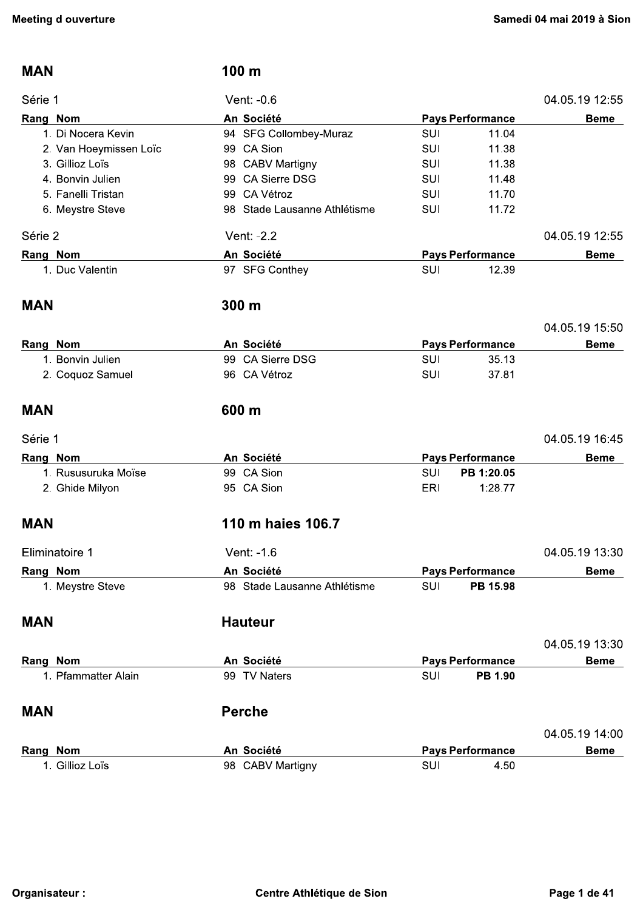| <b>MAN</b>             | 100 m                        |            |                         |                |
|------------------------|------------------------------|------------|-------------------------|----------------|
| Série 1                | Vent: -0.6                   |            |                         | 04.05.19 12:55 |
| Rang Nom               | An Société                   |            | <b>Pays Performance</b> | <b>Beme</b>    |
| 1. Di Nocera Kevin     | 94 SFG Collombey-Muraz       | <b>SUI</b> | 11.04                   |                |
| 2. Van Hoeymissen Loïc | 99 CA Sion                   | <b>SUI</b> | 11.38                   |                |
| 3. Gillioz Loïs        | 98 CABV Martigny             | <b>SUI</b> | 11.38                   |                |
| 4. Bonvin Julien       | <b>CA Sierre DSG</b><br>99   | <b>SUI</b> | 11.48                   |                |
| 5. Fanelli Tristan     | CA Vétroz<br>99              | <b>SUI</b> | 11.70                   |                |
| 6. Meystre Steve       | 98 Stade Lausanne Athlétisme | <b>SUI</b> | 11.72                   |                |
| Série 2                | Vent: -2.2                   |            |                         | 04.05.19 12.55 |
| Rang Nom               | An Société                   |            | <b>Pays Performance</b> | <b>Beme</b>    |
| 1. Duc Valentin        | 97 SFG Conthey               | <b>SUI</b> | 12.39                   |                |
| <b>MAN</b>             | 300 m                        |            |                         |                |
|                        |                              |            |                         | 04.05.19 15:50 |
| Rang Nom               | An Société                   |            | <b>Pays Performance</b> | <b>Beme</b>    |
| 1. Bonvin Julien       | 99 CA Sierre DSG             | <b>SUI</b> | 35.13                   |                |
| 2. Coquoz Samuel       | 96 CA Vétroz                 | <b>SUI</b> | 37.81                   |                |
|                        |                              |            |                         |                |
| <b>MAN</b>             | 600 m                        |            |                         |                |
| Série 1                |                              |            |                         | 04.05.19 16:45 |
| Rang Nom               | An Société                   |            | <b>Pays Performance</b> | <b>Beme</b>    |
| 1. Rususuruka Moïse    | 99 CA Sion                   | <b>SUI</b> | PB 1:20.05              |                |
| 2. Ghide Milyon        | 95 CA Sion                   | <b>ERI</b> | 1:28.77                 |                |
| <b>MAN</b>             | 110 m haies 106.7            |            |                         |                |
| Eliminatoire 1         | Vent: -1.6                   |            |                         | 04.05.19 13:30 |
| Rang Nom               | An Société                   |            | <b>Pays Performance</b> | <b>Beme</b>    |
| 1. Meystre Steve       | 98 Stade Lausanne Athlétisme | SUI        | PB 15.98                |                |
| <b>MAN</b>             | <b>Hauteur</b>               |            |                         |                |
|                        |                              |            |                         | 04.05.19 13:30 |
| Rang Nom               | An Société                   |            | <b>Pays Performance</b> | <b>Beme</b>    |
| 1. Pfammatter Alain    | 99 TV Naters                 | SUI        | <b>PB 1.90</b>          |                |
| <b>MAN</b>             | <b>Perche</b>                |            |                         |                |
|                        |                              |            |                         |                |
|                        |                              |            |                         | 04.05.19 14:00 |
| Rang Nom               | An Société                   |            | <b>Pays Performance</b> | <b>Beme</b>    |
| 1. Gillioz Loïs        | 98 CABV Martigny             | <b>SUI</b> | 4.50                    |                |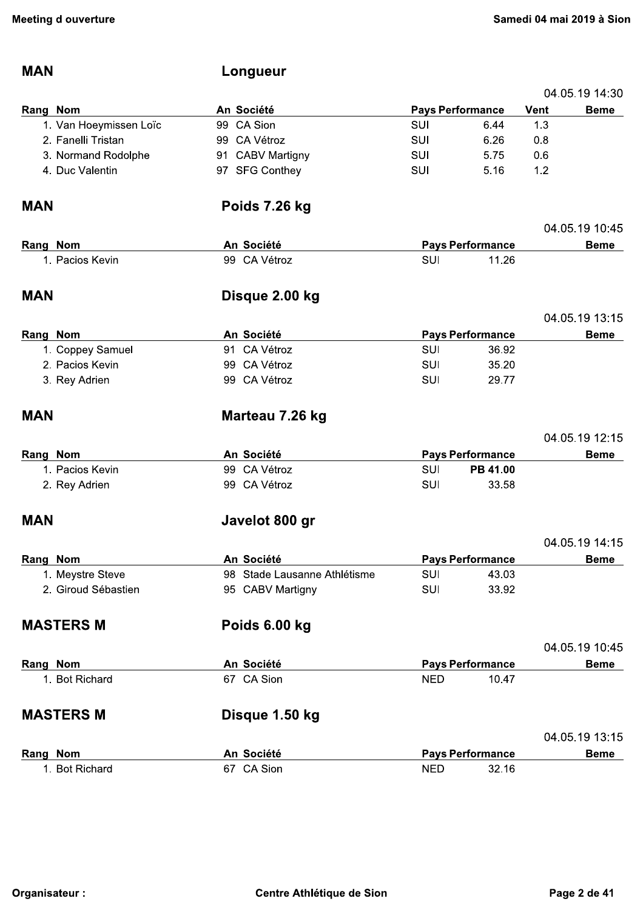04.05.19 14:30

### **MAN**

## Longueur

| Rang Nom   |                                     | An Société                   |            | <b>Pays Performance</b> | Vent | <b>Beme</b>    |
|------------|-------------------------------------|------------------------------|------------|-------------------------|------|----------------|
|            | 1. Van Hoeymissen Loïc              | 99 CA Sion                   | <b>SUI</b> | 6.44                    | 1.3  |                |
|            | 2. Fanelli Tristan                  | 99 CA Vétroz                 | <b>SUI</b> | 6.26                    | 0.8  |                |
|            | 3. Normand Rodolphe                 | 91 CABV Martigny             | SUI        | 5.75                    | 0.6  |                |
|            | 4. Duc Valentin                     | 97 SFG Conthey               | SUI        | 5.16                    | 1.2  |                |
| <b>MAN</b> |                                     | Poids 7.26 kg                |            |                         |      |                |
|            |                                     |                              |            |                         |      | 04.05.19 10:45 |
| Rang Nom   |                                     | An Société                   |            | <b>Pays Performance</b> |      | <b>Beme</b>    |
|            | 1. Pacios Kevin                     | 99 CA Vétroz                 | SUI        | 11.26                   |      |                |
| <b>MAN</b> |                                     | Disque 2.00 kg               |            |                         |      |                |
|            |                                     |                              |            |                         |      | 04.05.19 13:15 |
| Rang Nom   |                                     | An Société<br>91 CA Vétroz   | <b>SUI</b> | <b>Pays Performance</b> |      | <b>Beme</b>    |
|            | 1. Coppey Samuel<br>2. Pacios Kevin | 99 CA Vétroz                 | <b>SUI</b> | 36.92<br>35.20          |      |                |
|            |                                     | 99 CA Vétroz                 | SUI        | 29.77                   |      |                |
|            | 3. Rey Adrien                       |                              |            |                         |      |                |
| <b>MAN</b> |                                     | Marteau 7.26 kg              |            |                         |      |                |
|            |                                     |                              |            |                         |      | 04.05.19 12:15 |
| Rang Nom   |                                     | An Société                   |            | <b>Pays Performance</b> |      | <b>Beme</b>    |
|            | 1. Pacios Kevin                     | 99 CA Vétroz                 | SUI        | PB 41.00                |      |                |
|            | 2. Rey Adrien                       | 99 CA Vétroz                 | <b>SUI</b> | 33.58                   |      |                |
| <b>MAN</b> |                                     | Javelot 800 gr               |            |                         |      |                |
|            |                                     |                              |            |                         |      | 04.05.19 14:15 |
| Rang Nom   |                                     | An Société                   |            | <b>Pays Performance</b> |      | <b>Beme</b>    |
|            | 1. Meystre Steve                    | 98 Stade Lausanne Athlétisme | SUI        | 43.03                   |      |                |
|            | 2. Giroud Sébastien                 | 95 CABV Martigny             | <b>SUI</b> | 33.92                   |      |                |
|            | <b>MASTERS M</b>                    | Poids 6.00 kg                |            |                         |      |                |
|            |                                     |                              |            |                         |      | 04.05.19 10:45 |
| Rang Nom   |                                     | An Société                   |            | <b>Pays Performance</b> |      | <b>Beme</b>    |
|            | 1. Bot Richard                      | 67 CA Sion                   | <b>NED</b> | 10.47                   |      |                |
|            | <b>MASTERS M</b>                    | Disque 1.50 kg               |            |                         |      |                |
|            |                                     |                              |            |                         |      | 04.05.19 13:15 |
| Rang Nom   |                                     | An Société                   |            | <b>Pays Performance</b> |      | <b>Beme</b>    |
|            | 1. Bot Richard                      | 67 CA Sion                   | <b>NED</b> | 32.16                   |      |                |
|            |                                     |                              |            |                         |      |                |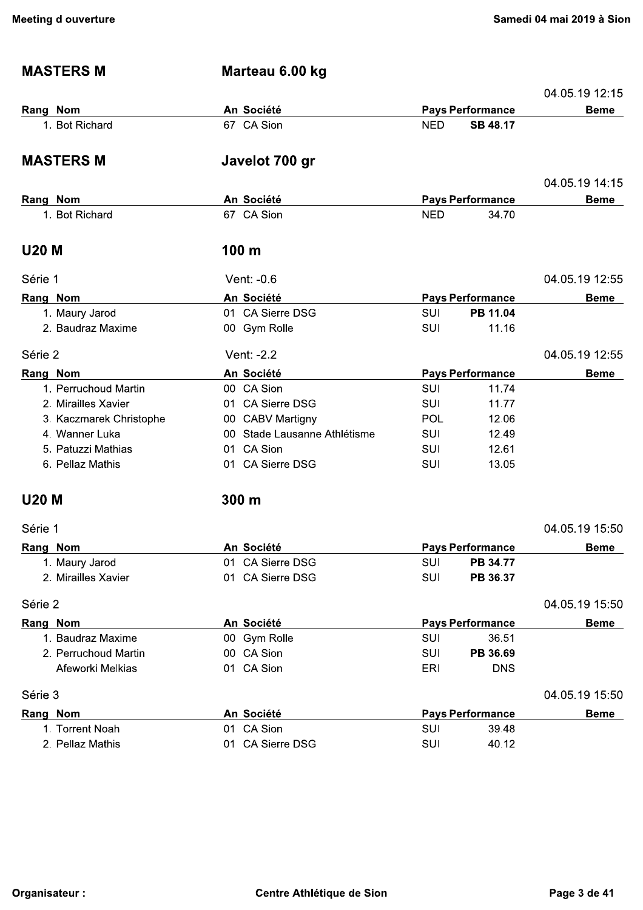| <b>MASTERS M</b>        | Marteau 6.00 kg              |            |                         |                |
|-------------------------|------------------------------|------------|-------------------------|----------------|
|                         |                              |            |                         | 04.05.19 12.15 |
| Rang Nom                | An Société                   |            | <b>Pays Performance</b> | <b>Beme</b>    |
| 1. Bot Richard          | 67 CA Sion                   | <b>NED</b> | <b>SB 48.17</b>         |                |
| <b>MASTERS M</b>        | Javelot 700 gr               |            |                         |                |
|                         |                              |            |                         | 04.05.19 14:15 |
| Rang Nom                | An Société                   |            | <b>Pays Performance</b> | <b>Beme</b>    |
| 1. Bot Richard          | 67 CA Sion                   | <b>NED</b> | 34.70                   |                |
| <b>U20 M</b>            | 100 <sub>m</sub>             |            |                         |                |
| Série 1                 | Vent: -0.6                   |            |                         | 04.05.19 12:55 |
| Rang Nom                | An Société                   |            | <b>Pays Performance</b> | <b>Beme</b>    |
| 1. Maury Jarod          | 01 CA Sierre DSG             | SUI        | PB 11.04                |                |
| 2. Baudraz Maxime       | 00 Gym Rolle                 | SUI        | 11.16                   |                |
| Série 2                 | Vent: -2.2                   |            |                         | 04.05.19 12:55 |
| Rang Nom                | An Société                   |            | <b>Pays Performance</b> | <b>Beme</b>    |
| 1. Perruchoud Martin    | 00 CA Sion                   | <b>SUI</b> | 11.74                   |                |
| 2. Mirailles Xavier     | 01 CA Sierre DSG             | <b>SUI</b> | 11.77                   |                |
| 3. Kaczmarek Christophe | 00 CABV Martigny             | POL        | 12.06                   |                |
| 4. Wanner Luka          | 00 Stade Lausanne Athlétisme | <b>SUI</b> | 12.49                   |                |
| 5. Patuzzi Mathias      | 01 CA Sion                   | SUI        | 12.61                   |                |
| 6. Pellaz Mathis        | 01 CA Sierre DSG             | <b>SUI</b> | 13.05                   |                |
| <b>U20 M</b>            | 300 m                        |            |                         |                |
| Série 1                 |                              |            |                         | 04.05.19 15:50 |
| Rang Nom                | An Société                   |            | <b>Pays Performance</b> | <b>Beme</b>    |
| 1. Maury Jarod          | 01 CA Sierre DSG             | SUI        | PB 34.77                |                |
| 2. Mirailles Xavier     | 01 CA Sierre DSG             | SUI        | PB 36.37                |                |
| Série 2                 |                              |            |                         | 04.05.19 15.50 |
| Rang Nom                | An Société                   |            | <b>Pays Performance</b> | <b>Beme</b>    |
| 1. Baudraz Maxime       | 00 Gym Rolle                 | <b>SUI</b> | 36.51                   |                |
| 2. Perruchoud Martin    | 00 CA Sion                   | <b>SUI</b> | PB 36.69                |                |
| Afeworki Melkias        | 01 CA Sion                   | <b>ERI</b> | <b>DNS</b>              |                |
| Série 3                 |                              |            |                         | 04.05.19 15.50 |
| Rang Nom                | An Société                   |            | <b>Pays Performance</b> | <b>Beme</b>    |
| 1. Torrent Noah         | 01 CA Sion                   | <b>SUI</b> | 39.48                   |                |
| 2. Pellaz Mathis        | 01 CA Sierre DSG             | SUI        | 40.12                   |                |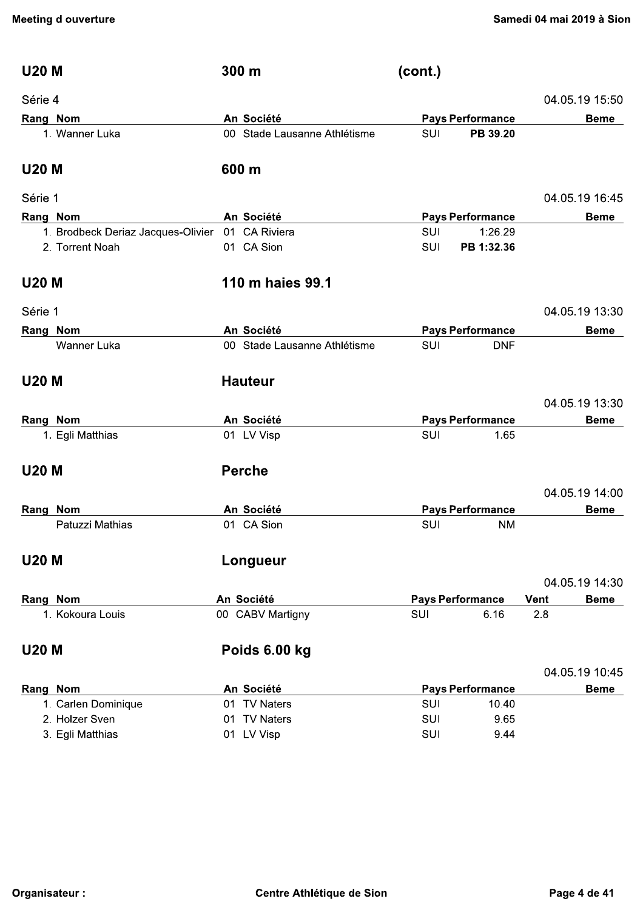| <b>U20 M</b>                       | 300 m                        | (cont.)    |                         |                            |
|------------------------------------|------------------------------|------------|-------------------------|----------------------------|
| Série 4                            |                              |            |                         | 04.05.19 15:50             |
| Rang Nom                           | An Société                   |            | <b>Pays Performance</b> | <b>Beme</b>                |
| 1. Wanner Luka                     | 00 Stade Lausanne Athlétisme | <b>SUI</b> | PB 39.20                |                            |
| <b>U20 M</b>                       | 600 m                        |            |                         |                            |
| Série 1                            |                              |            |                         | 04.05.19 16:45             |
| Rang Nom                           | An Société                   |            | <b>Pays Performance</b> | <b>Beme</b>                |
| 1. Brodbeck Deriaz Jacques-Olivier | 01 CA Riviera                | <b>SUI</b> | 1:26.29                 |                            |
| 2. Torrent Noah                    | 01 CA Sion                   | <b>SUI</b> | PB 1:32.36              |                            |
| <b>U20 M</b>                       | 110 m haies 99.1             |            |                         |                            |
| Série 1                            |                              |            |                         | 04.05.19 13:30             |
| Rang Nom                           | An Société                   |            | <b>Pays Performance</b> | <b>Beme</b>                |
| Wanner Luka                        | 00 Stade Lausanne Athlétisme | SUI        | <b>DNF</b>              |                            |
| <b>U20 M</b>                       | <b>Hauteur</b>               |            |                         |                            |
|                                    |                              |            |                         | 04.05.19 13:30             |
| Rang Nom                           | An Société                   |            | <b>Pays Performance</b> | <b>Beme</b>                |
| 1. Egli Matthias                   | 01 LV Visp                   | SUI        | 1.65                    |                            |
| <b>U20 M</b>                       | <b>Perche</b>                |            |                         |                            |
|                                    |                              |            |                         | 04.05.19 14:00             |
| Rang Nom                           | An Société                   |            | <b>Pays Performance</b> | <b>Beme</b>                |
| Patuzzi Mathias                    | 01 CA Sion                   | SUI        | <b>NM</b>               |                            |
| <b>U20 M</b>                       | Longueur                     |            |                         |                            |
|                                    |                              |            |                         | 04.05.19 14:30             |
| Rang Nom                           | An Société                   |            | <b>Pays Performance</b> | <b>Vent</b><br><b>Beme</b> |
| 1. Kokoura Louis                   | 00 CABV Martigny             | SUI        | 6.16                    | 2.8                        |
| <b>U20 M</b>                       | Poids 6.00 kg                |            |                         |                            |
|                                    |                              |            |                         | 04.05.19 10:45             |
| Rang Nom                           | An Société                   |            | <b>Pays Performance</b> | <b>Beme</b>                |
| 1. Carlen Dominique                | 01 TV Naters                 | <b>SUI</b> | 10.40                   |                            |
| 2. Holzer Sven                     | 01 TV Naters                 | <b>SUI</b> | 9.65                    |                            |
| 3. Egli Matthias                   | 01 LV Visp                   | <b>SUI</b> | 9.44                    |                            |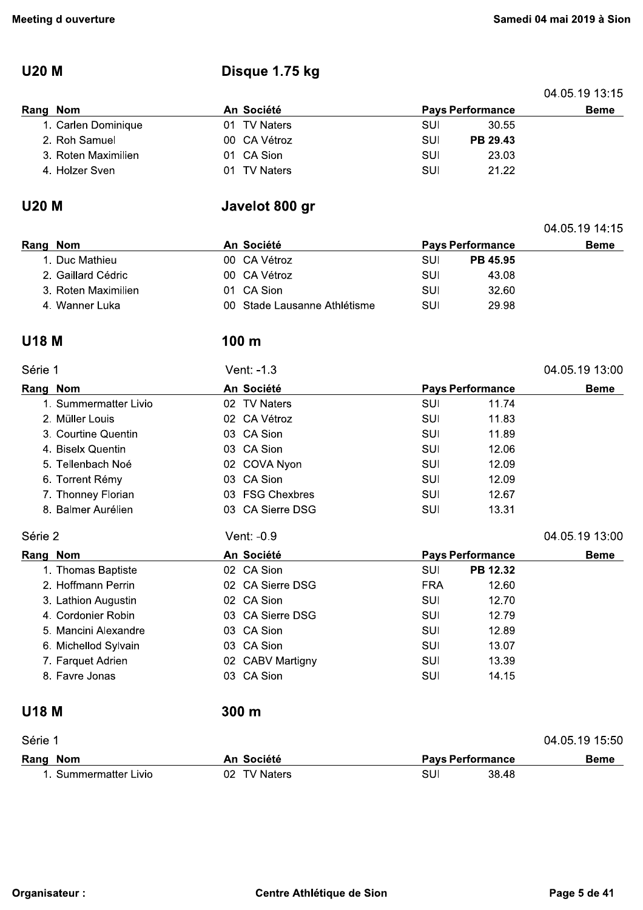## **U20 M**

## Disque 1.75 kg

|                     |              |     |                         | 04.05.19 13.15 |
|---------------------|--------------|-----|-------------------------|----------------|
| Rang Nom            | An Société   |     | <b>Pays Performance</b> | <b>Beme</b>    |
| 1. Carlen Dominique | 01 TV Naters | SUI | 30.55                   |                |
| 2. Roh Samuel       | 00 CA Vétroz | SUI | PB 29.43                |                |
| 3. Roten Maximilien | 01 CA Sion   | SUI | 23.03                   |                |
| 4. Holzer Sven      | 01 TV Naters | SUI | 21.22                   |                |
|                     |              |     |                         |                |

### **U20 M**

## Javelot 800 gr

|          |                     |            |                              |                         |                 | 04.05.19 14:15 |
|----------|---------------------|------------|------------------------------|-------------------------|-----------------|----------------|
| Rang Nom |                     | An Société |                              | <b>Pays Performance</b> |                 | Beme           |
|          | 1. Duc Mathieu      |            | 00 CA Vétroz                 | SUI                     | <b>PB 45.95</b> |                |
|          | 2. Gaillard Cédric  |            | 00 CA Vétroz                 | SUI                     | 43.08           |                |
|          | 3. Roten Maximilien |            | 01 CA Sion                   | SUI                     | 32.60           |                |
|          | 4. Wanner Luka      |            | 00 Stade Lausanne Athlétisme | SUI                     | 29.98           |                |

### **U18 M**

#### 100 m

| Série 1      |                       | Vent: -1.3       |                         | 04.05.19 13:00 |
|--------------|-----------------------|------------------|-------------------------|----------------|
|              | Rang Nom              | An Société       | <b>Pays Performance</b> | <b>Beme</b>    |
|              | 1. Summermatter Livio | 02 TV Naters     | 11.74<br>SUI            |                |
|              | 2. Müller Louis       | 02 CA Vétroz     | SUI<br>11.83            |                |
|              | 3. Courtine Quentin   | 03 CA Sion       | SUI<br>11.89            |                |
|              | 4. Biselx Quentin     | 03 CA Sion       | SUI<br>12.06            |                |
|              | 5. Tellenbach Noé     | 02 COVA Nyon     | SUI<br>12.09            |                |
|              | 6. Torrent Rémy       | 03 CA Sion       | SUI<br>12.09            |                |
|              | 7. Thonney Florian    | 03 FSG Chexbres  | SUI<br>12.67            |                |
|              | 8. Balmer Aurélien    | 03 CA Sierre DSG | SUI<br>13.31            |                |
| Série 2      |                       | Vent: -0.9       |                         | 04.05.19 13:00 |
|              | Rang Nom              | An Société       | <b>Pays Performance</b> | <b>Beme</b>    |
|              | 1. Thomas Baptiste    | 02 CA Sion       | SUI<br>PB 12.32         |                |
|              | 2. Hoffmann Perrin    | 02 CA Sierre DSG | <b>FRA</b><br>12.60     |                |
|              | 3. Lathion Augustin   | 02 CA Sion       | SUI<br>12.70            |                |
|              | 4. Cordonier Robin    | 03 CA Sierre DSG | SUI<br>12.79            |                |
|              | 5. Mancini Alexandre  | 03 CA Sion       | SUI<br>12.89            |                |
|              | 6. Michellod Sylvain  | 03 CA Sion       | SUI<br>13.07            |                |
|              | 7. Farquet Adrien     | 02 CABV Martigny | SUI<br>13.39            |                |
|              | 8. Favre Jonas        | 03 CA Sion       | SUI<br>14.15            |                |
| <b>U18 M</b> |                       | 300 <sub>m</sub> |                         |                |
| Série 1      |                       |                  |                         | 04.05.19 15.50 |
|              | Rang Nom              | An Société       | <b>Pays Performance</b> | <b>Beme</b>    |
|              | 1. Summermatter Livio | 02 TV Naters     | SUI<br>38.48            |                |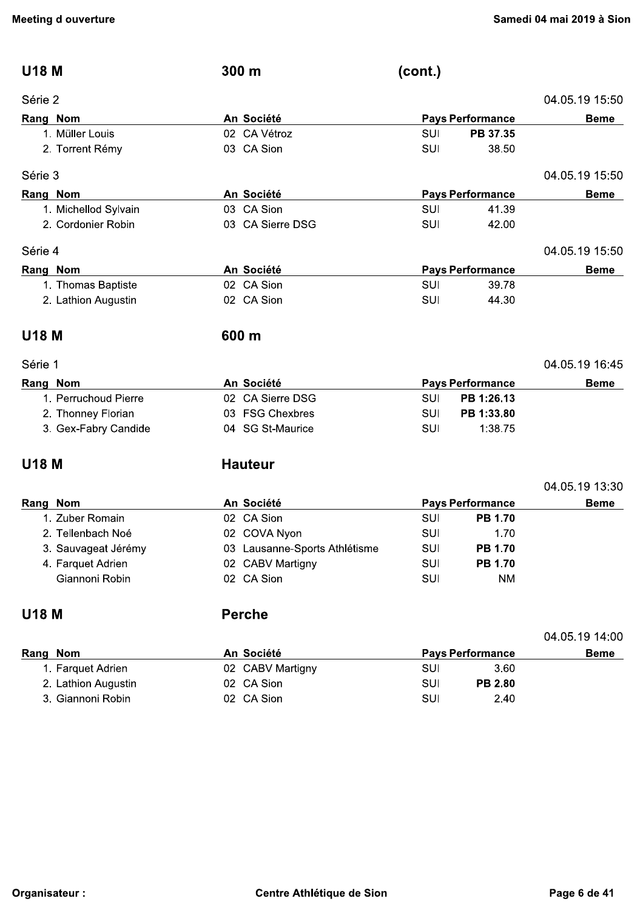| <b>U18 M</b>         | 300 m                         | (cont.) |                         |                |
|----------------------|-------------------------------|---------|-------------------------|----------------|
| Série 2              |                               |         |                         | 04.05.19 15.50 |
| Rang Nom             | An Société                    |         | <b>Pays Performance</b> | <b>Beme</b>    |
| 1. Müller Louis      | 02 CA Vétroz                  | SUI     | PB 37.35                |                |
| 2. Torrent Rémy      | 03 CA Sion                    | SUI     | 38.50                   |                |
| Série 3              |                               |         |                         | 04.05.19 15:50 |
| Rang Nom             | An Société                    |         | <b>Pays Performance</b> | <b>Beme</b>    |
| 1. Michellod Sylvain | 03 CA Sion                    | SUI     | 41.39                   |                |
| 2. Cordonier Robin   | 03 CA Sierre DSG              | SUI     | 42.00                   |                |
| Série 4              |                               |         |                         | 04.05.19 15:50 |
| Rang Nom             | An Société                    |         | <b>Pays Performance</b> | <b>Beme</b>    |
| 1. Thomas Baptiste   | 02 CA Sion                    | SUI     | 39.78                   |                |
| 2. Lathion Augustin  | 02 CA Sion                    | SUI     | 44.30                   |                |
| <b>U18 M</b>         | 600 m                         |         |                         |                |
| Série 1              |                               |         |                         | 04.05.19 16:45 |
| Rang Nom             | An Société                    |         | <b>Pays Performance</b> | <b>Beme</b>    |
| 1. Perruchoud Pierre | 02 CA Sierre DSG              | SUI     | PB 1:26.13              |                |
| 2. Thonney Florian   | 03 FSG Chexbres               | SUI     | PB 1:33.80              |                |
| 3. Gex-Fabry Candide | 04 SG St-Maurice              | SUI     | 1:38.75                 |                |
| <b>U18 M</b>         | <b>Hauteur</b>                |         |                         |                |
|                      |                               |         |                         | 04.05.19 13:30 |
| Rang Nom             | An Société                    |         | <b>Pays Performance</b> | <b>Beme</b>    |
| 1. Zuber Romain      | 02 CA Sion                    | SUI     | <b>PB 1.70</b>          |                |
| 2. Tellenbach Noé    | 02 COVA Nyon                  | SUI     | 1.70                    |                |
| 3. Sauvageat Jérémy  | 03 Lausanne-Sports Athlétisme | SUI     | <b>PB 1.70</b>          |                |
| 4. Farquet Adrien    | 02 CABV Martigny              | SUI     | <b>PB 1.70</b>          |                |
| Giannoni Robin       | 02 CA Sion                    | SUI     | <b>NM</b>               |                |
| <b>U18 M</b>         | <b>Perche</b>                 |         |                         |                |
|                      |                               |         |                         | 04.05.19 14:00 |
| Rang Nom             | An Société                    |         | <b>Pays Performance</b> | <b>Beme</b>    |
| 1. Farquet Adrien    | 02 CABV Martigny              | SUI     | 3.60                    |                |
| 2. Lathion Augustin  | 02 CA Sion                    | SUI     | PB 2.80                 |                |
| 3. Giannoni Robin    | 02 CA Sion                    | SUI     | 2.40                    |                |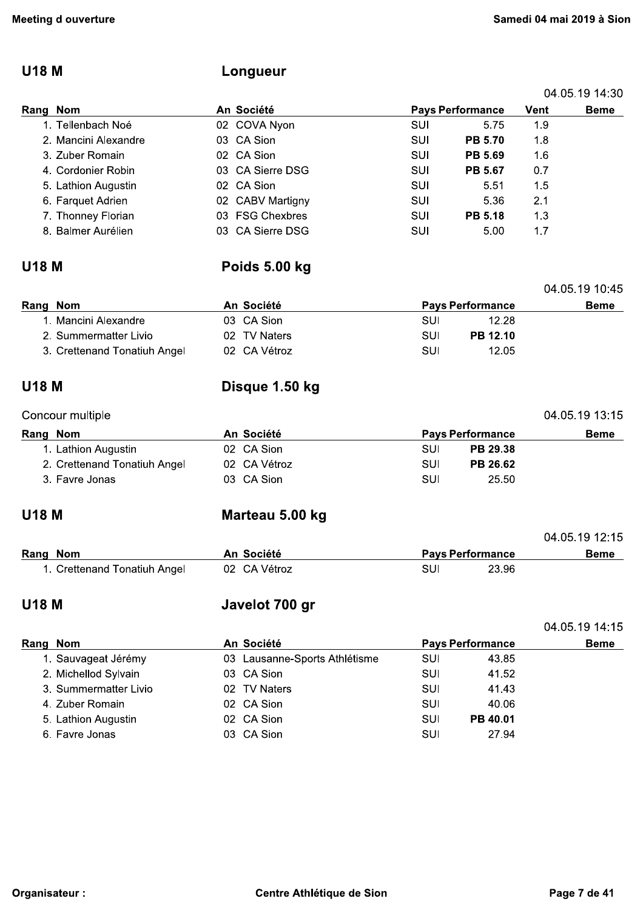## **U18 M**

## Longueur

|          |                      |                  |            |                         |         | 04.05.19 14:30 |
|----------|----------------------|------------------|------------|-------------------------|---------|----------------|
| Rang Nom |                      | An Société       |            | <b>Pays Performance</b> | Vent    | Beme           |
|          | 1. Tellenbach Noé    | 02 COVA Nyon     | SUI        | 5.75                    | 1.9     |                |
|          | 2. Mancini Alexandre | 03 CA Sion       | SUI        | <b>PB 5.70</b>          | 1.8     |                |
|          | 3. Zuber Romain      | 02 CA Sion       | <b>SUI</b> | PB 5.69                 | 1.6     |                |
|          | 4. Cordonier Robin   | 03 CA Sierre DSG | SUI        | PB 5.67                 | 0.7     |                |
|          | 5. Lathion Augustin  | 02 CA Sion       | SUI        | 5.51                    | $1.5\,$ |                |
|          | 6. Farquet Adrien    | 02 CABV Martigny | SUI        | 5.36                    | 2.1     |                |
|          | 7. Thonney Florian   | 03 FSG Chexbres  | SUI        | <b>PB 5.18</b>          | 1.3     |                |
|          | 8. Balmer Aurélien   | 03 CA Sierre DSG | SUI        | 5.00                    | 1.7     |                |

#### **U18 M**

## Poids 5.00 kg

|                                              |                         | 04.05.19 10:45 |
|----------------------------------------------|-------------------------|----------------|
| An Société                                   | <b>Pays Performance</b> | <b>Beme</b>    |
| 03 CA Sion                                   | 12.28<br>SUI            |                |
| 02 TV Naters                                 | <b>PB 12.10</b><br>SUI  |                |
| 02 CA Vétroz<br>3. Crettenand Tonatiuh Angel | SUI<br>12.05            |                |
|                                              |                         |                |

#### **U18 M**

## Disque 1.50 kg

#### Concour multiple

| Rang Nom                     | An Société   | <b>Pays Performance</b> | Beme |
|------------------------------|--------------|-------------------------|------|
| 1. Lathion Augustin          | 02 CA Sion   | <b>PB 29.38</b><br>SUI  |      |
| 2. Crettenand Tonatiuh Angel | 02 CA Vétroz | PB 26.62<br><b>SUI</b>  |      |
| 3. Favre Jonas               | 03 CA Sion   | <b>SUI</b><br>25.50     |      |

#### **U18 M**

## Marteau 5.00 kg

|          |                              |              | 04.05.19 12:15          |       |      |  |
|----------|------------------------------|--------------|-------------------------|-------|------|--|
| Rang Nom |                              | An Société   | <b>Pavs Performance</b> |       | Beme |  |
|          | 1. Crettenand Tonatiuh Angel | 02 CA Vétroz | SUI                     | 23.96 |      |  |

#### **U18 M**

## Javelot 700 gr

|          |                       |                               |            |                         | 04.05.19 14.15 |
|----------|-----------------------|-------------------------------|------------|-------------------------|----------------|
| Rang Nom |                       | An Société                    |            | <b>Pays Performance</b> | <b>Beme</b>    |
|          | 1. Sauvageat Jérémy   | 03 Lausanne-Sports Athlétisme | SUI        | 43.85                   |                |
|          | 2. Michellod Sylvain  | 03 CA Sion                    | SUI        | 41.52                   |                |
|          | 3. Summermatter Livio | 02 TV Naters                  | SUI        | 41.43                   |                |
|          | 4. Zuber Romain       | 02 CA Sion                    | SUI        | 40.06                   |                |
|          | 5. Lathion Augustin   | 02 CA Sion                    | <b>SUI</b> | PB 40.01                |                |
|          | 6. Favre Jonas        | 03 CA Sion                    | SUI        | 27.94                   |                |

04.05.19 13:15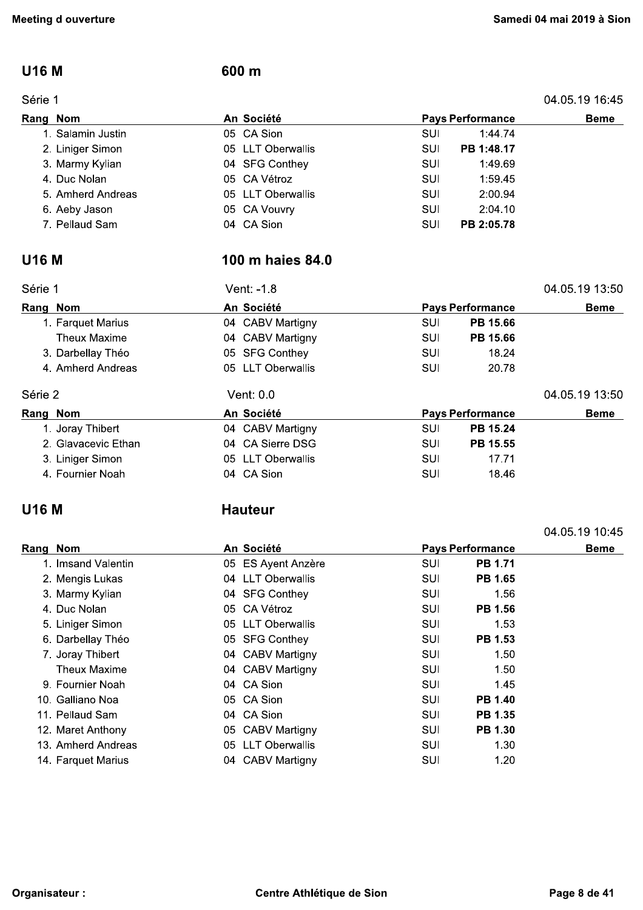### **U16 M**

#### Série 1

### 600 m

04.05.19 16:45

| An Société<br>Rang Nom |  |                   | <b>Pays Performance</b> |            |  |
|------------------------|--|-------------------|-------------------------|------------|--|
| 1. Salamin Justin      |  | 05 CA Sion        | SUI                     | 1:44.74    |  |
| 2. Liniger Simon       |  | 05 LLT Oberwallis | SUI                     | PB 1:48.17 |  |
| 3. Marmy Kylian        |  | 04 SFG Conthey    | SUI                     | 1:49.69    |  |
| 4. Duc Nolan           |  | 05 CA Vétroz      | SUI                     | 1:59.45    |  |
| 5. Amherd Andreas      |  | 05 LLT Oberwallis | SUI                     | 2:00.94    |  |
| 6. Aeby Jason          |  | 05 CA Vouvry      | SUI                     | 2:04.10    |  |
| 7. Pellaud Sam         |  | 04 CA Sion        | SUI                     | PB 2:05.78 |  |

## **U16 M**

## 100 m haies 84.0

| Série 1             | Vent: -1.8        |            |                         | 04.05.19 13:50 |
|---------------------|-------------------|------------|-------------------------|----------------|
| Rang Nom            | An Société        |            | <b>Pays Performance</b> | <b>Beme</b>    |
| 1. Farquet Marius   | 04 CABV Martigny  | SUI        | PB 15.66                |                |
| <b>Theux Maxime</b> | 04 CABV Martigny  | SUI        | PB 15.66                |                |
| 3. Darbellay Théo   | 05 SFG Conthey    | SUI        | 18.24                   |                |
| 4. Amherd Andreas   | 05 LLT Oberwallis | <b>SUI</b> | 20.78                   |                |
| Série 2             | Vent: 0.0         |            |                         | 04.05.19 13:50 |
| Rang Nom            | An Société        |            | <b>Pays Performance</b> | <b>Beme</b>    |
| 1. Joray Thibert    | 04 CABV Martigny  | SUI        | PB 15.24                |                |
| 2. Glavacevic Ethan | 04 CA Sierre DSG  | SUI        | PB 15.55                |                |
| 3. Liniger Simon    | 05 LLT Oberwallis | SUI        | 17.71                   |                |
| 4. Fournier Noah    | 04 CA Sion        | SUI        | 18.46                   |                |

### **U16 M**

## **Hauteur**

|                    |  |                    |            |                         |                | 04.05.19 10:45 |
|--------------------|--|--------------------|------------|-------------------------|----------------|----------------|
| Rang Nom           |  | An Société         |            | <b>Pays Performance</b> |                | <b>Beme</b>    |
| 1. Imsand Valentin |  | 05 ES Ayent Anzère | <b>SUI</b> |                         | <b>PB 1.71</b> |                |
| 2. Mengis Lukas    |  | 04 LLT Oberwallis  | SUI        |                         | <b>PB 1.65</b> |                |
| 3. Marmy Kylian    |  | 04 SFG Conthey     | SUI        |                         | 1.56           |                |
| 4. Duc Nolan       |  | 05 CA Vétroz       | SUI        |                         | <b>PB 1.56</b> |                |
| 5. Liniger Simon   |  | 05 LLT Oberwallis  | SUI        |                         | 1.53           |                |
| 6. Darbellay Théo  |  | 05 SFG Conthey     | SUI        |                         | <b>PB 1.53</b> |                |
| 7. Joray Thibert   |  | 04 CABV Martigny   | SUI        |                         | 1.50           |                |
| Theux Maxime       |  | 04 CABV Martigny   | SUI        |                         | 1.50           |                |
| 9. Fournier Noah   |  | 04 CA Sion         | SUI        |                         | 1.45           |                |
| 10. Galliano Noa   |  | 05 CA Sion         | SUI        |                         | <b>PB 1.40</b> |                |
| 11. Pellaud Sam    |  | 04 CA Sion         | SUI        |                         | PB 1.35        |                |
| 12. Maret Anthony  |  | 05 CABV Martigny   | SUI        |                         | <b>PB 1.30</b> |                |
| 13. Amherd Andreas |  | 05 LLT Oberwallis  | SUI        |                         | 1.30           |                |
| 14. Farquet Marius |  | 04 CABV Martigny   | SUI        |                         | 1.20           |                |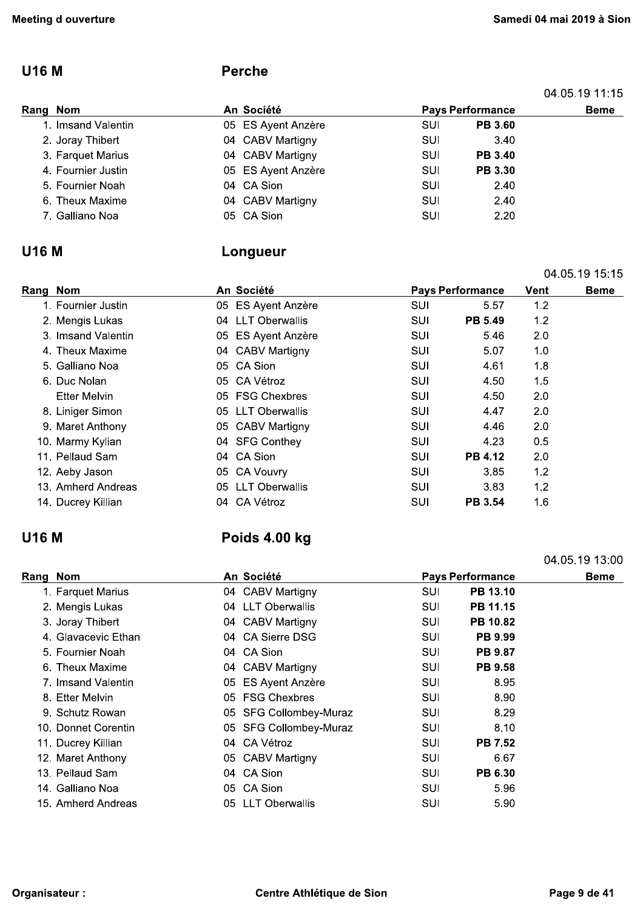04.05.19 11:15

#### **U16 M**

#### **Perche**

| Rang Nom           | An Société         | <b>Pays Performance</b> | <b>Beme</b>    |  |
|--------------------|--------------------|-------------------------|----------------|--|
| 1. Imsand Valentin | 05 ES Ayent Anzère | SUI                     | <b>PB 3.60</b> |  |
| 2. Joray Thibert   | 04 CABV Martigny   | SUI                     | 3.40           |  |
| 3. Farquet Marius  | 04 CABV Martigny   | SUI                     | <b>PB 3.40</b> |  |
| 4. Fournier Justin | 05 ES Ayent Anzère | SUI                     | <b>PB 3.30</b> |  |
| 5. Fournier Noah   | 04 CA Sion         | SUI                     | 2.40           |  |
| 6. Theux Maxime    | 04 CABV Martigny   | SUI                     | 2.40           |  |
| 7. Galliano Noa    | 05 CA Sion         | SUI                     | 2.20           |  |

#### **U16 M**

#### Longueur

|                     |                             |            |                         |     | 04.05.19 15:15 |
|---------------------|-----------------------------|------------|-------------------------|-----|----------------|
| Rang Nom            | An Société                  |            | <b>Pays Performance</b> |     | <b>Beme</b>    |
| 1. Fournier Justin  | 05 ES Ayent Anzère          | SUI        | 5.57                    | 1.2 |                |
| 2. Mengis Lukas     | 04 LLT Oberwallis           | <b>SUI</b> | PB 5.49                 | 1.2 |                |
| 3. Imsand Valentin  | 05 ES Ayent Anzère          | SUI        | 5.46                    | 2.0 |                |
| 4. Theux Maxime     | 04 CABV Martigny            | SUI        | 5.07                    | 1.0 |                |
| 5. Galliano Noa     | 05 CA Sion                  | <b>SUI</b> | 4.61                    | 1.8 |                |
| 6. Duc Nolan        | 05 CA Vétroz                | <b>SUI</b> | 4.50                    | 1.5 |                |
| <b>Etter Melvin</b> | 05 FSG Chexbres             | SUI        | 4.50                    | 2.0 |                |
| 8. Liniger Simon    | 05 LLT Oberwallis           | <b>SUI</b> | 4.47                    | 2.0 |                |
| 9. Maret Anthony    | 05 CABV Martigny            | SUI        | 4.46                    | 2.0 |                |
| 10. Marmy Kylian    | 04 SFG Conthey              | SUI        | 4.23                    | 0.5 |                |
| 11. Pellaud Sam     | 04 CA Sion                  | <b>SUI</b> | <b>PB 4.12</b>          | 2.0 |                |
| 12. Aeby Jason      | 05 CA Vouvry                | <b>SUI</b> | 3.85                    | 1.2 |                |
| 13. Amherd Andreas  | <b>LLT Oberwallis</b><br>05 | SUI        | 3.83                    | 1.2 |                |
| 14. Ducrey Killian  | 04 CA Vétroz                | SUI        | <b>PB 3.54</b>          | 1.6 |                |

### **U16 M**

## Poids 4.00 kg

#### Rang Nom An Société **Pays Performance Beme** 1. Farquet Marius 04 CABV Martigny **SUI** PB 13.10 2. Mengis Lukas 04 LLT Oberwallis **SUI** PB 11.15 3. Joray Thibert 04 CABV Martigny **SUI** PB 10.82 04 CA Sierre DSG 4. Glavacevic Ethan **SUI** PB 9.99 5. Fournier Noah 04 CA Sion **SUI PB 9.87** 6. Theux Maxime 04 CABV Martigny SUI PB 9.58 7. Imsand Valentin 05 ES Ayent Anzère **SUI** 8.95 05 FSG Chexbres 8. Etter Melvin **SUI** 8.90 9. Schutz Rowan 05 SFG Collombey-Muraz SUI 8.29 05 SFG Collombey-Muraz 10. Donnet Corentin SUI 8.10 04 CA Vétroz **PB 7.52** 11. Ducrey Killian SUI 12. Maret Anthony 05 CABV Martigny 6.67 SUI 13. Pellaud Sam 04 CA Sion PB 6.30 SUI 05 CA Sion 14. Galliano Noa **SUI** 5.96 15. Amherd Andreas 05 LLT Oberwallis SUI 5.90

04.05.19 13:00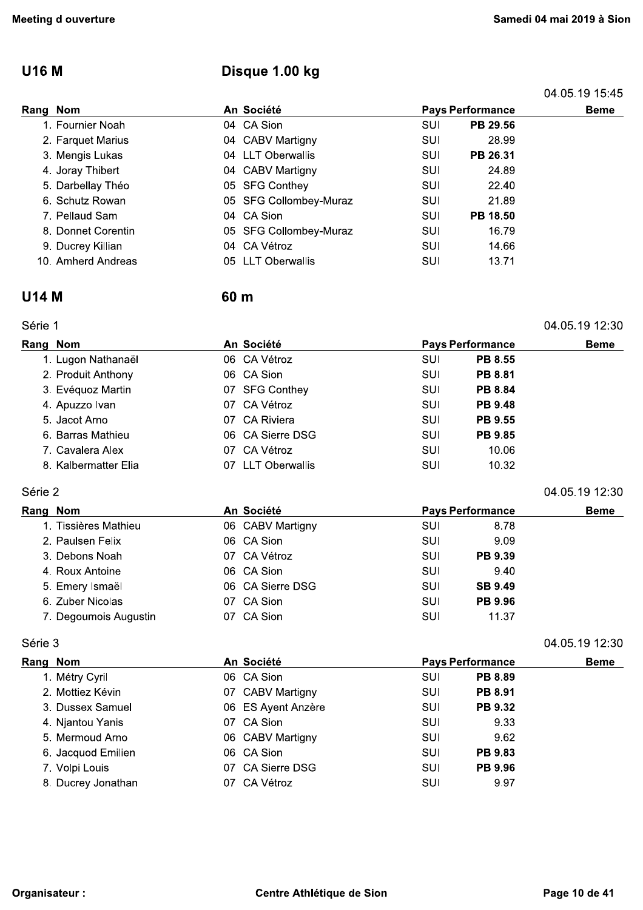## U16 M Disque 1.00 kg

| leeting d ouverture |                        |                         |          | Samedi 04 mai 2019 à Sior |
|---------------------|------------------------|-------------------------|----------|---------------------------|
| <b>U16 M</b>        | Disque 1.00 kg         |                         |          |                           |
|                     |                        |                         |          | 04.05.19 15.45            |
| Rang Nom            | An Société             | <b>Pays Performance</b> |          | <b>Beme</b>               |
| 1. Fournier Noah    | 04 CA Sion             | SUI                     | PB 29.56 |                           |
| 2. Farquet Marius   | 04 CABV Martigny       | SUI                     | 28.99    |                           |
| 3. Mengis Lukas     | 04 LLT Oberwallis      | SUI                     | PB 26.31 |                           |
| 4. Joray Thibert    | 04 CABV Martigny       | SUI                     | 24.89    |                           |
| 5. Darbellay Théo   | 05 SFG Conthey         | <b>SUI</b>              | 22.40    |                           |
| 6. Schutz Rowan     | 05 SFG Collombey-Muraz | SUI                     | 21.89    |                           |
| 7. Pellaud Sam      | 04 CA Sion             | SUI                     | PB 18.50 |                           |
| 8. Donnet Corentin  | 05 SFG Collombey-Muraz | SUI                     | 16.79    |                           |
| 9. Ducrey Killian   | CA Vétroz<br>04        | SUI                     | 14.66    |                           |
| 10. Amherd Andreas  | LLT Oberwallis<br>05   | SUI                     | 13.71    |                           |
|                     |                        |                         |          |                           |

### U14 M 60 m

|  | 04.05.19 12:30 |
|--|----------------|
|  |                |

| 9. Ducrey Killian    | 04 CA Vétroz                | SUI | 14.66                   |                |
|----------------------|-----------------------------|-----|-------------------------|----------------|
| 10. Amherd Andreas   | <b>LLT Oberwallis</b><br>05 | SUI | 13.71                   |                |
| U14 M                | 60 <sub>m</sub>             |     |                         |                |
| Série 1              |                             |     |                         | 04.05.19 12:30 |
| Rang Nom             | An Société                  |     | <b>Pays Performance</b> | <b>Beme</b>    |
| 1. Lugon Nathanaël   | 06 CA Vétroz                | SUI | <b>PB 8.55</b>          |                |
| 2. Produit Anthony   | 06 CA Sion                  | SUI | <b>PB 8.81</b>          |                |
| 3. Evéquoz Martin    | 07 SFG Conthey              | SUI | <b>PB 8.84</b>          |                |
| 4. Apuzzo Ivan       | 07 CA Vétroz                | SUI | <b>PB 9.48</b>          |                |
| 5. Jacot Arno        | <b>CA Riviera</b><br>07     | SUI | <b>PB 9.55</b>          |                |
| 6. Barras Mathieu    | 06 CA Sierre DSG            | SUI | <b>PB 9.85</b>          |                |
| 7. Cavalera Alex     | CA Vétroz<br>07             | SUI | 10.06                   |                |
| 8. Kalbermatter Elia | <b>LLT Oberwallis</b><br>07 | SUI | 10.32                   |                |
|                      |                             |     |                         |                |

| ⊤. <i>;</i> wu∠∠o ivuii | <u>UIN VUULL</u>        | ◡◡  | .                       |                |
|-------------------------|-------------------------|-----|-------------------------|----------------|
| 5. Jacot Arno           | <b>CA Riviera</b><br>07 | SUI | <b>PB 9.55</b>          |                |
| 6. Barras Mathieu       | 06 CA Sierre DSG        | SUI | <b>PB 9.85</b>          |                |
| 7. Cavalera Alex        | 07 CA Vétroz            | SUI | 10.06                   |                |
| 8. Kalbermatter Elia    | 07 LLT Oberwallis       | SUI | 10.32                   |                |
| Série 2                 |                         |     |                         | 04.05.19 12:30 |
| Rang Nom                | An Société              |     | <b>Pays Performance</b> | <b>Beme</b>    |
| 1. Tissières Mathieu    | 06 CABV Martigny        | SUI | 8.78                    |                |
| 2. Paulsen Felix        | 06 CA Sion              | SUI | 9.09                    |                |
| 3. Debons Noah          | 07 CA Vétroz            | SUI | <b>PB 9.39</b>          |                |
| 4. Roux Antoine         | 06 CA Sion              | SUI | 9.40                    |                |
| 5. Emery Ismaël         | 06 CA Sierre DSG        | SUI | <b>SB 9.49</b>          |                |
| 6. Zuber Nicolas        | 07 CA Sion              | SUI | <b>PB 9.96</b>          |                |
| 7. Degoumois Augustin   | CA Sion<br>07           | SUI | 11.37                   |                |
|                         |                         |     |                         |                |

|         | 0. DUDUNU I YUUN      |    | <b>VIIVUU</b>      | <b>vv</b>               | ----           |                |
|---------|-----------------------|----|--------------------|-------------------------|----------------|----------------|
|         | 4. Roux Antoine       |    | 06 CA Sion         | SUI                     | 9.40           |                |
|         | 5. Emery Ismaël       |    | 06 CA Sierre DSG   | SUI                     | <b>SB 9.49</b> |                |
|         | 6. Zuber Nicolas      |    | 07 CA Sion         | SUI                     | PB 9.96        |                |
|         | 7. Degoumois Augustin |    | 07 CA Sion         | SUI                     | 11.37          |                |
| Série 3 |                       |    |                    |                         |                | 04.05.19 12:30 |
|         | Rang Nom              |    | An Société         | <b>Pays Performance</b> |                | <b>Beme</b>    |
|         | 1. Métry Cyril        |    | 06 CA Sion         | SUI                     | <b>PB 8.89</b> |                |
|         | 2. Mottiez Kévin      |    | 07 CABV Martigny   | SUI                     | <b>PB 8.91</b> |                |
|         | 3. Dussex Samuel      |    | 06 ES Ayent Anzère | SUI                     | PB 9.32        |                |
|         | 4. Njantou Yanis      |    | 07 CA Sion         | SUI                     | 9.33           |                |
|         | 5. Mermoud Arno       |    | 06 CABV Martigny   | SUI                     | 9.62           |                |
|         | 6. Jacquod Emilien    |    | 06 CA Sion         | SUI                     | <b>PB 9.83</b> |                |
|         | 7. Volpi Louis        |    | 07 CA Sierre DSG   | SUI                     | <b>PB 9.96</b> |                |
|         | 8. Ducrey Jonathan    | 07 | CA Vétroz          | SUI                     | 9.97           |                |
|         |                       |    |                    |                         |                |                |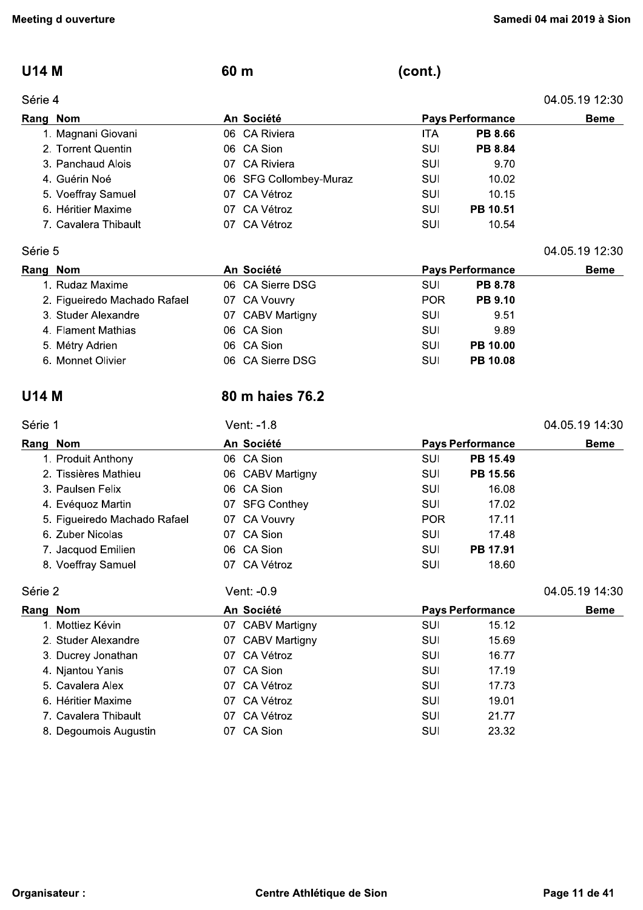04.05.19 12:30

#### **U14 M**

#### Série 4

 $(cont.)$ 

| Série 4              |                        |            |                         | 04.05.19 12:30 |
|----------------------|------------------------|------------|-------------------------|----------------|
| Rang Nom             | An Société             |            | <b>Pays Performance</b> | <b>Beme</b>    |
| 1. Magnani Giovani   | 06 CA Riviera          | <b>ITA</b> | <b>PB 8.66</b>          |                |
| 2. Torrent Quentin   | 06 CA Sion             | SUI        | <b>PB 8.84</b>          |                |
| 3. Panchaud Alois    | 07 CA Riviera          | SUI        | 9.70                    |                |
| 4. Guérin Noé        | 06 SFG Collombey-Muraz | SUI        | 10.02                   |                |
| 5. Voeffray Samuel   | 07 CA Vétroz           | SUI        | 10.15                   |                |
| 6. Héritier Maxime   | 07 CA Vétroz           | SUI        | PB 10.51                |                |
| 7. Cavalera Thibault | 07 CA Vétroz           | SUI        | 10.54                   |                |

#### Série 5

| Rang Nom                     | An Société       | <b>Pays Performance</b>      | <b>Beme</b> |
|------------------------------|------------------|------------------------------|-------------|
| 1. Rudaz Maxime              | 06 CA Sierre DSG | <b>PB 8.78</b><br>SUI        |             |
| 2. Figueiredo Machado Rafael | 07 CA Vouvry     | <b>PB 9.10</b><br><b>POR</b> |             |
| 3. Studer Alexandre          | 07 CABV Martigny | 9.51<br>SUI                  |             |
| 4. Flament Mathias           | 06 CA Sion       | 9.89<br>SUI                  |             |
| 5. Métry Adrien              | 06 CA Sion       | <b>PB 10.00</b><br>SUI       |             |
| 6. Monnet Olivier            | 06 CA Sierre DSG | <b>PB 10.08</b><br>SUI       |             |

#### **U14 M**

### 80 m haies 76.2

60 m

| Série 1                      | Vent: -1.8       |                         | 04.05.19 14:30 |
|------------------------------|------------------|-------------------------|----------------|
| Rang Nom                     | An Société       | <b>Pays Performance</b> | <b>Beme</b>    |
| 1. Produit Anthony           | 06 CA Sion       | PB 15.49<br>SUI         |                |
| 2. Tissières Mathieu         | 06 CABV Martigny | PB 15.56<br>SUI         |                |
| 3. Paulsen Felix             | 06 CA Sion       | 16.08<br>SUI            |                |
| 4. Evéquoz Martin            | 07 SFG Conthey   | 17.02<br>SUI            |                |
| 5. Figueiredo Machado Rafael | 07 CA Vouvry     | POR<br>17.11            |                |
| 6. Zuber Nicolas             | 07 CA Sion       | SUI<br>17.48            |                |
| 7. Jacquod Emilien           | 06 CA Sion       | SUI<br>PB 17.91         |                |
| 8. Voeffray Samuel           | CA Vétroz<br>07. | SUI<br>18.60            |                |
| Série 2                      | Vent: -0.9       |                         | 04.05.19 14:30 |
| Rang Nom                     | An Société       | <b>Pays Performance</b> | <b>Beme</b>    |
| 1. Mottiez Kévin             | 07 CABV Martigny | 15.12<br>SUI            |                |
| 2. Studer Alexandre          | 07 CABV Martigny | SUI<br>15.69            |                |
| 3. Ducrey Jonathan           | CA Vétroz<br>07  | SUI<br>16.77            |                |
| 4. Njantou Yanis             | 07 CA Sion       | SUI<br>17.19            |                |
| 5. Cavalera Alex             | CA Vétroz<br>07  | 17.73<br>SUI            |                |
| 6. Héritier Maxime           | CA Vétroz<br>07  | 19.01<br>SUI            |                |
| 7. Cavalera Thibault         | CA Vétroz<br>07  | SUI<br>21.77            |                |
| 8. Degoumois Augustin        | 07 CA Sion       | SUI<br>23.32            |                |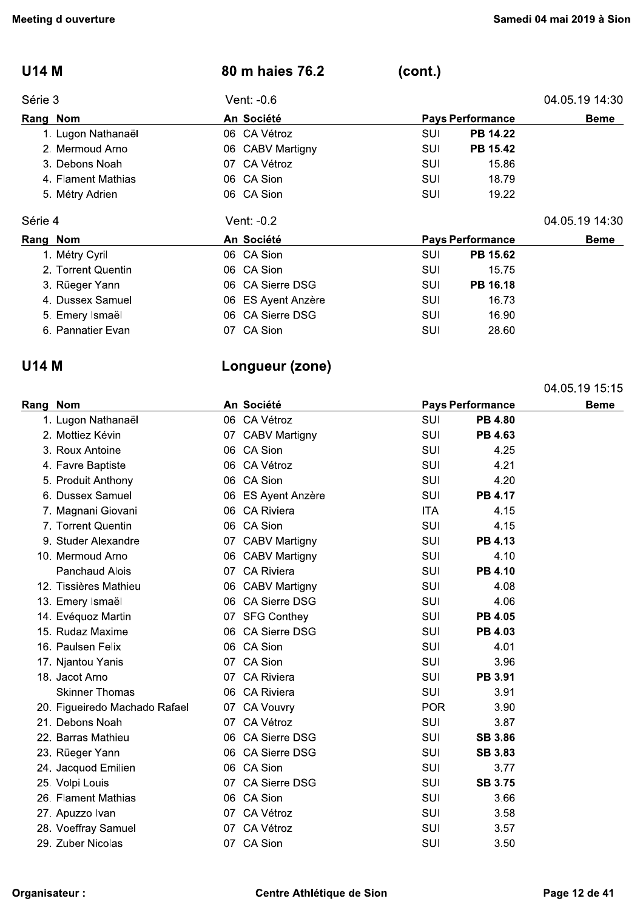| <b>U14 M</b>       | 80 m haies 76.2             | (cont.)                 |                |
|--------------------|-----------------------------|-------------------------|----------------|
| Série 3            | Vent: -0.6                  |                         | 04.05.19 14:30 |
| Rang Nom           | An Société                  | <b>Pays Performance</b> | <b>Beme</b>    |
| 1. Lugon Nathanaël | 06 CA Vétroz                | SUI<br>PB 14.22         |                |
| 2. Mermoud Arno    | 06 CABV Martigny            | PB 15.42<br>SUI         |                |
| 3. Debons Noah     | 07 CA Vétroz                | SUI<br>15.86            |                |
| 4. Flament Mathias | 06 CA Sion                  | SUI<br>18.79            |                |
| 5. Métry Adrien    | 06 CA Sion                  | SUI<br>19.22            |                |
| Série 4            | Vent: -0.2                  |                         | 04.05.19 14:30 |
| Rang Nom           | An Société                  | <b>Pays Performance</b> | <b>Beme</b>    |
| 1. Métry Cyril     | 06 CA Sion                  | SUI<br>PB 15.62         |                |
| 2. Torrent Quentin | 06 CA Sion                  | SUI<br>15.75            |                |
| 3. Rüeger Yann     | 06 CA Sierre DSG            | PB 16.18<br>SUI         |                |
| 4. Dussex Samuel   | ES Ayent Anzère<br>06.      | SUI<br>16.73            |                |
| 5. Emery Ismaël    | <b>CA Sierre DSG</b><br>06. | SUI<br>16.90            |                |
| 6. Pannatier Evan  | 07 CA Sion                  | SUI<br>28.60            |                |

### **U14 M**

## Longueur (zone)

|          |                               |     |                      |            |                         | 04.05.19 15.15 |
|----------|-------------------------------|-----|----------------------|------------|-------------------------|----------------|
| Rang Nom |                               |     | An Société           |            | <b>Pays Performance</b> | <b>Beme</b>    |
|          | 1. Lugon Nathanaël            |     | 06 CA Vétroz         | <b>SUI</b> | <b>PB 4.80</b>          |                |
|          | 2. Mottiez Kévin              |     | 07 CABV Martigny     | <b>SUI</b> | PB 4.63                 |                |
|          | 3. Roux Antoine               |     | 06 CA Sion           | <b>SUI</b> | 4.25                    |                |
|          | 4. Favre Baptiste             |     | 06 CA Vétroz         | <b>SUI</b> | 4.21                    |                |
|          | 5. Produit Anthony            |     | 06 CA Sion           | <b>SUI</b> | 4.20                    |                |
|          | 6. Dussex Samuel              |     | 06 ES Ayent Anzère   | SUI        | <b>PB 4.17</b>          |                |
|          | 7. Magnani Giovani            |     | 06 CA Riviera        | <b>ITA</b> | 4.15                    |                |
|          | 7. Torrent Quentin            |     | 06 CA Sion           | SUI        | 4.15                    |                |
|          | 9. Studer Alexandre           |     | 07 CABV Martigny     | <b>SUI</b> | <b>PB 4.13</b>          |                |
|          | 10. Mermoud Arno              |     | 06 CABV Martigny     | <b>SUI</b> | 4.10                    |                |
|          | <b>Panchaud Alois</b>         | 07  | <b>CA Riviera</b>    | <b>SUI</b> | PB 4.10                 |                |
|          | 12. Tissières Mathieu         |     | 06 CABV Martigny     | <b>SUI</b> | 4.08                    |                |
|          | 13. Emery Ismaël              |     | 06 CA Sierre DSG     | <b>SUI</b> | 4.06                    |                |
|          | 14. Evéquoz Martin            |     | 07 SFG Conthey       | <b>SUI</b> | <b>PB 4.05</b>          |                |
|          | 15. Rudaz Maxime              |     | 06 CA Sierre DSG     | <b>SUI</b> | PB 4.03                 |                |
|          | 16. Paulsen Felix             |     | 06 CA Sion           | <b>SUI</b> | 4.01                    |                |
|          | 17. Njantou Yanis             | 07. | CA Sion              | <b>SUI</b> | 3.96                    |                |
|          | 18. Jacot Arno                | 07  | <b>CA Riviera</b>    | <b>SUI</b> | PB 3.91                 |                |
|          | <b>Skinner Thomas</b>         |     | 06 CA Riviera        | SUI        | 3.91                    |                |
|          | 20. Figueiredo Machado Rafael | 07  | <b>CA Vouvry</b>     | <b>POR</b> | 3.90                    |                |
|          | 21. Debons Noah               |     | 07 CA Vétroz         | <b>SUI</b> | 3.87                    |                |
|          | 22. Barras Mathieu            |     | 06 CA Sierre DSG     | <b>SUI</b> | <b>SB 3.86</b>          |                |
|          | 23. Rüeger Yann               |     | 06 CA Sierre DSG     | <b>SUI</b> | <b>SB 3.83</b>          |                |
|          | 24. Jacquod Emilien           |     | 06 CA Sion           | <b>SUI</b> | 3.77                    |                |
|          | 25. Volpi Louis               | 07  | <b>CA Sierre DSG</b> | <b>SUI</b> | <b>SB 3.75</b>          |                |
|          | 26. Flament Mathias           |     | 06 CA Sion           | SUI        | 3.66                    |                |
|          | 27. Apuzzo Ivan               | 07. | CA Vétroz            | <b>SUI</b> | 3.58                    |                |
|          | 28. Voeffray Samuel           | 07. | CA Vétroz            | SUI        | 3.57                    |                |
|          | 29. Zuber Nicolas             | 07  | CA Sion              | SUI        | 3.50                    |                |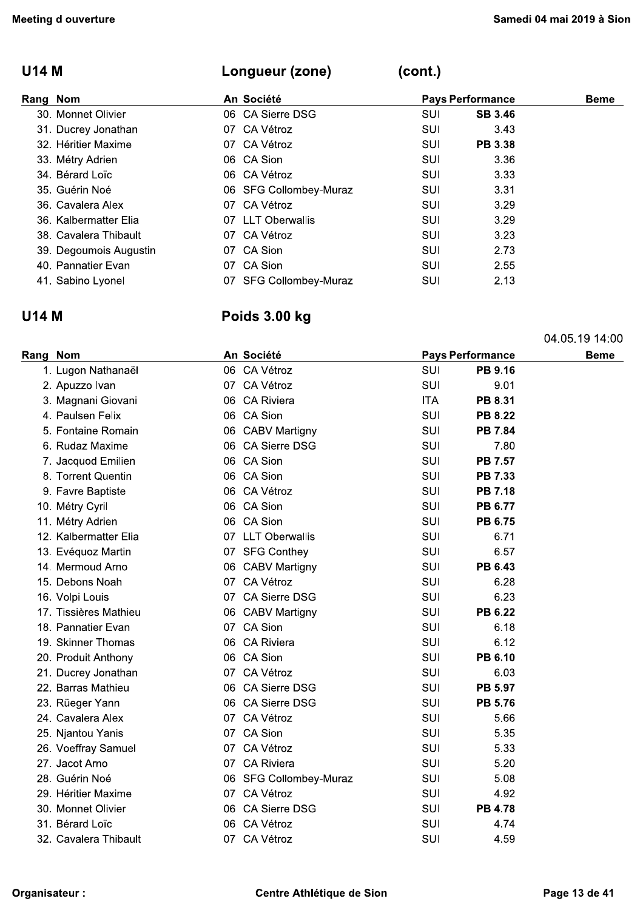04.05.19 14:00

## **U14 M**

| Rang Nom               | An Société             |     | <b>Pays Performance</b> | <b>Beme</b> |
|------------------------|------------------------|-----|-------------------------|-------------|
| 30. Monnet Olivier     | 06 CA Sierre DSG       | SUI | <b>SB 3.46</b>          |             |
| 31. Ducrey Jonathan    | 07 CA Vétroz           | SUI | 3.43                    |             |
| 32. Héritier Maxime    | 07 CA Vétroz           | SUI | <b>PB 3.38</b>          |             |
| 33. Métry Adrien       | 06 CA Sion             | SUI | 3.36                    |             |
| 34. Bérard Loïc        | 06 CA Vétroz           | SUI | 3.33                    |             |
| 35. Guérin Noé         | 06 SFG Collombey-Muraz | SUI | 3.31                    |             |
| 36. Cavalera Alex      | 07 CA Vétroz           | SUI | 3.29                    |             |
| 36. Kalbermatter Elia  | 07 LLT Oberwallis      | SUI | 3.29                    |             |
| 38. Cavalera Thibault  | 07 CA Vétroz           | SUI | 3.23                    |             |
| 39. Degoumois Augustin | 07 CA Sion             | SUI | 2.73                    |             |
| 40. Pannatier Evan     | CA Sion<br>07          | SUI | 2.55                    |             |
| 41. Sabino Lyonel      | 07 SFG Collombey-Muraz | SUI | 2.13                    |             |

 $(cont.)$ 

## **U14 M**

## Poids 3.00 kg

Longueur (zone)

| An Société<br><b>Pays Performance</b><br>Rang Nom |    |                        | <b>Beme</b> |                |  |
|---------------------------------------------------|----|------------------------|-------------|----------------|--|
| 1. Lugon Nathanaël                                |    | 06 CA Vétroz           | SUI         | PB 9.16        |  |
| 2. Apuzzo Ivan                                    |    | 07 CA Vétroz           | SUI         | 9.01           |  |
| 3. Magnani Giovani                                |    | 06 CA Riviera          | ITA.        | PB 8.31        |  |
| 4. Paulsen Felix                                  |    | 06 CA Sion             | SUI         | <b>PB 8.22</b> |  |
| 5. Fontaine Romain                                |    | 06 CABV Martigny       | SUI         | <b>PB 7.84</b> |  |
| 6. Rudaz Maxime                                   |    | 06 CA Sierre DSG       | SUI         | 7.80           |  |
| 7. Jacquod Emilien                                |    | 06 CA Sion             | SUI         | <b>PB 7.57</b> |  |
| 8. Torrent Quentin                                |    | 06 CA Sion             | SUI         | <b>PB 7.33</b> |  |
| 9. Favre Baptiste                                 |    | 06 CA Vétroz           | SUI         | <b>PB 7.18</b> |  |
| 10. Métry Cyril                                   |    | 06 CA Sion             | SUI         | <b>PB 6.77</b> |  |
| 11. Métry Adrien                                  |    | 06 CA Sion             | SUI         | <b>PB 6.75</b> |  |
| 12. Kalbermatter Elia                             |    | 07 LLT Oberwallis      | SUI         | 6.71           |  |
| 13. Evéquoz Martin                                |    | 07 SFG Conthey         | SUI         | 6.57           |  |
| 14. Mermoud Arno                                  |    | 06 CABV Martigny       | SUI         | PB 6.43        |  |
| 15. Debons Noah                                   |    | 07 CA Vétroz           | SUI         | 6.28           |  |
| 16. Volpi Louis                                   |    | 07 CA Sierre DSG       | SUI         | 6.23           |  |
| 17. Tissières Mathieu                             |    | 06 CABV Martigny       | SUI         | PB 6.22        |  |
| 18. Pannatier Evan                                |    | 07 CA Sion             | SUI         | 6.18           |  |
| 19. Skinner Thomas                                |    | 06 CA Riviera          | SUI         | 6.12           |  |
| 20. Produit Anthony                               |    | 06 CA Sion             | SUI         | PB 6.10        |  |
| 21. Ducrey Jonathan                               |    | 07 CA Vétroz           | SUI         | 6.03           |  |
| 22. Barras Mathieu                                |    | 06 CA Sierre DSG       | SUI         | PB 5.97        |  |
| 23. Rüeger Yann                                   |    | 06 CA Sierre DSG       | SUI         | <b>PB 5.76</b> |  |
| 24. Cavalera Alex                                 |    | 07 CA Vétroz           | SUI         | 5.66           |  |
| 25. Njantou Yanis                                 | 07 | CA Sion                | SUI         | 5.35           |  |
| 26. Voeffray Samuel                               |    | 07 CA Vétroz           | SUI         | 5.33           |  |
| 27. Jacot Arno                                    |    | 07 CA Riviera          | SUI         | 5.20           |  |
| 28. Guérin Noé                                    |    | 06 SFG Collombey-Muraz | SUI         | 5.08           |  |
| 29. Héritier Maxime                               |    | 07 CA Vétroz           | SUI         | 4.92           |  |
| 30. Monnet Olivier                                |    | 06 CA Sierre DSG       | SUI         | <b>PB 4.78</b> |  |
| 31. Bérard Loïc                                   |    | 06 CA Vétroz           | SUI         | 4.74           |  |
| 32. Cavalera Thibault                             |    | 07 CA Vétroz           | SUI         | 4.59           |  |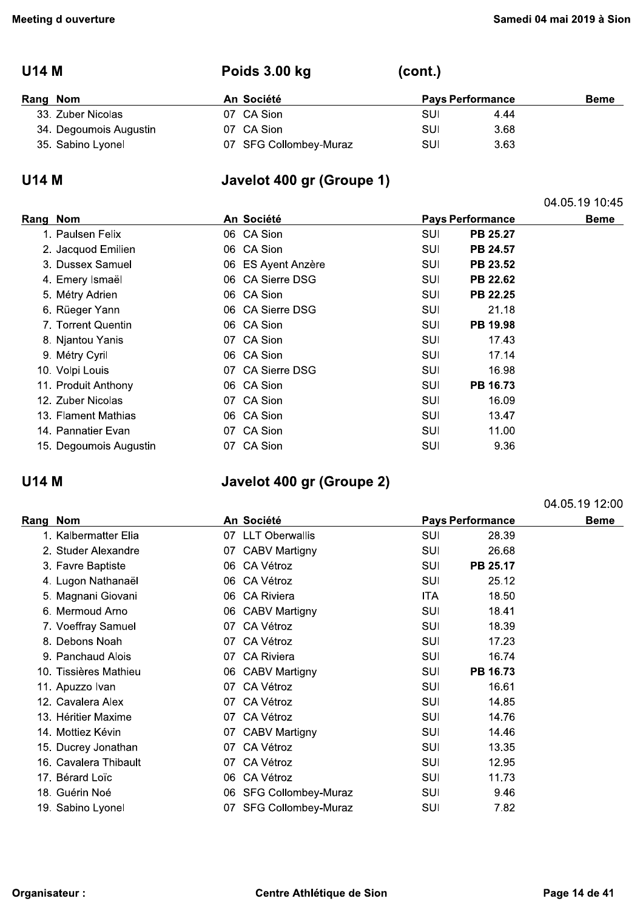04.05.19 10:45

04.05.19 12:00

## **U14 M**

| Rang Nom               | An Société |                        | <b>Pays Performance</b> | Beme |  |
|------------------------|------------|------------------------|-------------------------|------|--|
| 33. Zuber Nicolas      | 07 CA Sion |                        | SUI                     | 4.44 |  |
| 34. Degoumois Augustin | 07 CA Sion |                        | SUI                     | 3.68 |  |
| 35. Sabino Lyonel      |            | 07 SFG Collombey-Muraz | SUI                     | 3.63 |  |

(cont.)

### **U14 M**

## Javelot 400 gr (Groupe 1)

Poids 3.00 kg

| Rang Nom               | An Société         | <b>Pays Performance</b>       | Beme |
|------------------------|--------------------|-------------------------------|------|
| 1. Paulsen Felix       | 06 CA Sion         | SUI<br><b>PB 25.27</b>        |      |
| 2. Jacquod Emilien     | 06 CA Sion         | SUI<br><b>PB 24.57</b>        |      |
| 3. Dussex Samuel       | 06 ES Ayent Anzère | PB 23.52<br>SUI               |      |
| 4. Emery Ismaël        | 06 CA Sierre DSG   | SUI<br>PB 22.62               |      |
| 5. Métry Adrien        | 06 CA Sion         | <b>SUI</b><br><b>PB 22.25</b> |      |
| 6. Rüeger Yann         | 06 CA Sierre DSG   | SUI<br>21.18                  |      |
| 7. Torrent Quentin     | 06 CA Sion         | SUI<br>PB 19.98               |      |
| 8. Njantou Yanis       | 07 CA Sion         | SUI<br>17.43                  |      |
| 9. Métry Cyril         | 06 CA Sion         | 17.14<br>SUI                  |      |
| 10. Volpi Louis        | 07 CA Sierre DSG   | SUI<br>16.98                  |      |
| 11. Produit Anthony    | 06 CA Sion         | <b>SUI</b><br>PB 16.73        |      |
| 12. Zuber Nicolas      | 07 CA Sion         | SUI<br>16.09                  |      |
| 13. Flament Mathias    | 06 CA Sion         | SUI<br>13.47                  |      |
| 14. Pannatier Evan     | 07 CA Sion         | 11.00<br>SUI                  |      |
| 15. Degoumois Augustin | 07 CA Sion         | 9.36<br>SUI                   |      |

## **U14 M**

## Javelot 400 gr (Groupe 2)

| ang Nom               |     | An Société                 |            | <b>Pays Performance</b> | <b>Beme</b> |
|-----------------------|-----|----------------------------|------------|-------------------------|-------------|
| 1. Kalbermatter Elia  | 07  | <b>LLT Oberwallis</b>      | <b>SUI</b> | 28.39                   |             |
| 2. Studer Alexandre   | 07  | <b>CABV Martigny</b>       | <b>SUI</b> | 26.68                   |             |
| 3. Favre Baptiste     | 06. | CA Vétroz                  | <b>SUI</b> | PB 25.17                |             |
| 4. Lugon Nathanaël    | 06. | CA Vétroz                  | SUI        | 25.12                   |             |
| 5. Magnani Giovani    | 06  | <b>CA Riviera</b>          | ITA.       | 18.50                   |             |
| 6. Mermoud Arno       | 06. | <b>CABV Martigny</b>       | SUI        | 18.41                   |             |
| 7. Voeffray Samuel    | 07  | CA Vétroz                  | SUI        | 18.39                   |             |
| 8. Debons Noah        | 07  | CA Vétroz                  | <b>SUI</b> | 17.23                   |             |
| 9. Panchaud Alois     | 07  | <b>CA Riviera</b>          | SUI        | 16.74                   |             |
| 10. Tissières Mathieu |     | 06 CABV Martigny           | <b>SUI</b> | PB 16.73                |             |
| 11. Apuzzo Ivan       | 07  | CA Vétroz                  | <b>SUI</b> | 16.61                   |             |
| 12. Cavalera Alex     | 07  | CA Vétroz                  | SUI        | 14.85                   |             |
| 13. Héritier Maxime   | 07  | CA Vétroz                  | <b>SUI</b> | 14.76                   |             |
| 14. Mottiez Kévin     | 07  | CABV Martigny              | <b>SUI</b> | 14.46                   |             |
| 15. Ducrey Jonathan   | 07  | CA Vétroz                  | SUI        | 13.35                   |             |
| 16. Cavalera Thibault | 07  | CA Vétroz                  | SUI        | 12.95                   |             |
| 17. Bérard Loïc       | 06  | CA Vétroz                  | <b>SUI</b> | 11.73                   |             |
| 18. Guérin Noé        | 06  | <b>SFG Collombey-Muraz</b> | <b>SUI</b> | 9.46                    |             |
| 19. Sabino Lyonel     | 07  | <b>SFG Collombey-Muraz</b> | SUI        | 7.82                    |             |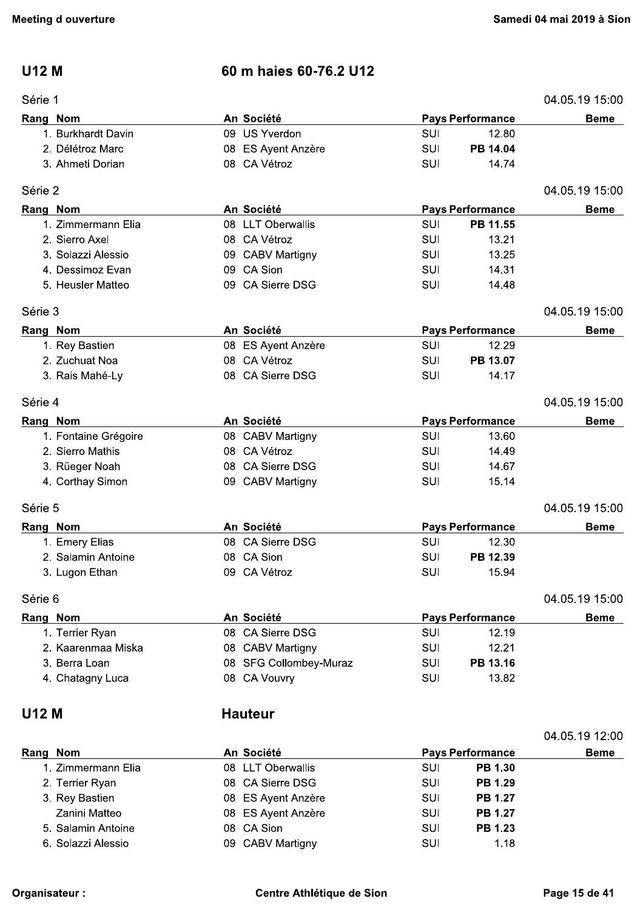### **U12 M**

| er⊪ |  |
|-----|--|
|     |  |

## 60 m haies 60-76.2 U12

| An Société<br>Rang Nom<br><b>Pays Performance</b><br>09 US Yverdon<br><b>SUI</b><br>12.80<br>1. Burkhardt Davin<br>2. Délétroz Marc<br>PB 14.04<br><b>SUI</b><br>08 ES Ayent Anzère<br>08 CA Vétroz<br>3. Ahmeti Dorian<br><b>SUI</b><br>14.74<br>Série 2<br>An Société<br><b>Pays Performance</b><br>Rang Nom<br>08 LLT Oberwallis<br><b>SUI</b><br>PB 11.55<br>1. Zimmermann Elia<br>2. Sierro Axel<br>08 CA Vétroz<br><b>SUI</b><br>13.21<br>3. Solazzi Alessio<br>SUI<br>13.25<br>09 CABV Martigny<br>09 CA Sion<br>4. Dessimoz Evan<br>14.31<br><b>SUI</b><br>09 CA Sierre DSG<br>5. Heusler Matteo<br>SUI<br>14.48<br>Série 3<br>An Société<br><b>Pays Performance</b><br>Rang Nom<br>12.29<br><b>SUI</b><br>1. Rey Bastien<br>08 ES Ayent Anzère<br>08 CA Vétroz<br>2. Zuchuat Noa<br>SUI<br>PB 13.07<br>08 CA Sierre DSG<br>3. Rais Mahé-Ly<br><b>SUI</b><br>14.17<br>Série 4<br>An Société<br><b>Pays Performance</b><br>Rang Nom<br><b>SUI</b><br>1. Fontaine Grégoire<br>13.60<br>08 CABV Martigny<br>2. Sierro Mathis<br>08 CA Vétroz<br><b>SUI</b><br>14.49<br>08 CA Sierre DSG<br>3. Rüeger Noah<br><b>SUI</b><br>14.67<br><b>SUI</b><br>4. Corthay Simon<br>09 CABV Martigny<br>15.14<br>Série 5<br>An Société<br>Rang Nom<br><b>Pays Performance</b><br>08 CA Sierre DSG<br><b>SUI</b><br>12.30<br>1. Emery Elias<br>08 CA Sion<br>2. Salamin Antoine<br>SUI<br>PB 12.39<br>09 CA Vétroz<br>SUI<br>15.94<br>3. Lugon Ethan<br>Série 6<br>An Société<br>Rang Nom<br><b>Pays Performance</b><br>1. Terrier Ryan<br>08 CA Sierre DSG<br><b>SUI</b><br>12.19<br>2. Kaarenmaa Miska<br>SUI<br>12.21<br>08 CABV Martigny<br>3. Berra Loan<br>08 SFG Collombey-Muraz<br>PB 13.16<br><b>SUI</b><br>08 CA Vouvry<br>13.82<br>4. Chatagny Luca<br>SUI | Série 1 |  |  | 04.05.19 15:00 |
|-------------------------------------------------------------------------------------------------------------------------------------------------------------------------------------------------------------------------------------------------------------------------------------------------------------------------------------------------------------------------------------------------------------------------------------------------------------------------------------------------------------------------------------------------------------------------------------------------------------------------------------------------------------------------------------------------------------------------------------------------------------------------------------------------------------------------------------------------------------------------------------------------------------------------------------------------------------------------------------------------------------------------------------------------------------------------------------------------------------------------------------------------------------------------------------------------------------------------------------------------------------------------------------------------------------------------------------------------------------------------------------------------------------------------------------------------------------------------------------------------------------------------------------------------------------------------------------------------------------------------------------------------------------------------------------------------------------------------------------------------------------|---------|--|--|----------------|
|                                                                                                                                                                                                                                                                                                                                                                                                                                                                                                                                                                                                                                                                                                                                                                                                                                                                                                                                                                                                                                                                                                                                                                                                                                                                                                                                                                                                                                                                                                                                                                                                                                                                                                                                                             |         |  |  | <b>Beme</b>    |
|                                                                                                                                                                                                                                                                                                                                                                                                                                                                                                                                                                                                                                                                                                                                                                                                                                                                                                                                                                                                                                                                                                                                                                                                                                                                                                                                                                                                                                                                                                                                                                                                                                                                                                                                                             |         |  |  |                |
|                                                                                                                                                                                                                                                                                                                                                                                                                                                                                                                                                                                                                                                                                                                                                                                                                                                                                                                                                                                                                                                                                                                                                                                                                                                                                                                                                                                                                                                                                                                                                                                                                                                                                                                                                             |         |  |  |                |
|                                                                                                                                                                                                                                                                                                                                                                                                                                                                                                                                                                                                                                                                                                                                                                                                                                                                                                                                                                                                                                                                                                                                                                                                                                                                                                                                                                                                                                                                                                                                                                                                                                                                                                                                                             |         |  |  |                |
|                                                                                                                                                                                                                                                                                                                                                                                                                                                                                                                                                                                                                                                                                                                                                                                                                                                                                                                                                                                                                                                                                                                                                                                                                                                                                                                                                                                                                                                                                                                                                                                                                                                                                                                                                             |         |  |  | 04.05.19 15:00 |
|                                                                                                                                                                                                                                                                                                                                                                                                                                                                                                                                                                                                                                                                                                                                                                                                                                                                                                                                                                                                                                                                                                                                                                                                                                                                                                                                                                                                                                                                                                                                                                                                                                                                                                                                                             |         |  |  | <b>Beme</b>    |
|                                                                                                                                                                                                                                                                                                                                                                                                                                                                                                                                                                                                                                                                                                                                                                                                                                                                                                                                                                                                                                                                                                                                                                                                                                                                                                                                                                                                                                                                                                                                                                                                                                                                                                                                                             |         |  |  |                |
|                                                                                                                                                                                                                                                                                                                                                                                                                                                                                                                                                                                                                                                                                                                                                                                                                                                                                                                                                                                                                                                                                                                                                                                                                                                                                                                                                                                                                                                                                                                                                                                                                                                                                                                                                             |         |  |  |                |
|                                                                                                                                                                                                                                                                                                                                                                                                                                                                                                                                                                                                                                                                                                                                                                                                                                                                                                                                                                                                                                                                                                                                                                                                                                                                                                                                                                                                                                                                                                                                                                                                                                                                                                                                                             |         |  |  |                |
|                                                                                                                                                                                                                                                                                                                                                                                                                                                                                                                                                                                                                                                                                                                                                                                                                                                                                                                                                                                                                                                                                                                                                                                                                                                                                                                                                                                                                                                                                                                                                                                                                                                                                                                                                             |         |  |  |                |
|                                                                                                                                                                                                                                                                                                                                                                                                                                                                                                                                                                                                                                                                                                                                                                                                                                                                                                                                                                                                                                                                                                                                                                                                                                                                                                                                                                                                                                                                                                                                                                                                                                                                                                                                                             |         |  |  |                |
|                                                                                                                                                                                                                                                                                                                                                                                                                                                                                                                                                                                                                                                                                                                                                                                                                                                                                                                                                                                                                                                                                                                                                                                                                                                                                                                                                                                                                                                                                                                                                                                                                                                                                                                                                             |         |  |  | 04.05.19 15:00 |
|                                                                                                                                                                                                                                                                                                                                                                                                                                                                                                                                                                                                                                                                                                                                                                                                                                                                                                                                                                                                                                                                                                                                                                                                                                                                                                                                                                                                                                                                                                                                                                                                                                                                                                                                                             |         |  |  | <b>Beme</b>    |
|                                                                                                                                                                                                                                                                                                                                                                                                                                                                                                                                                                                                                                                                                                                                                                                                                                                                                                                                                                                                                                                                                                                                                                                                                                                                                                                                                                                                                                                                                                                                                                                                                                                                                                                                                             |         |  |  |                |
|                                                                                                                                                                                                                                                                                                                                                                                                                                                                                                                                                                                                                                                                                                                                                                                                                                                                                                                                                                                                                                                                                                                                                                                                                                                                                                                                                                                                                                                                                                                                                                                                                                                                                                                                                             |         |  |  |                |
|                                                                                                                                                                                                                                                                                                                                                                                                                                                                                                                                                                                                                                                                                                                                                                                                                                                                                                                                                                                                                                                                                                                                                                                                                                                                                                                                                                                                                                                                                                                                                                                                                                                                                                                                                             |         |  |  |                |
|                                                                                                                                                                                                                                                                                                                                                                                                                                                                                                                                                                                                                                                                                                                                                                                                                                                                                                                                                                                                                                                                                                                                                                                                                                                                                                                                                                                                                                                                                                                                                                                                                                                                                                                                                             |         |  |  | 04.05.19 15:00 |
|                                                                                                                                                                                                                                                                                                                                                                                                                                                                                                                                                                                                                                                                                                                                                                                                                                                                                                                                                                                                                                                                                                                                                                                                                                                                                                                                                                                                                                                                                                                                                                                                                                                                                                                                                             |         |  |  | <b>Beme</b>    |
|                                                                                                                                                                                                                                                                                                                                                                                                                                                                                                                                                                                                                                                                                                                                                                                                                                                                                                                                                                                                                                                                                                                                                                                                                                                                                                                                                                                                                                                                                                                                                                                                                                                                                                                                                             |         |  |  |                |
|                                                                                                                                                                                                                                                                                                                                                                                                                                                                                                                                                                                                                                                                                                                                                                                                                                                                                                                                                                                                                                                                                                                                                                                                                                                                                                                                                                                                                                                                                                                                                                                                                                                                                                                                                             |         |  |  |                |
|                                                                                                                                                                                                                                                                                                                                                                                                                                                                                                                                                                                                                                                                                                                                                                                                                                                                                                                                                                                                                                                                                                                                                                                                                                                                                                                                                                                                                                                                                                                                                                                                                                                                                                                                                             |         |  |  |                |
|                                                                                                                                                                                                                                                                                                                                                                                                                                                                                                                                                                                                                                                                                                                                                                                                                                                                                                                                                                                                                                                                                                                                                                                                                                                                                                                                                                                                                                                                                                                                                                                                                                                                                                                                                             |         |  |  |                |
|                                                                                                                                                                                                                                                                                                                                                                                                                                                                                                                                                                                                                                                                                                                                                                                                                                                                                                                                                                                                                                                                                                                                                                                                                                                                                                                                                                                                                                                                                                                                                                                                                                                                                                                                                             |         |  |  | 04.05.19 15:00 |
|                                                                                                                                                                                                                                                                                                                                                                                                                                                                                                                                                                                                                                                                                                                                                                                                                                                                                                                                                                                                                                                                                                                                                                                                                                                                                                                                                                                                                                                                                                                                                                                                                                                                                                                                                             |         |  |  | <b>Beme</b>    |
|                                                                                                                                                                                                                                                                                                                                                                                                                                                                                                                                                                                                                                                                                                                                                                                                                                                                                                                                                                                                                                                                                                                                                                                                                                                                                                                                                                                                                                                                                                                                                                                                                                                                                                                                                             |         |  |  |                |
|                                                                                                                                                                                                                                                                                                                                                                                                                                                                                                                                                                                                                                                                                                                                                                                                                                                                                                                                                                                                                                                                                                                                                                                                                                                                                                                                                                                                                                                                                                                                                                                                                                                                                                                                                             |         |  |  |                |
|                                                                                                                                                                                                                                                                                                                                                                                                                                                                                                                                                                                                                                                                                                                                                                                                                                                                                                                                                                                                                                                                                                                                                                                                                                                                                                                                                                                                                                                                                                                                                                                                                                                                                                                                                             |         |  |  |                |
|                                                                                                                                                                                                                                                                                                                                                                                                                                                                                                                                                                                                                                                                                                                                                                                                                                                                                                                                                                                                                                                                                                                                                                                                                                                                                                                                                                                                                                                                                                                                                                                                                                                                                                                                                             |         |  |  | 04.05.19 15:00 |
|                                                                                                                                                                                                                                                                                                                                                                                                                                                                                                                                                                                                                                                                                                                                                                                                                                                                                                                                                                                                                                                                                                                                                                                                                                                                                                                                                                                                                                                                                                                                                                                                                                                                                                                                                             |         |  |  | <b>Beme</b>    |
|                                                                                                                                                                                                                                                                                                                                                                                                                                                                                                                                                                                                                                                                                                                                                                                                                                                                                                                                                                                                                                                                                                                                                                                                                                                                                                                                                                                                                                                                                                                                                                                                                                                                                                                                                             |         |  |  |                |
|                                                                                                                                                                                                                                                                                                                                                                                                                                                                                                                                                                                                                                                                                                                                                                                                                                                                                                                                                                                                                                                                                                                                                                                                                                                                                                                                                                                                                                                                                                                                                                                                                                                                                                                                                             |         |  |  |                |
|                                                                                                                                                                                                                                                                                                                                                                                                                                                                                                                                                                                                                                                                                                                                                                                                                                                                                                                                                                                                                                                                                                                                                                                                                                                                                                                                                                                                                                                                                                                                                                                                                                                                                                                                                             |         |  |  |                |
|                                                                                                                                                                                                                                                                                                                                                                                                                                                                                                                                                                                                                                                                                                                                                                                                                                                                                                                                                                                                                                                                                                                                                                                                                                                                                                                                                                                                                                                                                                                                                                                                                                                                                                                                                             |         |  |  |                |
| <b>Hauteur</b>                                                                                                                                                                                                                                                                                                                                                                                                                                                                                                                                                                                                                                                                                                                                                                                                                                                                                                                                                                                                                                                                                                                                                                                                                                                                                                                                                                                                                                                                                                                                                                                                                                                                                                                                              | U12 M   |  |  |                |

|                    |            |                    |                         |                | 04.05.19 12:00 |
|--------------------|------------|--------------------|-------------------------|----------------|----------------|
| Rang Nom           | An Société |                    | <b>Pays Performance</b> |                | <b>Beme</b>    |
| 1. Zimmermann Elia |            | 08 LLT Oberwallis  | SUI                     | <b>PB 1.30</b> |                |
| 2. Terrier Ryan    |            | 08 CA Sierre DSG   | SUI                     | <b>PB 1.29</b> |                |
| 3. Rey Bastien     |            | 08 ES Ayent Anzère | SUI                     | <b>PB 1.27</b> |                |
| Zanini Matteo      |            | 08 ES Ayent Anzère | SUI                     | <b>PB 1.27</b> |                |
| 5. Salamin Antoine |            | 08 CA Sion         | SUI                     | <b>PB 1.23</b> |                |
| 6. Solazzi Alessio |            | 09 CABV Martigny   | SUI                     | 1.18           |                |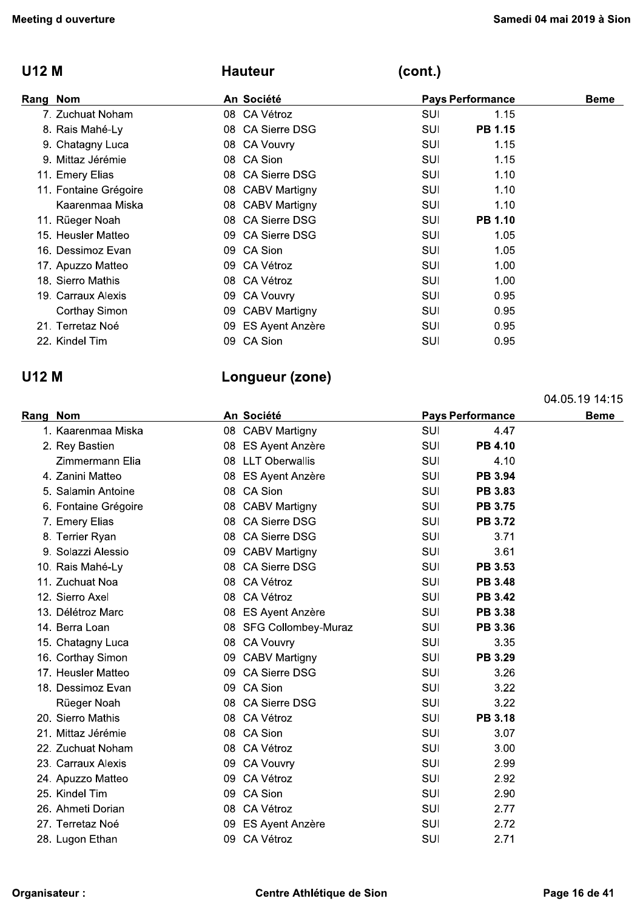| <b>U12 M</b>          | <b>Hauteur</b>              | (cont.)                 |             |
|-----------------------|-----------------------------|-------------------------|-------------|
| Rang Nom              | An Société                  | <b>Pays Performance</b> | <b>Beme</b> |
| 7. Zuchuat Noham      | 08 CA Vétroz                | 1.15<br>SUI             |             |
| 8. Rais Mahé-Ly       | 08 CA Sierre DSG            | PB 1.15<br>SUI          |             |
| 9. Chatagny Luca      | 08 CA Vouvry                | SUI<br>1.15             |             |
| 9. Mittaz Jérémie     | 08 CA Sion                  | 1.15<br>SUI             |             |
| 11. Emery Elias       | 08 CA Sierre DSG            | SUI<br>1.10             |             |
| 11. Fontaine Grégoire | 08 CABV Martigny            | 1.10<br>SUI             |             |
| Kaarenmaa Miska       | 08 CABV Martigny            | 1.10<br>SUI             |             |
| 11. Rüeger Noah       | CA Sierre DSG<br>08         | PB 1.10<br>SUI          |             |
| 15. Heusler Matteo    | <b>CA Sierre DSG</b><br>09. | SUI<br>1.05             |             |
| 16. Dessimoz Evan     | CA Sion<br>09.              | SUI<br>1.05             |             |
| 17. Apuzzo Matteo     | CA Vétroz<br>09             | SUI<br>1.00             |             |
| 18. Sierro Mathis     | CA Vétroz<br>08.            | SUI<br>1.00             |             |
| 19. Carraux Alexis    | CA Vouvry<br>09.            | SUI<br>0.95             |             |
| Corthay Simon         | <b>CABV Martigny</b><br>09. | 0.95<br>SUI             |             |
| 21. Terretaz Noé      | ES Ayent Anzère<br>09       | SUI<br>0.95             |             |
| 22. Kindel Tim        | CA Sion<br>09               | SUI<br>0.95             |             |

## **U12 M**

## Longueur (zone)

|          |                      |    |                        |            |                         | 04.05.19 14:15 |
|----------|----------------------|----|------------------------|------------|-------------------------|----------------|
| Rang Nom |                      |    | An Société             |            | <b>Pays Performance</b> | <b>Beme</b>    |
|          | 1. Kaarenmaa Miska   |    | 08 CABV Martigny       | SUI        | 4.47                    |                |
|          | 2. Rey Bastien       |    | 08 ES Ayent Anzère     | SUI        | <b>PB 4.10</b>          |                |
|          | Zimmermann Elia      |    | 08 LLT Oberwallis      | SUI        | 4.10                    |                |
|          | 4. Zanini Matteo     | 08 | ES Ayent Anzère        | <b>SUI</b> | PB 3.94                 |                |
|          | 5. Salamin Antoine   |    | 08 CA Sion             | <b>SUI</b> | <b>PB 3.83</b>          |                |
|          | 6. Fontaine Grégoire |    | 08 CABV Martigny       | <b>SUI</b> | <b>PB 3.75</b>          |                |
|          | 7. Emery Elias       |    | 08 CA Sierre DSG       | <b>SUI</b> | <b>PB 3.72</b>          |                |
|          | 8. Terrier Ryan      |    | 08 CA Sierre DSG       | <b>SUI</b> | 3.71                    |                |
|          | 9. Solazzi Alessio   | 09 | <b>CABV Martigny</b>   | <b>SUI</b> | 3.61                    |                |
|          | 10. Rais Mahé-Ly     |    | 08 CA Sierre DSG       | <b>SUI</b> | PB 3.53                 |                |
|          | 11. Zuchuat Noa      |    | 08 CA Vétroz           | <b>SUI</b> | <b>PB 3.48</b>          |                |
|          | 12. Sierro Axel      |    | 08 CA Vétroz           | SUI        | <b>PB 3.42</b>          |                |
|          | 13. Délétroz Marc    | 08 | ES Ayent Anzère        | <b>SUI</b> | PB 3.38                 |                |
|          | 14. Berra Loan       |    | 08 SFG Collombey-Muraz | SUI        | PB 3.36                 |                |
|          | 15. Chatagny Luca    | 08 | <b>CA Vouvry</b>       | SUI        | 3.35                    |                |
|          | 16. Corthay Simon    | 09 | <b>CABV Martigny</b>   | <b>SUI</b> | PB 3.29                 |                |
|          | 17. Heusler Matteo   | 09 | <b>CA Sierre DSG</b>   | <b>SUI</b> | 3.26                    |                |
|          | 18. Dessimoz Evan    | 09 | CA Sion                | <b>SUI</b> | 3.22                    |                |
|          | Rüeger Noah          |    | 08 CA Sierre DSG       | <b>SUI</b> | 3.22                    |                |
|          | 20. Sierro Mathis    |    | 08 CA Vétroz           | SUI        | <b>PB 3.18</b>          |                |
|          | 21. Mittaz Jérémie   |    | 08 CA Sion             | <b>SUI</b> | 3.07                    |                |
|          | 22. Zuchuat Noham    |    | 08 CA Vétroz           | SUI        | 3.00                    |                |
|          | 23. Carraux Alexis   |    | 09 CA Vouvry           | SUI        | 2.99                    |                |
|          | 24. Apuzzo Matteo    | 09 | CA Vétroz              | SUI        | 2.92                    |                |
|          | 25. Kindel Tim       | 09 | CA Sion                | <b>SUI</b> | 2.90                    |                |
|          | 26. Ahmeti Dorian    | 08 | CA Vétroz              | SUI        | 2.77                    |                |
|          | 27. Terretaz Noé     | 09 | <b>ES Ayent Anzère</b> | SUI        | 2.72                    |                |
|          | 28. Lugon Ethan      | 09 | CA Vétroz              | SUI        | 2.71                    |                |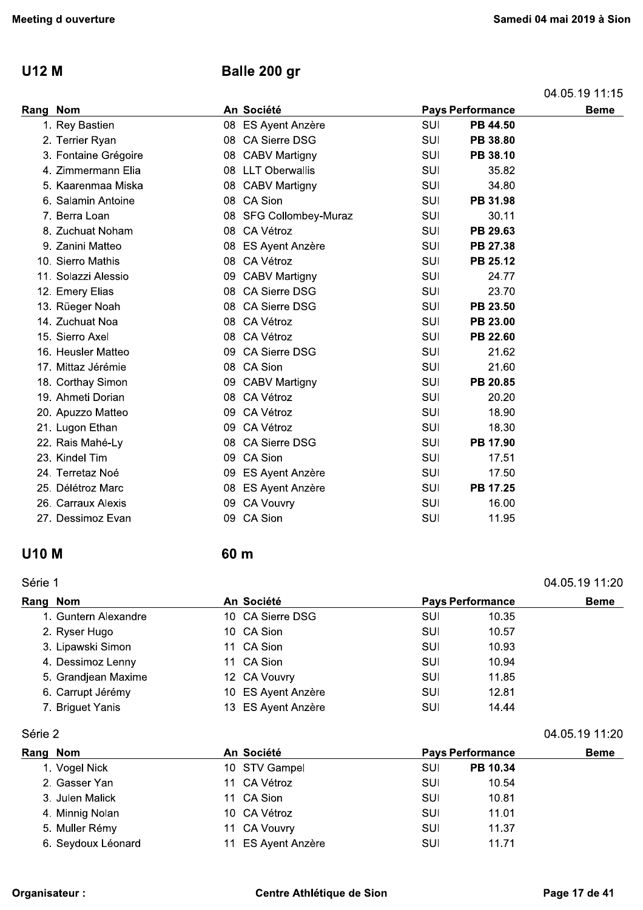#### **U12 M**

## Balle 200 gr

| 04.05.19 11.15 |  |
|----------------|--|
|----------------|--|

| Rang Nom             |    | An Société             |            | <b>Pays Performance</b> | <b>Beme</b> |
|----------------------|----|------------------------|------------|-------------------------|-------------|
| 1. Rey Bastien       | 08 | <b>ES Ayent Anzère</b> | <b>SUI</b> | PB 44.50                |             |
| 2. Terrier Ryan      | 08 | <b>CA Sierre DSG</b>   | SUI        | PB 38.80                |             |
| 3. Fontaine Grégoire |    | 08 CABV Martigny       | SUI        | PB 38.10                |             |
| 4. Zimmermann Elia   | 08 | <b>LLT Oberwallis</b>  | SUI        | 35.82                   |             |
| 5. Kaarenmaa Miska   |    | 08 CABV Martigny       | SUI        | 34.80                   |             |
| 6. Salamin Antoine   |    | 08 CA Sion             | SUI        | PB 31.98                |             |
| 7. Berra Loan        | 08 | SFG Collombey-Muraz    | SUI        | 30.11                   |             |
| 8. Zuchuat Noham     | 08 | CA Vétroz              | SUI        | PB 29.63                |             |
| 9. Zanini Matteo     | 08 | <b>ES Ayent Anzère</b> | SUI        | PB 27.38                |             |
| 10. Sierro Mathis    | 08 | CA Vétroz              | SUI        | PB 25.12                |             |
| 11. Solazzi Alessio  | 09 | <b>CABV Martigny</b>   | SUI        | 24.77                   |             |
| 12. Emery Elias      |    | 08 CA Sierre DSG       | <b>SUI</b> | 23.70                   |             |
| 13. Rüeger Noah      | 08 | <b>CA Sierre DSG</b>   | SUI        | PB 23.50                |             |
| 14. Zuchuat Noa      | 08 | CA Vétroz              | SUI        | PB 23.00                |             |
| 15. Sierro Axel      |    | 08 CA Vétroz           | SUI        | PB 22.60                |             |
| 16. Heusler Matteo   | 09 | <b>CA Sierre DSG</b>   | SUI        | 21.62                   |             |
| 17. Mittaz Jérémie   | 08 | CA Sion                | SUI        | 21.60                   |             |
| 18. Corthay Simon    |    | 09 CABV Martigny       | <b>SUI</b> | PB 20.85                |             |
| 19. Ahmeti Dorian    | 08 | CA Vétroz              | SUI        | 20.20                   |             |
| 20. Apuzzo Matteo    | 09 | CA Vétroz              | <b>SUI</b> | 18.90                   |             |
| 21. Lugon Ethan      | 09 | CA Vétroz              | <b>SUI</b> | 18.30                   |             |
| 22. Rais Mahé-Ly     | 08 | <b>CA Sierre DSG</b>   | SUI        | PB 17.90                |             |
| 23. Kindel Tim       | 09 | CA Sion                | SUI        | 17.51                   |             |
| 24. Terretaz Noé     | 09 | <b>ES Ayent Anzère</b> | SUI        | 17.50                   |             |
| 25. Délétroz Marc    | 08 | <b>ES Ayent Anzère</b> | SUI        | PB 17.25                |             |
| 26. Carraux Alexis   | 09 | <b>CA Vouvry</b>       | SUI        | 16.00                   |             |
| 27. Dessimoz Evan    | 09 | CA Sion                | SUI        | 11.95                   |             |

### **U10 M**

#### 60 m

#### Série 1

#### 04.05.19 11:20 Rome

| Rang Nom |                      | An Société         |     | <b>Pays Performance</b> |  |  |
|----------|----------------------|--------------------|-----|-------------------------|--|--|
|          | 1. Guntern Alexandre | 10 CA Sierre DSG   | SUI | 10.35                   |  |  |
|          | 2. Ryser Hugo        | 10 CA Sion         | SUI | 10.57                   |  |  |
|          | 3. Lipawski Simon    | 11 CA Sion         | SUI | 10.93                   |  |  |
|          | 4. Dessimoz Lenny    | 11 CA Sion         | SUI | 10.94                   |  |  |
|          | 5. Grandjean Maxime  | 12 CA Vouvry       | SUI | 11.85                   |  |  |
|          | 6. Carrupt Jérémy    | 10 ES Ayent Anzère | SUI | 12.81                   |  |  |
|          | 7. Briguet Yanis     | 13 ES Ayent Anzère | SUI | 14.44                   |  |  |

Série 2

| Rang Nom           | An Société         |     | <b>Pays Performance</b> |  |
|--------------------|--------------------|-----|-------------------------|--|
| 1. Vogel Nick      | 10 STV Gampel      | SUI | PB 10.34                |  |
| 2. Gasser Yan      | 11 CA Vétroz       | SUI | 10.54                   |  |
| 3. Julen Malick    | 11 CA Sion         | SUI | 10.81                   |  |
| 4. Minnig Nolan    | 10 CA Vétroz       | SUI | 11.01                   |  |
| 5. Muller Rémy     | 11 CA Vouvry       | SUI | 11.37                   |  |
| 6. Seydoux Léonard | 11 ES Ayent Anzère | SUI | 11.71                   |  |

04.05.19 11:20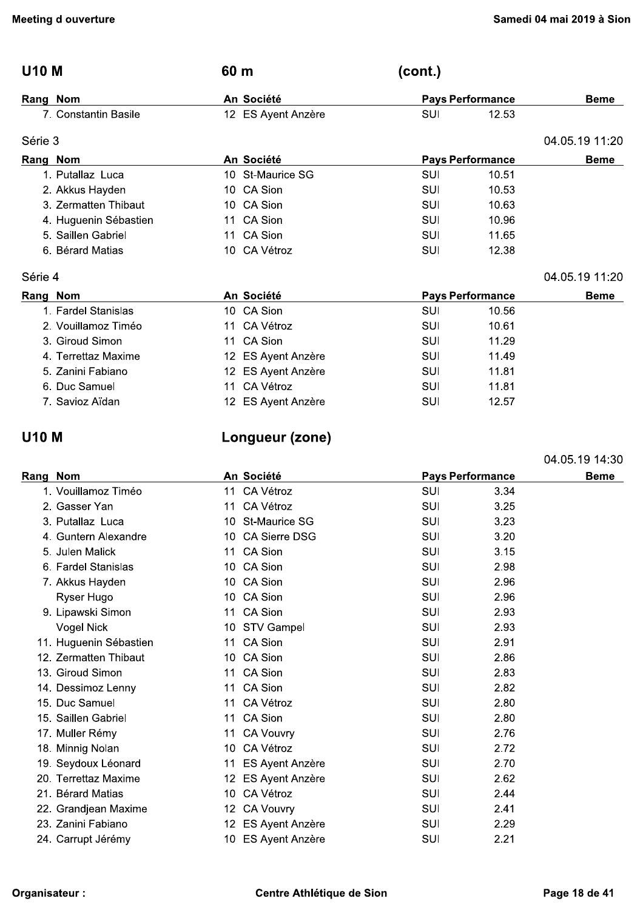| <b>Meeting d ouverture</b> |                       |      |                    | Samedi 04 mai 2019 à Sior |                         |                |
|----------------------------|-----------------------|------|--------------------|---------------------------|-------------------------|----------------|
| <b>U10 M</b>               |                       | 60 m |                    | (cont.)                   |                         |                |
|                            | Rang Nom              |      | An Société         |                           | <b>Pays Performance</b> | <b>Beme</b>    |
|                            | 7. Constantin Basile  |      | 12 ES Ayent Anzère | <b>SUI</b>                | 12.53                   |                |
| Série 3                    |                       |      |                    |                           |                         | 04.05.19 11:20 |
| Rang Nom                   |                       |      | An Société         |                           | <b>Pays Performance</b> | <b>Beme</b>    |
|                            | 1. Putallaz Luca      |      | 10 St-Maurice SG   | <b>SUI</b>                | 10.51                   |                |
|                            | 2. Akkus Hayden       |      | 10 CA Sion         | <b>SUI</b>                | 10.53                   |                |
|                            | 3. Zermatten Thibaut  |      | 10 CA Sion         | <b>SUI</b>                | 10.63                   |                |
|                            | 4. Huguenin Sébastien |      | 11 CA Sion         | <b>SUI</b>                | 10.96                   |                |
|                            | 5. Saillen Gabriel    |      | 11 CA Sion         | <b>SUI</b>                | 11.65                   |                |
|                            | 6. Bérard Matias      |      | 10 CA Vétroz       | SUI                       | 12.38                   |                |
| Série 4                    |                       |      |                    |                           |                         | 04.05.19 11:20 |
|                            | Rang Nom              |      | An Société         |                           | <b>Pays Performance</b> | <b>Beme</b>    |
|                            | 1. Fardel Stanislas   |      | 10 CA Sion         | <b>SUI</b>                | 10.56                   |                |
|                            | 2. Vouillamoz Timéo   |      | 11 CA Vétroz       | <b>SUI</b>                | 10.61                   |                |
|                            | 3. Giroud Simon       |      | 11 CA Sion         | <b>SUI</b>                | 11.29                   |                |
|                            | 4. Terrettaz Maxime   |      | 12 ES Ayent Anzère | <b>SUI</b>                | 11.49                   |                |
|                            | 5. Zanini Fabiano     |      | 12 ES Ayent Anzère | SUI                       | 11.81                   |                |
|                            | 6. Duc Samuel         |      | 11 CA Vétroz       | <b>SUI</b>                | 11.81                   |                |
|                            | 7. Savioz Aïdan       |      | 12 ES Ayent Anzère | <b>SUI</b>                | 12.57                   |                |
| <b>U10 M</b>               |                       |      | Longueur (zone)    |                           |                         |                |
|                            |                       |      |                    |                           |                         | 04.05.19 14:30 |
| Rang Nom                   |                       |      | An Société         |                           | <b>Pays Performance</b> | <b>Beme</b>    |
|                            | 1. Vouillamoz Timéo   |      | 11 CA Vétroz       | SUI                       | 3.34                    |                |
|                            | 2. Gasser Yan         |      | 11 CA Vétroz       | SUI                       | 3.25                    |                |

1. Cui. Ann March 1. Correction.<br>
1. Converticity of the Construction of the Construction of the Construction of the Constrainer of the Constrainer<br>
1. Constrainer Constrainer of the Construction of the Constrainer of the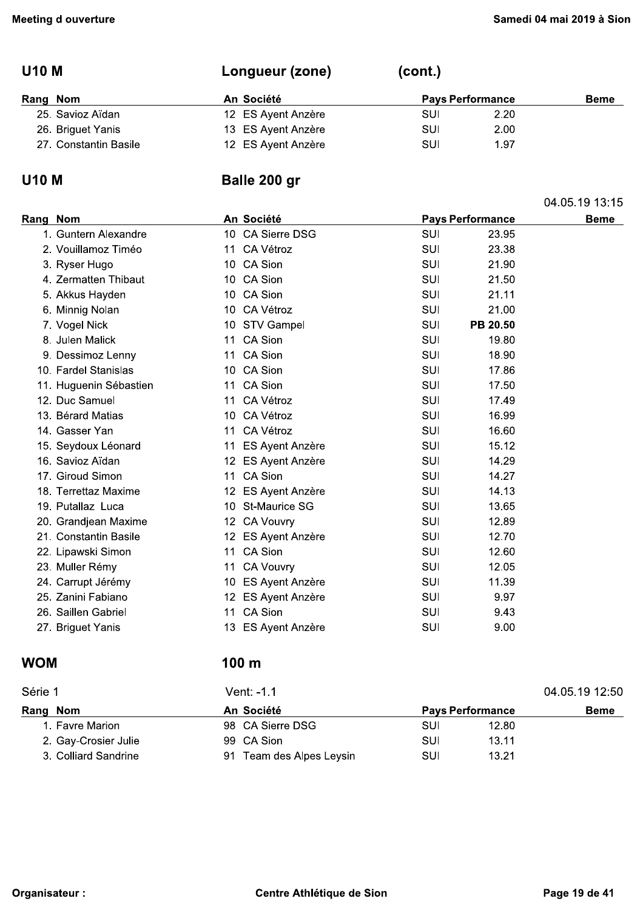## U10 M Longueur (zone) (

| (cont.) |  |  |
|---------|--|--|
|---------|--|--|

| Rang Nom |                       | An Société         | <b>Pays Performance</b> |      | <b>Beme</b> |
|----------|-----------------------|--------------------|-------------------------|------|-------------|
|          | 25. Savioz Aïdan      | 12 ES Ayent Anzère | SUI                     | 2.20 |             |
|          | 26. Briguet Yanis     | 13 ES Ayent Anzère | SUI                     | 2.00 |             |
|          | 27. Constantin Basile | 12 ES Ayent Anzère | SUI                     | 1.97 |             |

|                |                         | (cont.)    | Longueur (zone)                  | <b>U10 M</b>                             |
|----------------|-------------------------|------------|----------------------------------|------------------------------------------|
| <b>Beme</b>    | <b>Pays Performance</b> |            | An Société                       | Rang Nom                                 |
|                | 2.20                    | <b>SUI</b> | 12 ES Ayent Anzère               | 25. Savioz Aïdan                         |
|                | 2.00                    | SUI        | 13 ES Ayent Anzère               | 26. Briguet Yanis                        |
|                | 1.97                    | SUI        | 12 ES Ayent Anzère               | 27. Constantin Basile                    |
|                |                         |            | Balle 200 gr                     | <b>U10 M</b>                             |
| 04.05.19 13:15 |                         |            |                                  |                                          |
| <b>Beme</b>    | <b>Pays Performance</b> |            | An Société                       | Rang Nom                                 |
|                | 23.95                   | SUI        | 10 CA Sierre DSG                 | 1. Guntern Alexandre                     |
|                | 23.38                   | SUI        | 11 CA Vétroz                     | 2. Vouillamoz Timéo                      |
|                | 21.90                   | <b>SUI</b> | 10 CA Sion                       | 3. Ryser Hugo                            |
|                | 21.50                   | SUI        | 10 CA Sion                       | 4. Zermatten Thibaut                     |
|                | 21.11                   | SUI        | 10 CA Sion                       | 5. Akkus Hayden                          |
|                | 21.00                   | SUI        | 10 CA Vétroz                     | 6. Minnig Nolan                          |
|                | PB 20.50                | SUI        | 10 STV Gampel                    | 7. Vogel Nick                            |
|                | 19.80                   | SUI        | 11 CA Sion                       | 8. Julen Malick                          |
|                | 18.90                   | SUI        | 11 CA Sion                       | 9. Dessimoz Lenny                        |
|                | 17.86                   | SUI        | 10 CA Sion                       | 10. Fardel Stanislas                     |
|                | 17.50                   | SUI        | 11 CA Sion                       | 11. Huguenin Sébastien                   |
|                | 17.49                   | SUI        | 11 CA Vétroz                     | 12. Duc Samuel                           |
|                | 16.99                   | SUI        | 10 CA Vétroz                     | 13. Bérard Matias                        |
|                | 16.60                   | SUI        | 11 CA Vétroz                     | 14. Gasser Yan                           |
|                | 15.12                   | SUI        | 11 ES Ayent Anzère               | 15. Seydoux Léonard                      |
|                | 14.29                   | SUI        | 12 ES Ayent Anzère               | 16. Savioz Aïdan                         |
|                | 14.27                   | SUI        | 11 CA Sion                       | 17. Giroud Simon                         |
|                | 14.13                   | SUI        | 12 ES Ayent Anzère               | 18. Terrettaz Maxime                     |
|                | 13.65                   | SUI        | 10 St-Maurice SG                 | 19. Putallaz Luca                        |
|                | 12.89                   | SUI        | 12 CA Vouvry                     | 20. Grandjean Maxime                     |
|                | 12.70                   | SUI        | 12 ES Ayent Anzère               | 21. Constantin Basile                    |
|                | 12.60                   | SUI        | 11 CA Sion                       | 22. Lipawski Simon                       |
|                | 12.05                   | SUI        | 11 CA Vouvry                     | 23. Muller Rémy                          |
|                | 11.39<br>9.97           | SUI        | 10 ES Ayent Anzère               | 24. Carrupt Jérémy<br>25. Zanini Fabiano |
|                | 9.43                    | SUI        | 12 ES Ayent Anzère<br>11 CA Sion | 26. Saillen Gabriel                      |
|                |                         | SUI        |                                  |                                          |
|                | 9.00                    | <b>SUI</b> | 13 ES Ayent Anzère               | 27. Briguet Yanis                        |
|                |                         |            | 100 <sub>m</sub>                 | <b>WOM</b>                               |
| 04.05.19 12:50 |                         |            | Vent: -1.1                       | Série 1                                  |
| <b>Beme</b>    | <b>Pays Performance</b> |            | An Société                       | Rang Nom                                 |
|                | 12.80                   | <b>SUI</b> | 98 CA Sierre DSG                 | 1. Favre Marion                          |
|                | 13.11                   | <b>SUI</b> | 99 CA Sion                       | 2. Gay-Crosier Julie                     |
|                | 13.21                   | SUI        | 91 Team des Alpes Leysin         | 3. Colliard Sandrine                     |

| 04.05.19 12:50 |
|----------------|
|                |
|                |
| <b>Beme</b>    |
|                |
|                |
|                |
|                |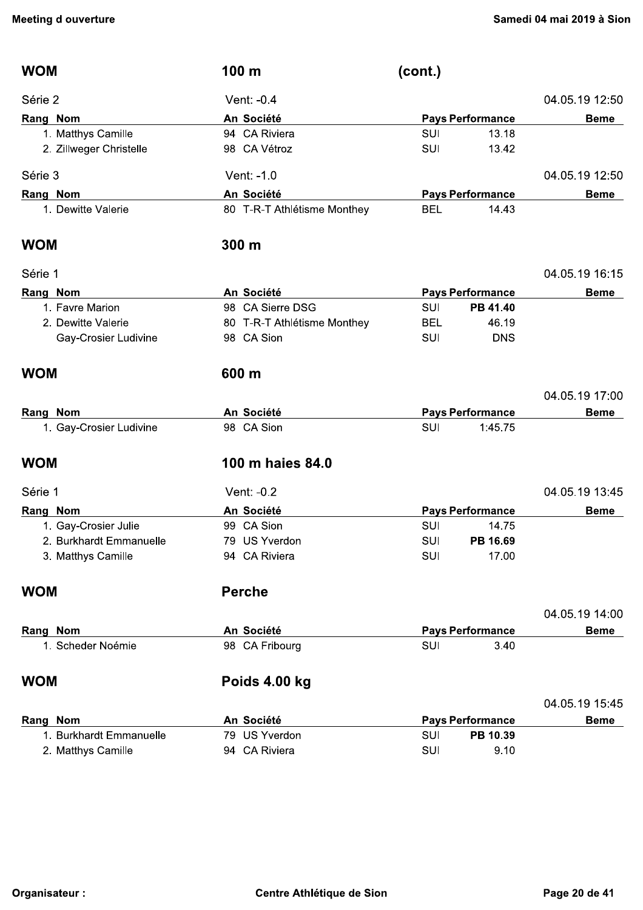| <b>WOM</b> |                         | 100 m                       | (cont.)    |                         |                |
|------------|-------------------------|-----------------------------|------------|-------------------------|----------------|
| Série 2    |                         | Vent: -0.4                  |            |                         | 04.05.19 12:50 |
| Rang Nom   |                         | An Société                  |            | <b>Pays Performance</b> | <b>Beme</b>    |
|            | 1. Matthys Camille      | 94 CA Riviera               | <b>SUI</b> | 13.18                   |                |
|            | 2. Zillweger Christelle | 98 CA Vétroz                | SUI        | 13.42                   |                |
| Série 3    |                         | Vent: -1.0                  |            |                         | 04.05.19 12:50 |
| Rang Nom   |                         | An Société                  |            | <b>Pays Performance</b> | <b>Beme</b>    |
|            | 1. Dewitte Valerie      | 80 T-R-T Athlétisme Monthey | <b>BEL</b> | 14.43                   |                |
| <b>WOM</b> |                         | 300 m                       |            |                         |                |
| Série 1    |                         |                             |            |                         | 04.05.19 16:15 |
| Rang Nom   |                         | An Société                  |            | <b>Pays Performance</b> | <b>Beme</b>    |
|            | 1. Favre Marion         | 98 CA Sierre DSG            | <b>SUI</b> | PB 41.40                |                |
|            | 2. Dewitte Valerie      | 80 T-R-T Athlétisme Monthey | <b>BEL</b> | 46.19                   |                |
|            | Gay-Crosier Ludivine    | 98 CA Sion                  | SUI        | <b>DNS</b>              |                |
| <b>WOM</b> |                         | 600 m                       |            |                         |                |
|            |                         |                             |            |                         | 04.05.19 17:00 |
| Rang Nom   |                         | An Société                  |            | <b>Pays Performance</b> | <b>Beme</b>    |
|            | 1. Gay-Crosier Ludivine | 98 CA Sion                  | <b>SUI</b> | 1:45.75                 |                |
| <b>WOM</b> |                         | 100 m haies 84.0            |            |                         |                |
| Série 1    |                         | Vent: -0.2                  |            |                         | 04.05.19 13:45 |
| Rang Nom   |                         | An Société                  |            | <b>Pays Performance</b> | <b>Beme</b>    |
|            | 1. Gay-Crosier Julie    | 99 CA Sion                  | <b>SUI</b> | 14.75                   |                |
|            | 2. Burkhardt Emmanuelle | 79 US Yverdon               | <b>SUI</b> | PB 16.69                |                |
|            | 3. Matthys Camille      | 94 CA Riviera               | <b>SUI</b> | 17.00                   |                |
| <b>WOM</b> |                         | <b>Perche</b>               |            |                         |                |
|            |                         |                             |            |                         | 04.05.19 14:00 |
| Rang Nom   |                         | An Société                  |            | <b>Pays Performance</b> | <b>Beme</b>    |
|            | 1. Scheder Noémie       | 98 CA Fribourg              | <b>SUI</b> | 3.40                    |                |
| <b>WOM</b> |                         | Poids 4.00 kg               |            |                         |                |
|            |                         |                             |            |                         | 04.05.19 15:45 |
| Rang Nom   |                         | An Société                  |            | <b>Pays Performance</b> | <b>Beme</b>    |
|            | 1. Burkhardt Emmanuelle | 79 US Yverdon               | <b>SUI</b> | PB 10.39                |                |
|            | 2. Matthys Camille      | 94 CA Riviera               | SUI        | 9.10                    |                |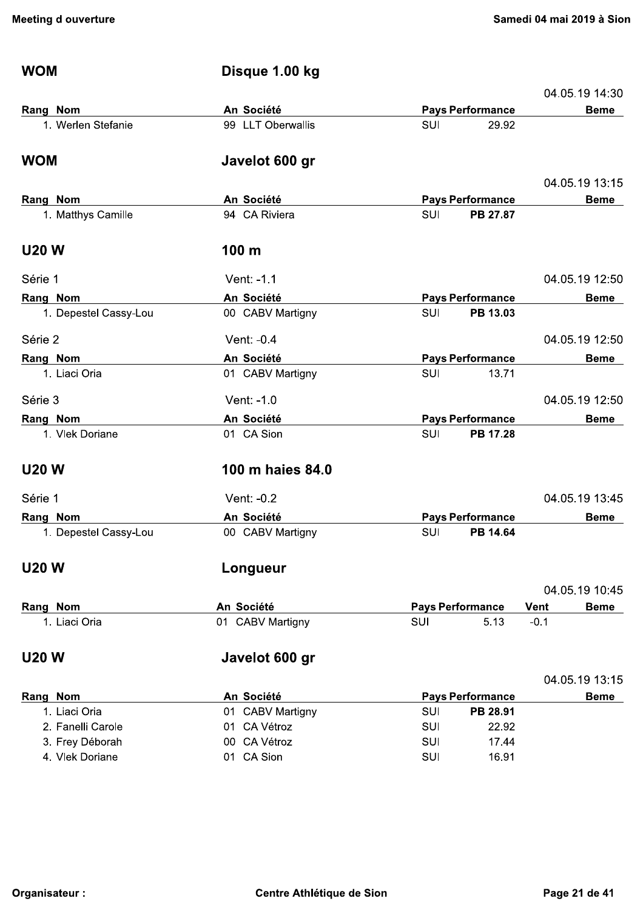|                            |                                     |            | Disque 1.00 kg                 | <b>WOM</b>                |
|----------------------------|-------------------------------------|------------|--------------------------------|---------------------------|
| 04.05.19 14:30             |                                     |            |                                |                           |
| <b>Beme</b>                | <b>Pays Performance</b>             |            | An Société                     | Rang Nom                  |
|                            | 29.92                               | <b>SUI</b> | 99 LLT Oberwallis              | 1. Werlen Stefanie        |
|                            |                                     |            | Javelot 600 gr                 | <b>WOM</b>                |
| 04.05.19 13:15             |                                     |            |                                |                           |
| <b>Beme</b>                | <b>Pays Performance</b>             |            | An Société                     | Rang Nom                  |
|                            | PB 27.87                            | <b>SUI</b> | 94 CA Riviera                  | 1. Matthys Camille        |
|                            |                                     |            | 100 <sub>m</sub>               | <b>U20 W</b>              |
| 04.05.19 12:50             |                                     |            | Vent: -1.1                     | Série 1                   |
| <b>Beme</b>                | <b>Pays Performance</b>             |            | An Société                     | Rang Nom                  |
|                            | PB 13.03                            | SUI        | 00 CABV Martigny               | 1. Depestel Cassy-Lou     |
| 04.05.19 12:50             |                                     |            | Vent: -0.4                     | Série 2                   |
| <b>Beme</b>                | <b>Pays Performance</b>             |            | An Société                     | Rang Nom                  |
|                            | 13.71                               | SUI        | 01 CABV Martigny               | 1. Liaci Oria             |
| 04.05.19 12:50             |                                     |            | Vent: -1.0                     | Série 3                   |
| <b>Beme</b>                | <b>Pays Performance</b>             |            | An Société                     | Rang Nom                  |
|                            | PB 17.28                            | <b>SUI</b> | 01 CA Sion                     | 1. Vlek Doriane           |
|                            |                                     |            | 100 m haies 84.0               | <b>U20 W</b>              |
| 04.05.19 13:45             |                                     |            | Vent: -0.2                     | Série 1                   |
| <b>Beme</b>                | <b>Pays Performance</b>             |            | An Société                     | Rang Nom                  |
|                            | PB 14.64                            | SUI        | 00 CABV Martigny               | 1. Depestel Cassy-Lou     |
|                            |                                     |            | Longueur                       | <b>U20 W</b>              |
| 04.05.19 10:45             |                                     |            |                                |                           |
| <b>Vent</b><br><b>Beme</b> | <b>Pays Performance</b>             |            | An Société                     | Rang Nom                  |
| $-0.1$                     | 5.13                                | SUI        | 01 CABV Martigny               | 1. Liaci Oria             |
|                            |                                     |            | Javelot 600 gr                 | <b>U20 W</b>              |
| 04.05.19 13:15             |                                     |            |                                |                           |
| <b>Beme</b>                | <b>Pays Performance</b><br>PB 28.91 | <b>SUI</b> | An Société<br>01 CABV Martigny | Rang Nom<br>1. Liaci Oria |
|                            | 22.92                               | SUI        | 01 CA Vétroz                   | 2. Fanelli Carole         |
|                            | 17.44                               | <b>SUI</b> | 00 CA Vétroz                   | 3. Frey Déborah           |
|                            | 16.91                               | SUI        | 01 CA Sion                     | 4. Vlek Doriane           |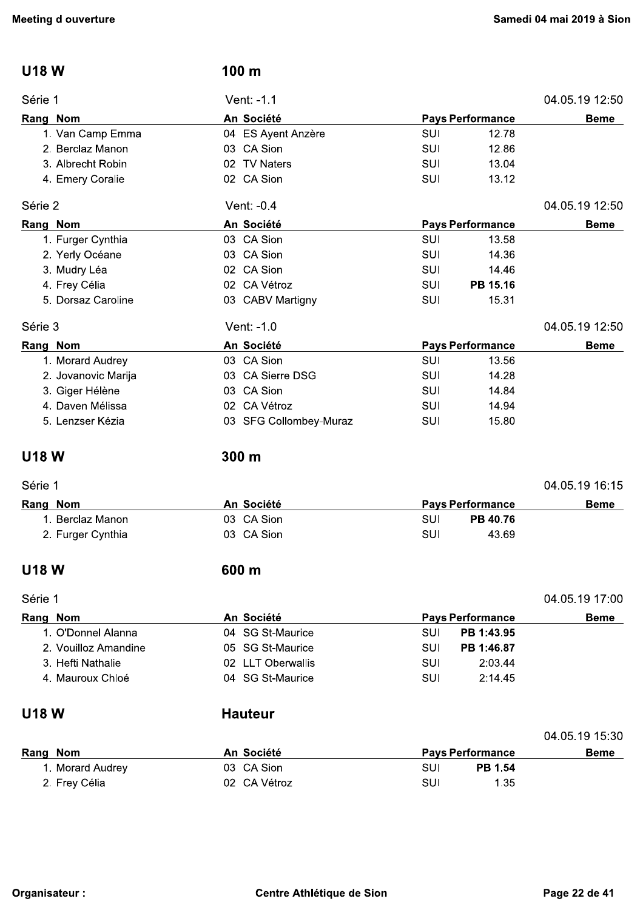| <b>U18 W</b>         | 100 m                       |            |                         |                |
|----------------------|-----------------------------|------------|-------------------------|----------------|
| Série 1              | Vent: -1.1                  |            |                         | 04.05.19 12:50 |
| Rang Nom             | An Société                  |            | <b>Pays Performance</b> | <b>Beme</b>    |
| 1. Van Camp Emma     | 04 ES Ayent Anzère          | <b>SUI</b> | 12.78                   |                |
| 2. Berclaz Manon     | 03 CA Sion                  | SUI        | 12.86                   |                |
| 3. Albrecht Robin    | 02 TV Naters                | <b>SUI</b> | 13.04                   |                |
| 4. Emery Coralie     | 02 CA Sion                  | <b>SUI</b> | 13.12                   |                |
| Série 2              | Vent: -0.4                  |            |                         | 04.05.19 12:50 |
| Rang Nom             | An Société                  |            | <b>Pays Performance</b> | <b>Beme</b>    |
| 1. Furger Cynthia    | 03 CA Sion                  | SUI        | 13.58                   |                |
| 2. Yerly Océane      | 03 CA Sion                  | <b>SUI</b> | 14.36                   |                |
| 3. Mudry Léa         | 02 CA Sion                  | <b>SUI</b> | 14.46                   |                |
| 4. Frey Célia        | 02 CA Vétroz                | <b>SUI</b> | PB 15.16                |                |
| 5. Dorsaz Caroline   | 03 CABV Martigny            | <b>SUI</b> | 15.31                   |                |
| Série 3              | Vent: -1.0                  |            |                         | 04.05.19 12:50 |
| Rang Nom             | An Société                  |            | <b>Pays Performance</b> | <b>Beme</b>    |
| 1. Morard Audrey     | 03 CA Sion                  | <b>SUI</b> | 13.56                   |                |
| 2. Jovanovic Marija  | 03 CA Sierre DSG            | <b>SUI</b> | 14.28                   |                |
| 3. Giger Hélène      | 03 CA Sion                  | <b>SUI</b> | 14.84                   |                |
| 4. Daven Mélissa     | 02 CA Vétroz                | <b>SUI</b> | 14.94                   |                |
| 5. Lenzser Kézia     | 03 SFG Collombey-Muraz      | SUI        | 15.80                   |                |
| <b>U18 W</b>         | 300 m                       |            |                         |                |
| Série 1              |                             |            |                         | 04.05.19 16:15 |
| Rang Nom             | An Société                  |            | <b>Pays Performance</b> | <b>Beme</b>    |
| 1. Berclaz Manon     | 03 CA Sion                  | <b>SUI</b> | PB 40.76                |                |
| 2. Furger Cynthia    | 03 CA Sion                  | SUI        | 43.69                   |                |
| <b>U18 W</b>         | 600 m                       |            |                         |                |
| Série 1              |                             |            |                         | 04.05.19 17:00 |
| Rang Nom             | An Société                  |            | <b>Pays Performance</b> | <b>Beme</b>    |
| 1. O'Donnel Alanna   | 04 SG St-Maurice            | SUI        | PB 1:43.95              |                |
| 2. Vouilloz Amandine | <b>SG St-Maurice</b><br>05. | <b>SUI</b> | PB 1:46.87              |                |
| 3. Hefti Nathalie    | 02 LLT Oberwallis           | <b>SUI</b> | 2:03.44                 |                |
| 4. Mauroux Chloé     | 04 SG St-Maurice            | <b>SUI</b> | 2:14.45                 |                |
| <b>U18 W</b>         | <b>Hauteur</b>              |            |                         |                |
|                      |                             |            |                         | 04.05.19 15:30 |
| Rang Nom             | An Société                  |            | <b>Pays Performance</b> | <b>Beme</b>    |
| 1. Morard Audrey     | 03 CA Sion                  | <b>SUI</b> | PB 1.54                 |                |
| 2. Frey Célia        | 02 CA Vétroz                | SUI        | 1.35                    |                |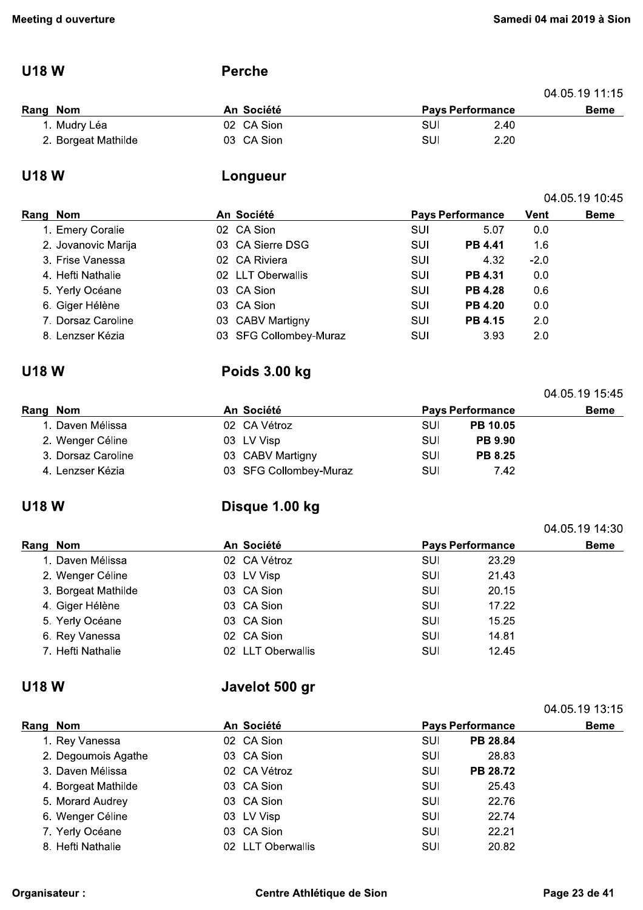04.05.19 10:45

04.05.19 15:45

### **U18W**

#### **Perche**

|                     |            |                         |      | 04.05.19 11.15 |
|---------------------|------------|-------------------------|------|----------------|
| Rang Nom            | An Société | <b>Pays Performance</b> |      | <b>Beme</b>    |
| 1. Mudry Léa        | 02 CA Sion | SUI                     | 2.40 |                |
| 2. Borgeat Mathilde | 03 CA Sion | SUI                     | 2.20 |                |

## **U18W**

## Longueur

| Rang Nom |                     | An Société             |            | <b>Pays Performance</b> | Vent   | <b>Beme</b> |
|----------|---------------------|------------------------|------------|-------------------------|--------|-------------|
|          | 1. Emery Coralie    | 02 CA Sion             | SUI        | 5.07                    | 0.0    |             |
|          | 2. Jovanovic Marija | 03 CA Sierre DSG       | SUI        | <b>PB 4.41</b>          | 1.6    |             |
|          | 3. Frise Vanessa    | 02 CA Riviera          | SUI        | 4.32                    | $-2.0$ |             |
|          | 4. Hefti Nathalie   | 02 LLT Oberwallis      | SUI        | <b>PB 4.31</b>          | 0.0    |             |
|          | 5. Yerly Océane     | 03 CA Sion             | SUI        | <b>PB 4.28</b>          | 0.6    |             |
|          | 6. Giger Hélène     | 03 CA Sion             | <b>SUI</b> | <b>PB 4.20</b>          | 0.0    |             |
|          | 7. Dorsaz Caroline  | 03 CABV Martigny       | SUI        | <b>PB 4.15</b>          | 2.0    |             |
|          | 8. Lenzser Kézia    | 03 SFG Collombey-Muraz | SUI        | 3.93                    | 2.0    |             |

#### **U18 W**

## Poids 3.00 kg

| Rang Nom |                    | An Société             |     | <b>Pays Performance</b> | <b>Beme</b> |
|----------|--------------------|------------------------|-----|-------------------------|-------------|
|          | 1. Daven Mélissa   | 02 CA Vétroz           | SUI | <b>PB 10.05</b>         |             |
|          | 2. Wenger Céline   | 03 LV Visp             | SUI | <b>PB 9.90</b>          |             |
|          | 3. Dorsaz Caroline | 03 CABV Martigny       | SUI | <b>PB 8.25</b>          |             |
|          | 4. Lenzser Kézia   | 03 SFG Collombey-Muraz | SUI | 7.42                    |             |

## **U18W**

## Disque 1.00 kg

|                     |            |                   |                         |       | 04.05.19 14:30 |
|---------------------|------------|-------------------|-------------------------|-------|----------------|
| Rang Nom            | An Société |                   | <b>Pays Performance</b> |       | <b>Beme</b>    |
| 1. Daven Mélissa    |            | 02 CA Vétroz      | SUI                     | 23.29 |                |
| 2. Wenger Céline    |            | 03 LV Visp        | SUI                     | 21.43 |                |
| 3. Borgeat Mathilde |            | 03 CA Sion        | SUI                     | 20.15 |                |
| 4. Giger Hélène     |            | 03 CA Sion        | SUI                     | 17.22 |                |
| 5. Yerly Océane     |            | 03 CA Sion        | SUI                     | 15.25 |                |
| 6. Rey Vanessa      |            | 02 CA Sion        | SUI                     | 14.81 |                |
| 7. Hefti Nathalie   |            | 02 LLT Oberwallis | SUI                     | 12.45 |                |

#### **U18W**

## Javelot 500 gr

|          |                     |                   |     |                         | 04.05.19 13:15 |  |
|----------|---------------------|-------------------|-----|-------------------------|----------------|--|
| Rang Nom |                     | An Société        |     | <b>Pays Performance</b> |                |  |
|          | 1. Rey Vanessa      | 02 CA Sion        | SUI | <b>PB 28.84</b>         |                |  |
|          | 2. Degoumois Agathe | 03 CA Sion        | SUI | 28.83                   |                |  |
|          | 3. Daven Mélissa    | 02 CA Vétroz      | SUI | <b>PB 28.72</b>         |                |  |
|          | 4. Borgeat Mathilde | 03 CA Sion        | SUI | 25.43                   |                |  |
|          | 5. Morard Audrey    | 03 CA Sion        | SUI | 22.76                   |                |  |
|          | 6. Wenger Céline    | 03 LV Visp        | SUI | 22.74                   |                |  |
|          | 7. Yerly Océane     | 03 CA Sion        | SUI | 22.21                   |                |  |
|          | 8. Hefti Nathalie   | 02 LLT Oberwallis | SUI | 20.82                   |                |  |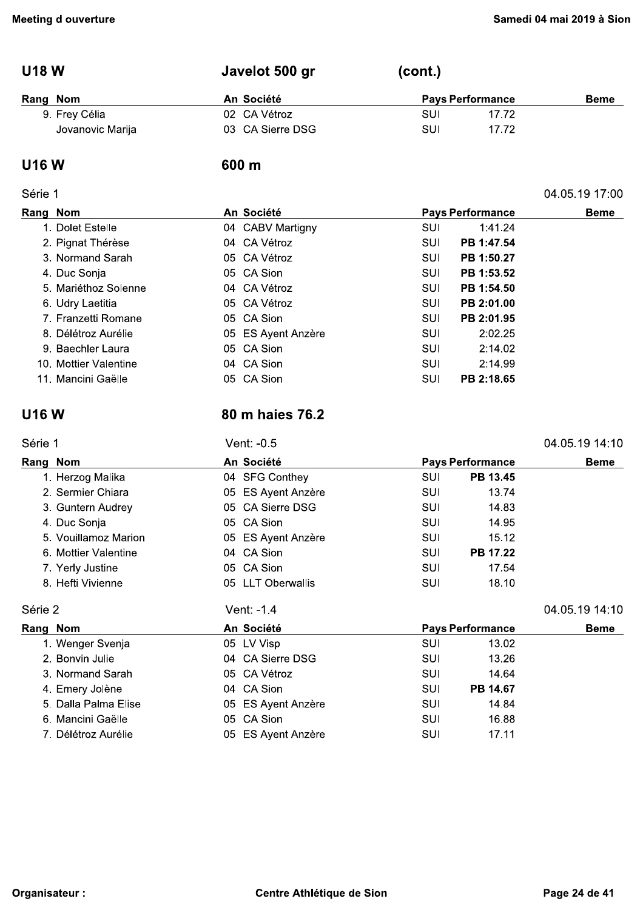04.05.19 17:00

#### $(cont.)$ **U18W** Javelot 500 gr

| Rang Nom         | An Société       | <b>Pays Performance</b> | <b>Beme</b> |
|------------------|------------------|-------------------------|-------------|
| 9. Frey Célia    | 02 CA Vétroz     | 17.72<br>SUI            |             |
| Jovanovic Marija | 03 CA Sierre DSG | SUI<br>17.72            |             |

#### **U16W**

#### 600 m

#### Série 1

| Rang Nom              | An Société         | <b>Pays Performance</b> | <b>Beme</b> |
|-----------------------|--------------------|-------------------------|-------------|
| 1. Dolet Estelle      | 04 CABV Martigny   | 1:41.24<br>SUI          |             |
| 2. Pignat Thérèse     | 04 CA Vétroz       | PB 1:47.54<br>SUI       |             |
| 3. Normand Sarah      | 05 CA Vétroz       | PB 1:50.27<br>SUI       |             |
| 4. Duc Sonja          | 05 CA Sion         | PB 1:53.52<br>SUI       |             |
| 5. Mariéthoz Solenne  | 04 CA Vétroz       | PB 1:54.50<br>SUI       |             |
| 6. Udry Laetitia      | 05 CA Vétroz       | PB 2:01.00<br>SUI       |             |
| 7. Franzetti Romane   | 05 CA Sion         | PB 2:01.95<br>SUI       |             |
| 8. Délétroz Aurélie   | 05 ES Ayent Anzère | 2:02.25<br>SUI          |             |
| 9. Baechler Laura     | 05 CA Sion         | 2:14.02<br>SUI          |             |
| 10. Mottier Valentine | 04 CA Sion         | 2:14.99<br>SUI          |             |
| 11. Mancini Gaëlle    | 05 CA Sion         | PB 2:18.65<br>SUI       |             |

### **U16W**

## 80 m haies 76.2

| Série 1              | Vent: -0.5         |     |                         | 04.05.19 14:10 |
|----------------------|--------------------|-----|-------------------------|----------------|
| Rang Nom             | An Société         |     | <b>Pays Performance</b> | <b>Beme</b>    |
| 1. Herzog Malika     | 04 SFG Conthey     | SUI | PB 13.45                |                |
| 2. Sermier Chiara    | 05 ES Ayent Anzère | SUI | 13.74                   |                |
| 3. Guntern Audrey    | 05 CA Sierre DSG   | SUI | 14.83                   |                |
| 4. Duc Sonja         | 05 CA Sion         | SUI | 14.95                   |                |
| 5. Vouillamoz Marion | 05 ES Ayent Anzère | SUI | 15.12                   |                |
| 6. Mottier Valentine | 04 CA Sion         | SUI | PB 17.22                |                |
| 7. Yerly Justine     | 05 CA Sion         | SUI | 17.54                   |                |
| 8. Hefti Vivienne    | 05 LLT Oberwallis  | SUI | 18.10                   |                |
| Série 2              | Vent: -1.4         |     |                         | 04.05.19 14:10 |
| Rang Nom             | An Société         |     | <b>Pays Performance</b> | <b>Beme</b>    |

| Rang Nom             | An Société         |            | <b>Pays Performance</b> | <b>Beme</b> |
|----------------------|--------------------|------------|-------------------------|-------------|
| 1. Wenger Svenja     | 05 LV Visp         | SUI        | 13.02                   |             |
| 2. Bonvin Julie      | 04 CA Sierre DSG   | SUI        | 13.26                   |             |
| 3. Normand Sarah     | 05 CA Vétroz       | SUI        | 14.64                   |             |
| 4. Emery Jolène      | 04 CA Sion         | <b>SUI</b> | PB 14.67                |             |
| 5. Dalla Palma Elise | 05 ES Ayent Anzère | <b>SUI</b> | 14.84                   |             |
| 6. Mancini Gaëlle    | 05 CA Sion         | SUI        | 16.88                   |             |
| 7. Délétroz Aurélie  | 05 ES Ayent Anzère | SUI        | 17.11                   |             |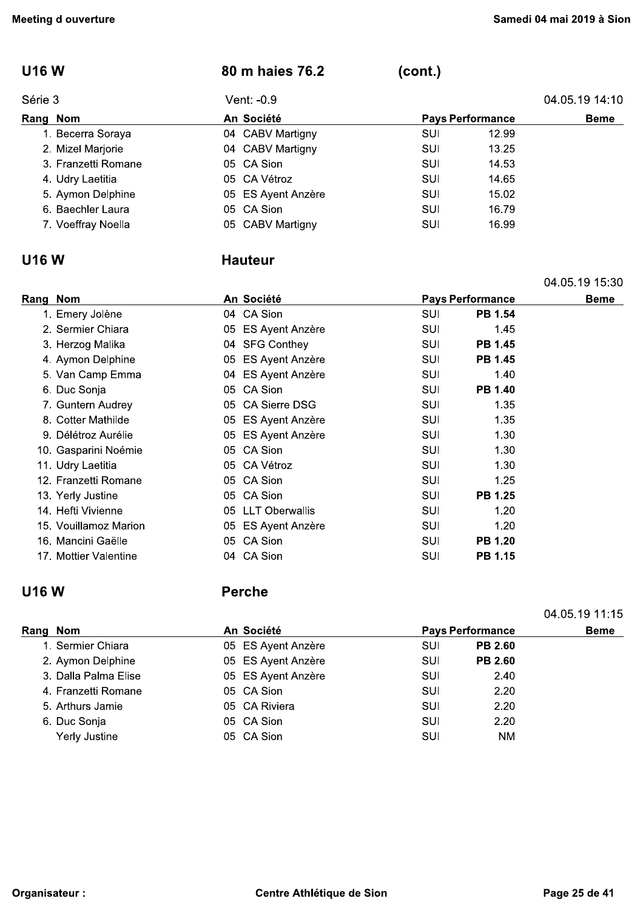| <b>U16W</b>         | 80 m haies 76.2              | (cont.)    |                         |                |
|---------------------|------------------------------|------------|-------------------------|----------------|
| Série 3             | Vent: -0.9                   |            |                         | 04.05.19 14:10 |
| Rang Nom            | An Société                   |            | <b>Pays Performance</b> | <b>Beme</b>    |
| 1. Becerra Soraya   | 04 CABV Martigny             | <b>SUI</b> | 12.99                   |                |
| 2. Mizel Marjorie   | 04 CABV Martigny             | <b>SUI</b> | 13.25                   |                |
| 3. Franzetti Romane | 05 CA Sion                   | <b>SUI</b> | 14.53                   |                |
| 4. Udry Laetitia    | 05 CA Vétroz                 | <b>SUI</b> | 14.65                   |                |
| 5. Aymon Delphine   | <b>ES Ayent Anzère</b><br>05 | <b>SUI</b> | 15.02                   |                |
| 6. Baechler Laura   | 05 CA Sion                   | SUI        | 16.79                   |                |
| 7. Voeffray Noella  | 05 CABV Martigny             | <b>SUI</b> | 16.99                   |                |
| <b>U16W</b>         | <b>Hauteur</b>               |            |                         |                |
|                     |                              |            |                         | 04.05.19 15:30 |
| Rang Nom            | An Société                   |            | <b>Pays Performance</b> | <b>Beme</b>    |
| 1. Emery Jolène     | 04 CA Sion                   | <b>SUI</b> | <b>PB 1.54</b>          |                |
| 2. Sermier Chiara   | 05 ES Ayent Anzère           | SUI        | 1.45                    |                |

#### **Hauteur**

|             |                       |    |                        |            |                         | 04.05.19 15:30 |
|-------------|-----------------------|----|------------------------|------------|-------------------------|----------------|
| Rang Nom    |                       |    | An Société             |            | <b>Pays Performance</b> | <b>Beme</b>    |
|             | 1. Emery Jolène       |    | 04 CA Sion             | SUI        | <b>PB 1.54</b>          |                |
|             | 2. Sermier Chiara     | 05 | ES Ayent Anzère        | SUI        | 1.45                    |                |
|             | 3. Herzog Malika      | 04 | <b>SFG Conthey</b>     | SUI        | <b>PB 1.45</b>          |                |
|             | 4. Aymon Delphine     | 05 | ES Ayent Anzère        | SUI        | PB 1.45                 |                |
|             | 5. Van Camp Emma      |    | 04 ES Ayent Anzère     | SUI        | 1.40                    |                |
|             | 6. Duc Sonja          | 05 | CA Sion                | SUI        | PB 1.40                 |                |
|             | 7. Guntern Audrey     |    | 05 CA Sierre DSG       | SUI        | 1.35                    |                |
|             | 8. Cotter Mathilde    | 05 | <b>ES Ayent Anzère</b> | SUI        | 1.35                    |                |
|             | 9. Délétroz Aurélie   | 05 | ES Ayent Anzère        | <b>SUI</b> | 1.30                    |                |
|             | 10. Gasparini Noémie  | 05 | CA Sion                | SUI        | 1.30                    |                |
|             | 11. Udry Laetitia     | 05 | CA Vétroz              | SUI        | 1.30                    |                |
|             | 12. Franzetti Romane  |    | 05 CA Sion             | SUI        | 1.25                    |                |
|             | 13. Yerly Justine     | 05 | CA Sion                | <b>SUI</b> | PB 1.25                 |                |
|             | 14. Hefti Vivienne    |    | 05 LLT Oberwallis      | SUI        | 1.20                    |                |
|             | 15. Vouillamoz Marion | 05 | ES Ayent Anzère        | SUI        | 1.20                    |                |
|             | 16. Mancini Gaëlle    |    | 05 CA Sion             | <b>SUI</b> | PB 1.20                 |                |
|             | 17. Mottier Valentine |    | 04 CA Sion             | SUI        | PB 1.15                 |                |
| <b>U16W</b> |                       |    | <b>Perche</b>          |            |                         |                |
|             |                       |    |                        |            |                         | 04.05.19 11.15 |
| Rang Nom    |                       |    | An Société             |            | <b>Pays Performance</b> | <b>Beme</b>    |
|             | 1. Sermier Chiara     |    | 05 ES Ayent Anzère     | SUI        | <b>PB 2.60</b>          |                |
|             | 2. Aymon Delphine     |    | 05 ES Ayent Anzère     | SUI        | <b>PB 2.60</b>          |                |

| Rang Nom             | An Société         |     | <b>Pays Performance</b> | <b>Beme</b> |
|----------------------|--------------------|-----|-------------------------|-------------|
| 1. Sermier Chiara    | 05 ES Ayent Anzère | SUI | <b>PB 2.60</b>          |             |
| 2. Aymon Delphine    | 05 ES Ayent Anzère | SUI | <b>PB 2.60</b>          |             |
| 3. Dalla Palma Elise | 05 ES Ayent Anzère | SUI | 2.40                    |             |
| 4. Franzetti Romane  | 05 CA Sion         | SUI | 2.20                    |             |
| 5. Arthurs Jamie     | 05 CA Riviera      | SUI | 2.20                    |             |
| 6. Duc Sonja         | 05 CA Sion         | SUI | 2.20                    |             |
| Yerly Justine        | 05 CA Sion         | SUI | <b>NM</b>               |             |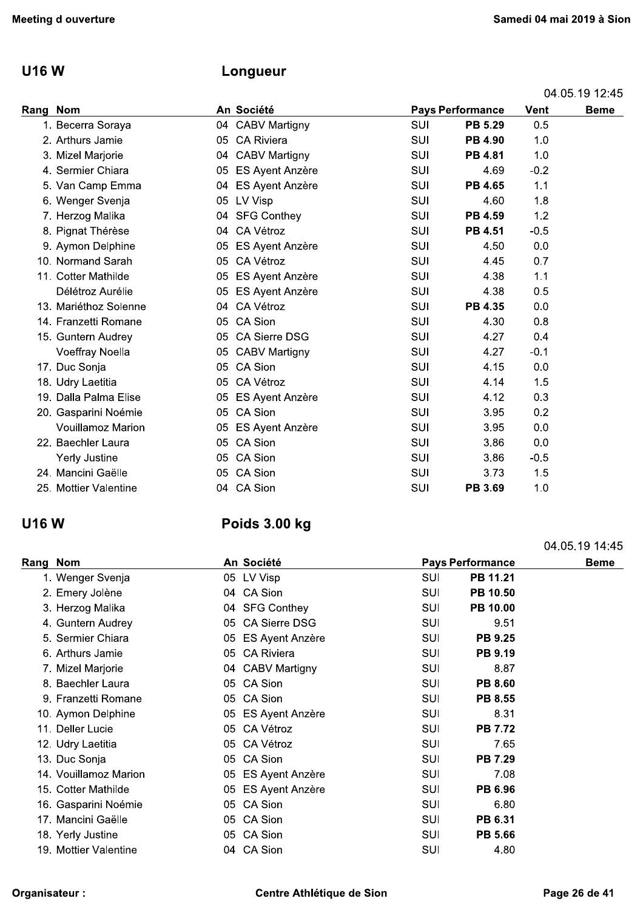## U16 W Longueur

| eeting d ouverture                   |                                   |                          |                         |             | Samedi 04 mai 2019 à Sior |
|--------------------------------------|-----------------------------------|--------------------------|-------------------------|-------------|---------------------------|
| <b>U16W</b>                          | Longueur                          |                          |                         |             |                           |
|                                      |                                   |                          |                         |             | 04.05.19 12.45            |
| Rang Nom                             | An Société                        |                          | <b>Pays Performance</b> | <b>Vent</b> | <b>Beme</b>               |
| 1. Becerra Soraya                    | 04 CABV Martigny                  | SUI                      | PB 5.29                 | 0.5         |                           |
| 2. Arthurs Jamie                     | 05 CA Riviera                     | SUI                      | <b>PB 4.90</b>          | 1.0         |                           |
| 3. Mizel Marjorie                    | 04 CABV Martigny                  | SUI                      | <b>PB 4.81</b>          | 1.0         |                           |
| 4. Sermier Chiara                    | 05 ES Ayent Anzère                | SUI                      | 4.69                    | $-0.2$      |                           |
| 5. Van Camp Emma                     | 04 ES Ayent Anzère                | SUI                      | PB 4.65                 | 1.1         |                           |
| 6. Wenger Svenja                     | 05 LV Visp                        | SUI                      | 4.60                    | 1.8         |                           |
| 7. Herzog Malika                     | 04 SFG Conthey                    | SUI                      | PB 4.59                 | 1.2         |                           |
| 8. Pignat Thérèse                    | CA Vétroz<br>04                   | SUI                      | PB 4.51                 | $-0.5$      |                           |
| 9. Aymon Delphine                    | ES Ayent Anzère<br>05             | SUI                      | 4.50                    | 0.0         |                           |
| 10. Normand Sarah                    | 05 CA Vétroz                      | SUI                      | 4.45                    | 0.7         |                           |
| 11. Cotter Mathilde                  | 05 ES Ayent Anzère                | SUI                      | 4.38                    | 1.1         |                           |
| Délétroz Aurélie                     | 05<br>ES Ayent Anzère             | SUI                      | 4.38                    | 0.5         |                           |
| 13. Mariéthoz Solenne                | 04 CA Vétroz                      | SUI                      | PB 4.35                 | 0.0         |                           |
| 14. Franzetti Romane                 | CA Sion<br>05                     | SUI                      | 4.30                    | 0.8         |                           |
| 15. Guntern Audrey                   | 05 CA Sierre DSG                  | SUI                      | 4.27                    | 0.4         |                           |
| Voeffray Noella                      | 05 CABV Martigny                  | SUI                      | 4.27                    | $-0.1$      |                           |
| 17. Duc Sonja                        | 05 CA Sion                        | SUI                      | 4.15                    | 0.0         |                           |
| 18. Udry Laetitia                    | 05 CA Vétroz                      | SUI                      | 4.14                    | 1.5         |                           |
| 19. Dalla Palma Elise                | 05 ES Ayent Anzère                | SUI                      | 4.12                    | 0.3         |                           |
| 20. Gasparini Noémie                 | 05 CA Sion                        | SUI                      | 3.95                    | 0.2         |                           |
| <b>Vouillamoz Marion</b>             | 05 ES Ayent Anzère                | SUI                      | 3.95                    | 0.0         |                           |
| 22. Baechler Laura                   | 05 CA Sion                        | SUI                      | 3.86                    | 0.0         |                           |
| Yerly Justine                        | 05 CA Sion                        | SUI                      | 3.86                    | $-0.5$      |                           |
| 24. Mancini Gaëlle                   | 05 CA Sion                        | SUI                      | 3.73                    | 1.5         |                           |
| 25. Mottier Valentine                | 04 CA Sion                        | SUI                      | PB 3.69                 | 1.0         |                           |
| <b>U16 W</b>                         | Poids 3.00 kg                     |                          |                         |             |                           |
|                                      |                                   |                          |                         |             | 04.05.19 14:45            |
| Rang Nom                             | An Société                        |                          | <b>Pays Performance</b> |             | <b>Beme</b>               |
| 1. Wenger Svenja                     | 05 LV Visp                        | SUI                      | PB 11.21                |             |                           |
| 2. Emery Jolène                      | 04 CA Sion                        | SUI                      | PB 10.50                |             |                           |
| 3. Herzog Malika                     | 04 SFG Conthey                    | <b>SUI</b>               | PB 10.00                |             |                           |
| 4. Guntern Audrey                    | 05 CA Sierre DSG                  | SUI                      | 9.51                    |             |                           |
| 5. Sermier Chiara                    | 05 ES Ayent Anzère                | SUI                      | PB 9.25                 |             |                           |
| 6. Arthurs Jamie<br>7 Mizel Marierio | 05 CA Riviera<br>04 CARVIMortiany | <b>SUI</b><br><b>QHI</b> | PB 9.19<br>9.97         |             |                           |
|                                      |                                   |                          |                         |             |                           |

| 24. Mancini Gaëlle<br>25. Mottier Valentine | 05 CA Sion<br>04 CA Sion<br>Poids 3.00 kg | SUI<br>SUI                                                                                                                                                                                                                                                                                                                                  | 3.73<br>PB 3.69                                       | 1.5<br>1.0                                      |
|---------------------------------------------|-------------------------------------------|---------------------------------------------------------------------------------------------------------------------------------------------------------------------------------------------------------------------------------------------------------------------------------------------------------------------------------------------|-------------------------------------------------------|-------------------------------------------------|
|                                             |                                           |                                                                                                                                                                                                                                                                                                                                             |                                                       |                                                 |
|                                             |                                           |                                                                                                                                                                                                                                                                                                                                             |                                                       |                                                 |
|                                             |                                           |                                                                                                                                                                                                                                                                                                                                             |                                                       |                                                 |
|                                             |                                           |                                                                                                                                                                                                                                                                                                                                             |                                                       |                                                 |
|                                             |                                           |                                                                                                                                                                                                                                                                                                                                             |                                                       | 04.05.19 14:45                                  |
| Rang Nom                                    |                                           |                                                                                                                                                                                                                                                                                                                                             |                                                       | <b>Beme</b>                                     |
| 1. Wenger Svenja                            |                                           | <b>SUI</b>                                                                                                                                                                                                                                                                                                                                  |                                                       |                                                 |
| 2. Emery Jolène                             |                                           |                                                                                                                                                                                                                                                                                                                                             |                                                       |                                                 |
| 3. Herzog Malika                            |                                           |                                                                                                                                                                                                                                                                                                                                             | PB 10.00                                              |                                                 |
| 4. Guntern Audrey                           |                                           | SUI                                                                                                                                                                                                                                                                                                                                         | 9.51                                                  |                                                 |
| 5. Sermier Chiara                           |                                           | SUI                                                                                                                                                                                                                                                                                                                                         | PB 9.25                                               |                                                 |
| 6. Arthurs Jamie                            |                                           | SUI                                                                                                                                                                                                                                                                                                                                         | PB 9.19                                               |                                                 |
| 7. Mizel Marjorie                           |                                           | SUI                                                                                                                                                                                                                                                                                                                                         | 8.87                                                  |                                                 |
| 8. Baechler Laura                           |                                           | SUI                                                                                                                                                                                                                                                                                                                                         | PB 8.60                                               |                                                 |
| 9. Franzetti Romane                         |                                           | SUI                                                                                                                                                                                                                                                                                                                                         | PB 8.55                                               |                                                 |
| 10. Aymon Delphine                          |                                           | <b>SUI</b>                                                                                                                                                                                                                                                                                                                                  | 8.31                                                  |                                                 |
| 11. Deller Lucie                            |                                           | SUI                                                                                                                                                                                                                                                                                                                                         | <b>PB 7.72</b>                                        |                                                 |
| 12. Udry Laetitia                           |                                           | SUI                                                                                                                                                                                                                                                                                                                                         | 7.65                                                  |                                                 |
| 13. Duc Sonja                               |                                           | SUI                                                                                                                                                                                                                                                                                                                                         | PB 7.29                                               |                                                 |
| 14. Vouillamoz Marion                       |                                           | SUI                                                                                                                                                                                                                                                                                                                                         | 7.08                                                  |                                                 |
| 15. Cotter Mathilde                         |                                           | <b>SUI</b>                                                                                                                                                                                                                                                                                                                                  | PB 6.96                                               |                                                 |
| 16. Gasparini Noémie                        |                                           | <b>SUI</b>                                                                                                                                                                                                                                                                                                                                  | 6.80                                                  |                                                 |
| 17. Mancini Gaëlle                          |                                           | SUI                                                                                                                                                                                                                                                                                                                                         | PB 6.31                                               |                                                 |
| 18. Yerly Justine                           |                                           | SUI                                                                                                                                                                                                                                                                                                                                         | PB 5.66                                               |                                                 |
| 19. Mottier Valentine                       |                                           | <b>SUI</b>                                                                                                                                                                                                                                                                                                                                  | 4.80                                                  |                                                 |
|                                             |                                           |                                                                                                                                                                                                                                                                                                                                             |                                                       |                                                 |
| Organisateur :                              |                                           |                                                                                                                                                                                                                                                                                                                                             |                                                       | Page 26 de 41                                   |
|                                             |                                           | An Société<br>05 LV Visp<br>04 CA Sion<br>04 SFG Conthey<br>05 CA Sierre DSG<br>05 ES Ayent Anzère<br>05 CA Riviera<br>04 CABV Martigny<br>05 CA Sion<br>05 CA Sion<br>05 ES Ayent Anzère<br>05 CA Vétroz<br>05 CA Vétroz<br>05 CA Sion<br>05 ES Ayent Anzère<br>05 ES Ayent Anzère<br>05 CA Sion<br>05 CA Sion<br>05 CA Sion<br>04 CA Sion | <b>SUI</b><br><b>SUI</b><br>Centre Athlétique de Sion | <b>Pays Performance</b><br>PB 11.21<br>PB 10.50 |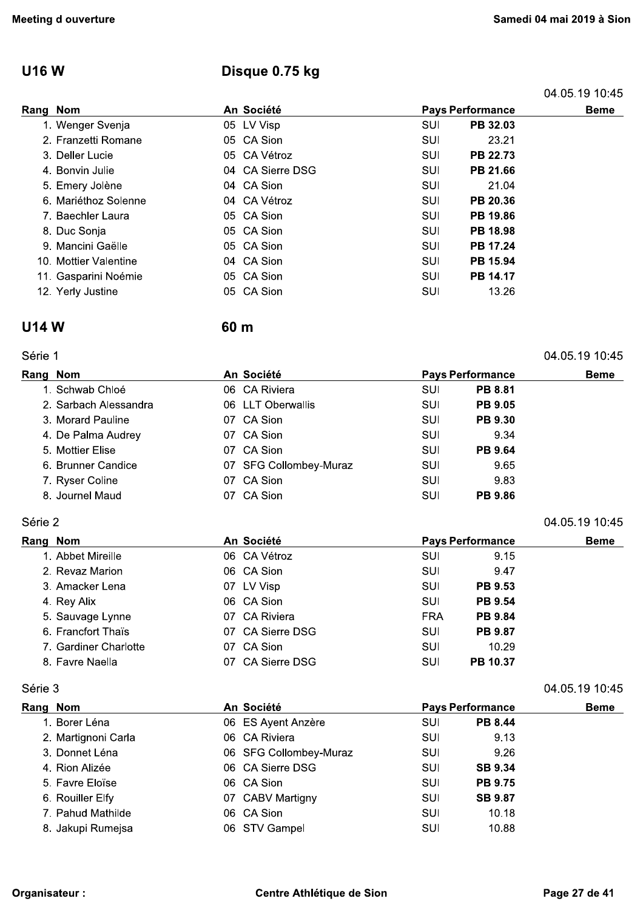## **U16W**

## Disque 0.75 kg

60 m

|          |                       |                  |     |                         | 04.05.19 10.45 |
|----------|-----------------------|------------------|-----|-------------------------|----------------|
| Rang Nom |                       | An Société       |     | <b>Pays Performance</b> |                |
|          | 1. Wenger Svenja      | 05 LV Visp       | SUI | PB 32.03                |                |
|          | 2. Franzetti Romane   | 05 CA Sion       | SUI | 23.21                   |                |
|          | 3. Deller Lucie       | 05 CA Vétroz     | SUI | <b>PB 22.73</b>         |                |
|          | 4. Bonvin Julie       | 04 CA Sierre DSG | SUI | PB 21.66                |                |
|          | 5. Emery Jolène       | 04 CA Sion       | SUI | 21.04                   |                |
|          | 6. Mariéthoz Solenne  | 04 CA Vétroz     | SUI | PB 20.36                |                |
|          | 7. Baechler Laura     | 05 CA Sion       | SUI | PB 19.86                |                |
|          | 8. Duc Sonja          | 05 CA Sion       | SUI | PB 18.98                |                |
|          | 9. Mancini Gaëlle     | 05 CA Sion       | SUI | PB 17.24                |                |
|          | 10. Mottier Valentine | 04 CA Sion       | SUI | PB 15.94                |                |
|          | 11. Gasparini Noémie  | 05 CA Sion       | SUI | PB 14.17                |                |
|          | 12. Yerly Justine     | 05 CA Sion       | SUI | 13.26                   |                |

#### **U14W**

Série 1

#### 04.05.19 10:45

04.05.19 10:45

04.05.19 10:45

| Rang Nom |                       | An Société             | <b>Pays Performance</b> |                | <b>Beme</b> |
|----------|-----------------------|------------------------|-------------------------|----------------|-------------|
|          | 1. Schwab Chloé       | 06 CA Riviera          | <b>SUI</b>              | <b>PB 8.81</b> |             |
|          | 2. Sarbach Alessandra | 06 LLT Oberwallis      | SUI                     | <b>PB 9.05</b> |             |
|          | 3. Morard Pauline     | 07 CA Sion             | SUI                     | <b>PB 9.30</b> |             |
|          | 4. De Palma Audrey    | 07 CA Sion             | SUI                     | 9.34           |             |
|          | 5. Mottier Elise      | 07 CA Sion             | SUI                     | <b>PB 9.64</b> |             |
|          | 6. Brunner Candice    | 07 SFG Collombey-Muraz | SUI                     | 9.65           |             |
|          | 7. Ryser Coline       | 07 CA Sion             | <b>SUI</b>              | 9.83           |             |
|          | 8. Journel Maud       | 07 CA Sion             | SUI                     | <b>PB 9.86</b> |             |
|          |                       |                        |                         |                |             |

### Série 2

| Rang Nom              | An Société       | <b>Pays Performance</b>      | <b>Beme</b> |
|-----------------------|------------------|------------------------------|-------------|
| 1. Abbet Mireille     | 06 CA Vétroz     | SUI<br>9.15                  |             |
| 2. Revaz Marion       | 06 CA Sion       | SUI<br>9.47                  |             |
| 3. Amacker Lena       | 07 LV Visp       | <b>PB 9.53</b><br>SUI        |             |
| 4. Rey Alix           | 06 CA Sion       | <b>PB 9.54</b><br>SUI        |             |
| 5. Sauvage Lynne      | 07 CA Riviera    | <b>PB 9.84</b><br><b>FRA</b> |             |
| 6. Francfort Thaïs    | 07 CA Sierre DSG | <b>PB 9.87</b><br>SUI        |             |
| 7. Gardiner Charlotte | 07 CA Sion       | 10.29<br>SUI                 |             |
| 8. Favre Naella       | 07 CA Sierre DSG | PB 10.37<br>SUI              |             |

#### Série 3

| Rang Nom            | An Société             |     | <b>Pays Performance</b> | <b>Beme</b> |
|---------------------|------------------------|-----|-------------------------|-------------|
| 1. Borer Léna       | 06 ES Ayent Anzère     | SUI | <b>PB 8.44</b>          |             |
| 2. Martignoni Carla | 06 CA Riviera          | SUI | 9.13                    |             |
| 3. Donnet Léna      | 06 SFG Collombey-Muraz | SUI | 9.26                    |             |
| 4. Rion Alizée      | 06 CA Sierre DSG       | SUI | <b>SB 9.34</b>          |             |
| 5. Favre Eloïse     | 06 CA Sion             | SUI | <b>PB 9.75</b>          |             |
| 6. Rouiller Elfy    | 07 CABV Martigny       | SUI | <b>SB 9.87</b>          |             |
| 7. Pahud Mathilde   | 06 CA Sion             | SUI | 10.18                   |             |
| 8. Jakupi Rumejsa   | 06 STV Gampel          | SUI | 10.88                   |             |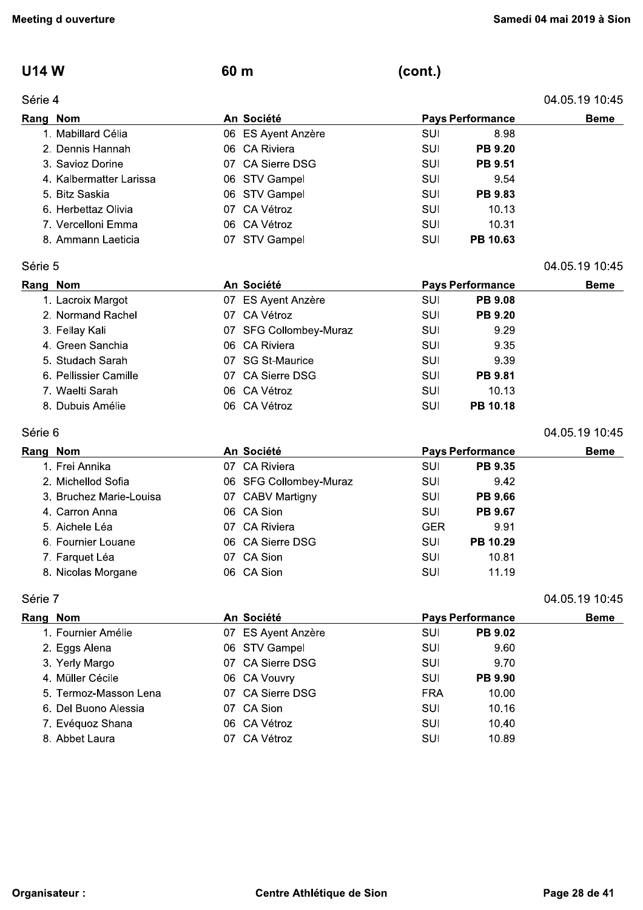04.05.19 10:45

04.05.19 10:45

04.05.19 10:45

### **U14 W**

#### Série 4

(cont.)

|          | Série 4                 |            |                    |                         |                |  |
|----------|-------------------------|------------|--------------------|-------------------------|----------------|--|
| Rang Nom |                         | An Société |                    | <b>Pays Performance</b> | <b>Beme</b>    |  |
|          | 1. Mabillard Célia      |            | 06 ES Ayent Anzère | SUI                     | 8.98           |  |
|          | 2. Dennis Hannah        |            | 06 CA Riviera      | SUI                     | <b>PB 9.20</b> |  |
|          | 3. Savioz Dorine        |            | 07 CA Sierre DSG   | SUI                     | <b>PB 9.51</b> |  |
|          | 4. Kalbermatter Larissa |            | 06 STV Gampel      | SUI                     | 9.54           |  |
|          | 5. Bitz Saskia          |            | 06 STV Gampel      | SUI                     | <b>PB 9.83</b> |  |
|          | 6. Herbettaz Olivia     |            | 07 CA Vétroz       | SUI                     | 10.13          |  |
|          | 7. Vercelloni Emma      |            | 06 CA Vétroz       | SUI                     | 10.31          |  |
|          | 8. Ammann Laeticia      | 07         | STV Gampel         | SUI                     | PB 10.63       |  |

60 m

#### Série 5

| Rang Nom              | An Société             |     | <b>Pays Performance</b> | <b>Beme</b> |
|-----------------------|------------------------|-----|-------------------------|-------------|
| 1. Lacroix Margot     | 07 ES Ayent Anzère     | SUI | <b>PB 9.08</b>          |             |
| 2. Normand Rachel     | 07 CA Vétroz           | SUI | <b>PB 9.20</b>          |             |
| 3. Fellay Kali        | 07 SFG Collombey-Muraz | SUI | 9.29                    |             |
| 4. Green Sanchia      | 06 CA Riviera          | SUI | 9.35                    |             |
| 5. Studach Sarah      | 07 SG St-Maurice       | SUI | 9.39                    |             |
| 6. Pellissier Camille | 07 CA Sierre DSG       | SUI | <b>PB 9.81</b>          |             |
| 7. Waelti Sarah       | 06 CA Vétroz           | SUI | 10.13                   |             |
| 8. Dubuis Amélie      | 06 CA Vétroz           | SUI | <b>PB 10.18</b>         |             |

#### Série 6

| Rang Nom |                         | An Société             |            | <b>Pays Performance</b> | <b>Beme</b> |
|----------|-------------------------|------------------------|------------|-------------------------|-------------|
|          | 1. Frei Annika          | 07 CA Riviera          | <b>SUI</b> | <b>PB 9.35</b>          |             |
|          | 2. Michellod Sofia      | 06 SFG Collombey-Muraz | SUI        | 9.42                    |             |
|          | 3. Bruchez Marie-Louisa | 07 CABV Martigny       | SUI        | <b>PB 9.66</b>          |             |
|          | 4. Carron Anna          | 06 CA Sion             | SUI        | <b>PB 9.67</b>          |             |
|          | 5. Aichele Léa          | 07 CA Riviera          | <b>GER</b> | 9.91                    |             |
|          | 6. Fournier Louane      | 06 CA Sierre DSG       | SUI        | PB 10.29                |             |
|          | 7. Farquet Léa          | 07 CA Sion             | <b>SUI</b> | 10.81                   |             |
|          | 8. Nicolas Morgane      | 06 CA Sion             | SUI        | 11.19                   |             |

#### Série 7

| Rang Nom              | An Société         | <b>Pays Performance</b> | <b>Beme</b>    |  |
|-----------------------|--------------------|-------------------------|----------------|--|
| 1. Fournier Amélie    | 07 ES Ayent Anzère | SUI                     | <b>PB 9.02</b> |  |
| 2. Eggs Alena         | 06 STV Gampel      | SUI                     | 9.60           |  |
| 3. Yerly Margo        | 07 CA Sierre DSG   | SUI                     | 9.70           |  |
| 4. Müller Cécile      | 06 CA Vouvry       | SUI                     | <b>PB 9.90</b> |  |
| 5. Termoz-Masson Lena | 07 CA Sierre DSG   | <b>FRA</b>              | 10.00          |  |
| 6. Del Buono Alessia  | 07 CA Sion         | SUI                     | 10.16          |  |
| 7. Evéquoz Shana      | 06 CA Vétroz       | SUI                     | 10.40          |  |
| 8. Abbet Laura        | 07 CA Vétroz       | SUI                     | 10.89          |  |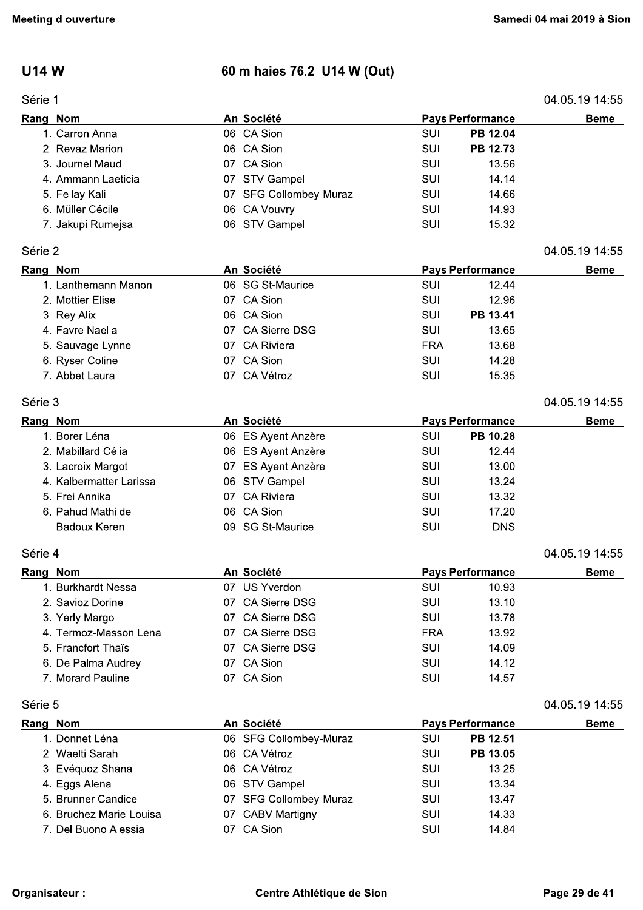## **U14 W**

## Série 1

## 60 m haies 76.2 U14 W (Out)

| Série 1  |                         |    |                        |            |                         | 04.05.19 14:55 |
|----------|-------------------------|----|------------------------|------------|-------------------------|----------------|
| Rang Nom |                         |    | An Société             |            | <b>Pays Performance</b> | <b>Beme</b>    |
|          | 1. Carron Anna          |    | 06 CA Sion             | SUI        | PB 12.04                |                |
|          | 2. Revaz Marion         |    | 06 CA Sion             | SUI        | PB 12.73                |                |
|          | 3. Journel Maud         |    | 07 CA Sion             | SUI        | 13.56                   |                |
|          | 4. Ammann Laeticia      |    | 07 STV Gampel          | SUI        | 14.14                   |                |
|          | 5. Fellay Kali          |    | 07 SFG Collombey-Muraz | SUI        | 14.66                   |                |
|          | 6. Müller Cécile        |    | 06 CA Vouvry           | SUI        | 14.93                   |                |
|          | 7. Jakupi Rumejsa       |    | 06 STV Gampel          | SUI        | 15.32                   |                |
| Série 2  |                         |    |                        |            |                         | 04.05.19 14:55 |
| Rang Nom |                         |    | An Société             |            | <b>Pays Performance</b> | <b>Beme</b>    |
|          | 1. Lanthemann Manon     |    | 06 SG St-Maurice       | SUI        | 12.44                   |                |
|          | 2. Mottier Elise        |    | 07 CA Sion             | SUI        | 12.96                   |                |
|          | 3. Rey Alix             |    | 06 CA Sion             | SUI        | PB 13.41                |                |
|          | 4. Favre Naella         |    | 07 CA Sierre DSG       | <b>SUI</b> | 13.65                   |                |
|          | 5. Sauvage Lynne        |    | 07 CA Riviera          | <b>FRA</b> | 13.68                   |                |
|          | 6. Ryser Coline         |    | 07 CA Sion             | SUI        | 14.28                   |                |
|          | 7. Abbet Laura          |    | 07 CA Vétroz           | SUI        | 15.35                   |                |
|          |                         |    |                        |            |                         |                |
| Série 3  |                         |    |                        |            |                         | 04.05.19 14:55 |
| Rang Nom |                         |    | An Société             |            | <b>Pays Performance</b> | <b>Beme</b>    |
|          | 1. Borer Léna           |    | 06 ES Ayent Anzère     | SUI        | PB 10.28                |                |
|          | 2. Mabillard Célia      |    | 06 ES Ayent Anzère     | SUI        | 12.44                   |                |
|          | 3. Lacroix Margot       |    | 07 ES Ayent Anzère     | <b>SUI</b> | 13.00                   |                |
|          | 4. Kalbermatter Larissa |    | 06 STV Gampel          | SUI        | 13.24                   |                |
|          | 5. Frei Annika          |    | 07 CA Riviera          | SUI        | 13.32                   |                |
|          | 6. Pahud Mathilde       |    | 06 CA Sion             | SUI        | 17.20                   |                |
|          | <b>Badoux Keren</b>     |    | 09 SG St-Maurice       | SUI        | <b>DNS</b>              |                |
| Série 4  |                         |    |                        |            |                         | 04.05.19 14:55 |
| Rang Nom |                         |    | An Société             |            | <b>Pays Performance</b> | <b>Beme</b>    |
|          | 1. Burkhardt Nessa      |    | 07 US Yverdon          | SUI        | 10.93                   |                |
|          | 2. Savioz Dorine        |    | 07 CA Sierre DSG       | SUI        | 13.10                   |                |
|          | 3. Yerly Margo          | 07 | <b>CA Sierre DSG</b>   | <b>SUI</b> | 13.78                   |                |
|          | 4. Termoz-Masson Lena   |    | 07 CA Sierre DSG       | <b>FRA</b> | 13.92                   |                |
|          | 5. Francfort Thaïs      |    | 07 CA Sierre DSG       | <b>SUI</b> | 14.09                   |                |
|          | 6. De Palma Audrey      |    | 07 CA Sion             | <b>SUI</b> | 14.12                   |                |
|          | 7. Morard Pauline       |    | 07 CA Sion             | SUI        | 14.57                   |                |
| Série 5  |                         |    |                        |            |                         | 04.05.19 14.55 |
| Rang Nom |                         |    | An Société             |            | <b>Pays Performance</b> | Beme           |
|          | 1. Donnet Léna          |    | 06 SFG Collombey-Muraz | SUI        | PB 12.51                |                |
|          | 2. Waelti Sarah         |    | 06 CA Vétroz           | SUI        | PB 13.05                |                |
|          | 3. Evéquoz Shana        |    | 06 CA Vétroz           | SUI        | 13.25                   |                |
|          | 4. Eggs Alena           |    | 06 STV Gampel          | <b>SUI</b> | 13.34                   |                |
|          | 5. Brunner Candice      |    | 07 SFG Collombey-Muraz | SUI        | 13.47                   |                |
|          | 6. Bruchez Marie-Louisa |    | 07 CABV Martigny       | SUI        | 14.33                   |                |
|          | 7. Del Buono Alessia    |    | 07 CA Sion             | SUI        | 14.84                   |                |
|          |                         |    |                        |            |                         |                |
|          |                         |    |                        |            |                         |                |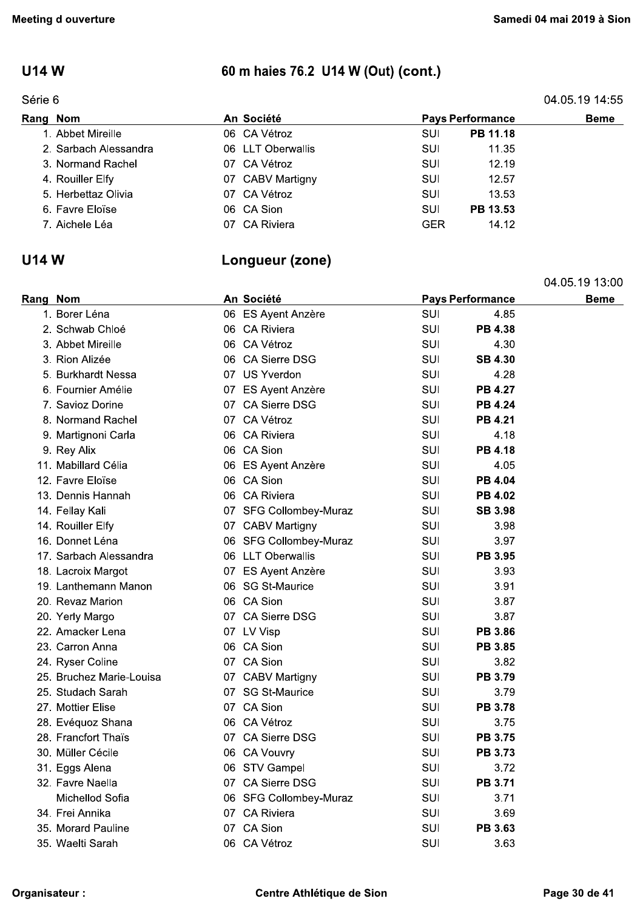### **U14W**

#### Série 6

## 60 m haies 76.2 U14 W (Out) (cont.)

|  | 04.05.19 14:55 |  |
|--|----------------|--|
|  |                |  |

04.05.19 13:00

| Rang Nom              | An Société        | <b>Pays Performance</b> | <b>Beme</b> |
|-----------------------|-------------------|-------------------------|-------------|
| 1. Abbet Mireille     | 06 CA Vétroz      | PB 11.18<br>SUI         |             |
| 2. Sarbach Alessandra | 06 LLT Oberwallis | SUI<br>11.35            |             |
| 3. Normand Rachel     | 07 CA Vétroz      | 12.19<br>SUI            |             |
| 4. Rouiller Elfy      | 07 CABV Martigny  | 12.57<br>SUI            |             |
| 5. Herbettaz Olivia   | 07 CA Vétroz      | SUI<br>13.53            |             |
| 6. Favre Eloïse       | 06 CA Sion        | PB 13.53<br>SUI         |             |
| 7. Aichele Léa        | 07 CA Riviera     | 14.12<br>GER            |             |

Longueur (zone)

#### **U14 W**

| Rang Nom                 |  | An Société             |     | <b>Pays Performance</b> | <b>Beme</b> |
|--------------------------|--|------------------------|-----|-------------------------|-------------|
| 1. Borer Léna            |  | 06 ES Ayent Anzère     | SUI | 4.85                    |             |
| 2. Schwab Chloé          |  | 06 CA Riviera          | SUI | <b>PB 4.38</b>          |             |
| 3. Abbet Mireille        |  | 06 CA Vétroz           | SUI | 4.30                    |             |
| 3. Rion Alizée           |  | 06 CA Sierre DSG       | SUI | <b>SB 4.30</b>          |             |
| 5. Burkhardt Nessa       |  | 07 US Yverdon          | SUI | 4.28                    |             |
| 6. Fournier Amélie       |  | 07 ES Ayent Anzère     | SUI | <b>PB 4.27</b>          |             |
| 7. Savioz Dorine         |  | 07 CA Sierre DSG       | SUI | <b>PB 4.24</b>          |             |
| 8. Normand Rachel        |  | 07 CA Vétroz           | SUI | PB 4.21                 |             |
| 9. Martignoni Carla      |  | 06 CA Riviera          | SUI | 4.18                    |             |
| 9. Rey Alix              |  | 06 CA Sion             | SUI | <b>PB 4.18</b>          |             |
| 11. Mabillard Célia      |  | 06 ES Ayent Anzère     | SUI | 4.05                    |             |
| 12. Favre Eloïse         |  | 06 CA Sion             | SUI | <b>PB 4.04</b>          |             |
| 13. Dennis Hannah        |  | 06 CA Riviera          | SUI | PB 4.02                 |             |
| 14. Fellay Kali          |  | 07 SFG Collombey-Muraz | SUI | <b>SB 3.98</b>          |             |
| 14. Rouiller Elfy        |  | 07 CABV Martigny       | SUI | 3.98                    |             |
| 16. Donnet Léna          |  | 06 SFG Collombey-Muraz | SUI | 3.97                    |             |
| 17. Sarbach Alessandra   |  | 06 LLT Oberwallis      | SUI | PB 3.95                 |             |
| 18. Lacroix Margot       |  | 07 ES Ayent Anzère     | SUI | 3.93                    |             |
| 19. Lanthemann Manon     |  | 06 SG St-Maurice       | SUI | 3.91                    |             |
| 20. Revaz Marion         |  | 06 CA Sion             | SUI | 3.87                    |             |
| 20. Yerly Margo          |  | 07 CA Sierre DSG       | SUI | 3.87                    |             |
| 22. Amacker Lena         |  | 07 LV Visp             | SUI | PB 3.86                 |             |
| 23. Carron Anna          |  | 06 CA Sion             | SUI | <b>PB 3.85</b>          |             |
| 24. Ryser Coline         |  | 07 CA Sion             | SUI | 3.82                    |             |
| 25. Bruchez Marie-Louisa |  | 07 CABV Martigny       | SUI | <b>PB 3.79</b>          |             |
| 25. Studach Sarah        |  | 07 SG St-Maurice       | SUI | 3.79                    |             |
| 27. Mottier Elise        |  | 07 CA Sion             | SUI | <b>PB 3.78</b>          |             |
| 28. Evéquoz Shana        |  | 06 CA Vétroz           | SUI | 3.75                    |             |
| 28. Francfort Thaïs      |  | 07 CA Sierre DSG       | SUI | <b>PB 3.75</b>          |             |
| 30. Müller Cécile        |  | 06 CA Vouvry           | SUI | <b>PB 3.73</b>          |             |
| 31. Eggs Alena           |  | 06 STV Gampel          | SUI | 3.72                    |             |
| 32. Favre Naella         |  | 07 CA Sierre DSG       | SUI | PB 3.71                 |             |
| Michellod Sofia          |  | 06 SFG Collombey-Muraz | SUI | 3.71                    |             |
| 34. Frei Annika          |  | 07 CA Riviera          | SUI | 3.69                    |             |
| 35. Morard Pauline       |  | 07 CA Sion             | SUI | PB 3.63                 |             |
| 35. Waelti Sarah         |  | 06 CA Vétroz           | SUI | 3.63                    |             |
|                          |  |                        |     |                         |             |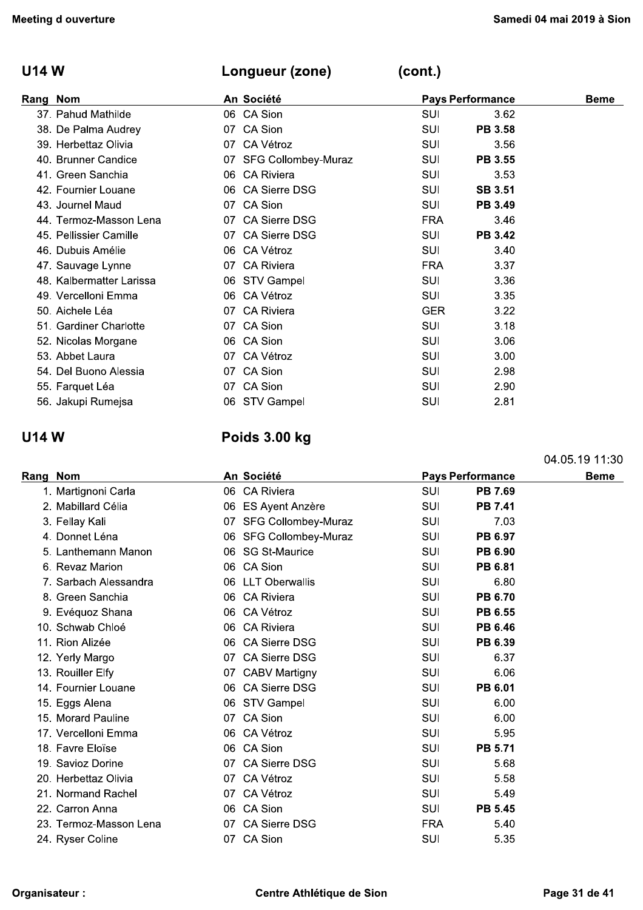#### **U14W**

#### Longueur (zone)

 $(cont.)$ 

| Rang Nom |                          |     | An Société             |            | <b>Pays Performance</b> | <b>Beme</b> |
|----------|--------------------------|-----|------------------------|------------|-------------------------|-------------|
|          | 37. Pahud Mathilde       |     | 06 CA Sion             | <b>SUI</b> | 3.62                    |             |
|          | 38. De Palma Audrey      |     | 07 CA Sion             | SUI        | <b>PB 3.58</b>          |             |
|          | 39. Herbettaz Olivia     | 07  | CA Vétroz              | SUI        | 3.56                    |             |
|          | 40. Brunner Candice      |     | 07 SFG Collombey-Muraz | SUI        | PB 3.55                 |             |
|          | 41. Green Sanchia        |     | 06 CA Riviera          | SUI        | 3.53                    |             |
|          | 42. Fournier Louane      |     | 06 CA Sierre DSG       | <b>SUI</b> | <b>SB 3.51</b>          |             |
|          | 43. Journel Maud         |     | 07 CA Sion             | SUI        | <b>PB 3.49</b>          |             |
|          | 44. Termoz-Masson Lena   |     | 07 CA Sierre DSG       | <b>FRA</b> | 3.46                    |             |
|          | 45. Pellissier Camille   |     | 07 CA Sierre DSG       | SUI        | <b>PB 3.42</b>          |             |
|          | 46. Dubuis Amélie        |     | 06 CA Vétroz           | <b>SUI</b> | 3.40                    |             |
|          | 47. Sauvage Lynne        |     | 07 CA Riviera          | <b>FRA</b> | 3.37                    |             |
|          | 48. Kalbermatter Larissa |     | 06 STV Gampel          | <b>SUI</b> | 3.36                    |             |
|          | 49. Vercelloni Emma      |     | 06 CA Vétroz           | SUI        | 3.35                    |             |
|          | 50. Aichele Léa          | 07. | <b>CA Riviera</b>      | <b>GER</b> | 3.22                    |             |
|          | 51. Gardiner Charlotte   |     | 07 CA Sion             | <b>SUI</b> | 3.18                    |             |
|          | 52. Nicolas Morgane      |     | 06 CA Sion             | SUI        | 3.06                    |             |
|          | 53. Abbet Laura          | 07. | CA Vétroz              | SUI        | 3.00                    |             |
|          | 54. Del Buono Alessia    |     | 07 CA Sion             | SUI        | 2.98                    |             |
|          | 55. Farquet Léa          |     | 07 CA Sion             | SUI        | 2.90                    |             |
|          | 56. Jakupi Rumejsa       |     | 06 STV Gampel          | SUI        | 2.81                    |             |

#### **U14 W**

### Poids 3.00 kg

Rang Nom An Société **Pays Performance Beme** 1. Martignoni Carla 06 CA Riviera SUI PB 7.69 2. Mabillard Célia 06 ES Ayent Anzère **SUI PB 7.41** 07 SFG Collombey-Muraz SUI 3. Fellay Kali 7.03 4. Donnet Léna 06 SFG Collombey-Muraz SUI PB 6.97 5. Lanthemann Manon 06 SG St-Maurice **SUI** PB 6.90 6. Revaz Marion 06 CA Sion SUI PB 6.81 7. Sarbach Alessandra 06 LLT Oberwallis SUI 6.80 8. Green Sanchia 06 CA Riviera PB 6.70 SUI 9. Evéquoz Shana 06 CA Vétroz **SUI** PB 6.55 10. Schwab Chloé 06 CA Riviera **SUI** PB 6.46 11. Rion Alizée 06 CA Sierre DSG **SUI** PB 6.39 12. Yerly Margo 07 CA Sierre DSG SUI 6.37 13. Rouiller Elfy 07 CABV Martigny **SUI** 6.06 14. Fournier Louane 06 CA Sierre DSG **SUI** PB 6.01 SUI 15. Eggs Alena 06 STV Gampel 6.00 15. Morard Pauline 07 CA Sion SUI 6.00 17. Vercelloni Emma 06 CA Vétroz **SUI** 5.95 06 CA Sion PB 5.71 18. Favre Eloïse SUI 07 CA Sierre DSG SUI 19. Savioz Dorine 5.68 20. Herbettaz Olivia 07 CA Vétroz SUI 5.58 07 CA Vétroz 21. Normand Rachel **SUI** 5.49 06 CA Sion **PB 5.45** 22. Carron Anna SUI 23. Termoz-Masson Lena 07 CA Sierre DSG **FRA** 5.40

07 CA Sion

24. Ryser Coline

SUI

5.35

04.05.19 11:30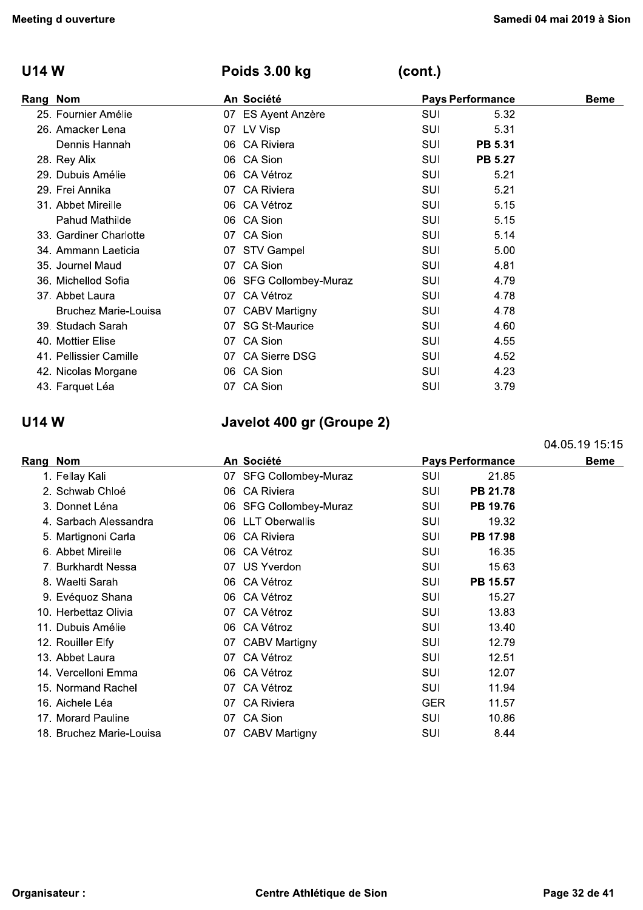### U14 W Poids 3.00 kg

| <b>Meeting d ouverture</b>  |                           |            |                         | Samedi 04 mai 2019 à Sior |
|-----------------------------|---------------------------|------------|-------------------------|---------------------------|
| <b>U14 W</b>                | Poids 3.00 kg             | (cont.)    |                         |                           |
| Rang Nom                    | An Société                |            | <b>Pays Performance</b> | <b>Beme</b>               |
| 25. Fournier Amélie         | 07 ES Ayent Anzère        | <b>SUI</b> | 5.32                    |                           |
| 26. Amacker Lena            | 07 LV Visp                | SUI        | 5.31                    |                           |
| Dennis Hannah               | 06 CA Riviera             | <b>SUI</b> | PB 5.31                 |                           |
| 28. Rey Alix                | 06 CA Sion                | <b>SUI</b> | <b>PB 5.27</b>          |                           |
| 29. Dubuis Amélie           | 06 CA Vétroz              | SUI        | 5.21                    |                           |
| 29. Frei Annika             | 07 CA Riviera             | <b>SUI</b> | 5.21                    |                           |
| 31. Abbet Mireille          | 06 CA Vétroz              | <b>SUI</b> | 5.15                    |                           |
| Pahud Mathilde              | 06 CA Sion                | <b>SUI</b> | 5.15                    |                           |
| 33. Gardiner Charlotte      | 07 CA Sion                | SUI        | 5.14                    |                           |
| 34. Ammann Laeticia         | 07 STV Gampel             | SUI        | 5.00                    |                           |
| 35. Journel Maud            | 07 CA Sion                | SUI        | 4.81                    |                           |
| 36. Michellod Sofia         | 06 SFG Collombey-Muraz    | SUI        | 4.79                    |                           |
| 37. Abbet Laura             | 07 CA Vétroz              | SUI        | 4.78                    |                           |
| <b>Bruchez Marie-Louisa</b> | 07 CABV Martigny          | SUI        | 4.78                    |                           |
| 39. Studach Sarah           | 07 SG St-Maurice          | <b>SUI</b> | 4.60                    |                           |
| 40. Mottier Elise           | 07 CA Sion                | SUI        | 4.55                    |                           |
| 41. Pellissier Camille      | 07 CA Sierre DSG          | SUI        | 4.52                    |                           |
| 42. Nicolas Morgane         | 06 CA Sion                | SUI        | 4.23                    |                           |
| 43. Farquet Léa             | 07 CA Sion                | <b>SUI</b> | 3.79                    |                           |
| <b>U14 W</b>                | Javelot 400 gr (Groupe 2) |            |                         |                           |
|                             |                           |            |                         | 04.05.19 15:15            |
| Rang Nom                    | An Société                |            | <b>Pays Performance</b> | <b>Beme</b>               |

## Javelot 400 gr (Groupe 2)

|              | 40. Mottier Elise        | 07 CA Sion                | SUI        | 4.55                    |                |
|--------------|--------------------------|---------------------------|------------|-------------------------|----------------|
|              | 41. Pellissier Camille   | 07 CA Sierre DSG          | SUI        | 4.52                    |                |
|              | 42. Nicolas Morgane      | 06 CA Sion                | SUI        | 4.23                    |                |
|              | 43. Farquet Léa          | 07 CA Sion                | SUI        | 3.79                    |                |
| <b>U14 W</b> |                          | Javelot 400 gr (Groupe 2) |            |                         |                |
|              |                          |                           |            |                         | 04.05.19 15:15 |
| Rang Nom     |                          | An Société                |            | <b>Pays Performance</b> | <b>Beme</b>    |
|              | 1. Fellay Kali           | 07 SFG Collombey-Muraz    | SUI        | 21.85                   |                |
|              | 2. Schwab Chloé          | 06 CA Riviera             | SUI        | PB 21.78                |                |
|              | 3. Donnet Léna           | 06 SFG Collombey-Muraz    | SUI        | PB 19.76                |                |
|              | 4. Sarbach Alessandra    | 06 LLT Oberwallis         | SUI        | 19.32                   |                |
|              | 5. Martignoni Carla      | 06 CA Riviera             | SUI        | PB 17.98                |                |
|              | 6. Abbet Mireille        | 06 CA Vétroz              | SUI        | 16.35                   |                |
|              | 7. Burkhardt Nessa       | 07 US Yverdon             | SUI        | 15.63                   |                |
|              | 8. Waelti Sarah          | 06 CA Vétroz              | SUI        | PB 15.57                |                |
|              | 9. Evéquoz Shana         | 06 CA Vétroz              | SUI        | 15.27                   |                |
|              | 10. Herbettaz Olivia     | 07 CA Vétroz              | SUI        | 13.83                   |                |
|              | 11. Dubuis Amélie        | 06 CA Vétroz              | SUI        | 13.40                   |                |
|              | 12. Rouiller Elfy        | 07 CABV Martigny          | SUI        | 12.79                   |                |
|              | 13. Abbet Laura          | 07 CA Vétroz              | SUI        | 12.51                   |                |
|              | 14. Vercelloni Emma      | 06 CA Vétroz              | SUI        | 12.07                   |                |
|              | 15. Normand Rachel       | 07 CA Vétroz              | SUI        | 11.94                   |                |
|              | 16. Aichele Léa          | 07 CA Riviera             | <b>GER</b> | 11.57                   |                |
|              | 17. Morard Pauline       | 07 CA Sion                | SUI        | 10.86                   |                |
|              | 18. Bruchez Marie-Louisa | 07 CABV Martigny          | SUI        | 8.44                    |                |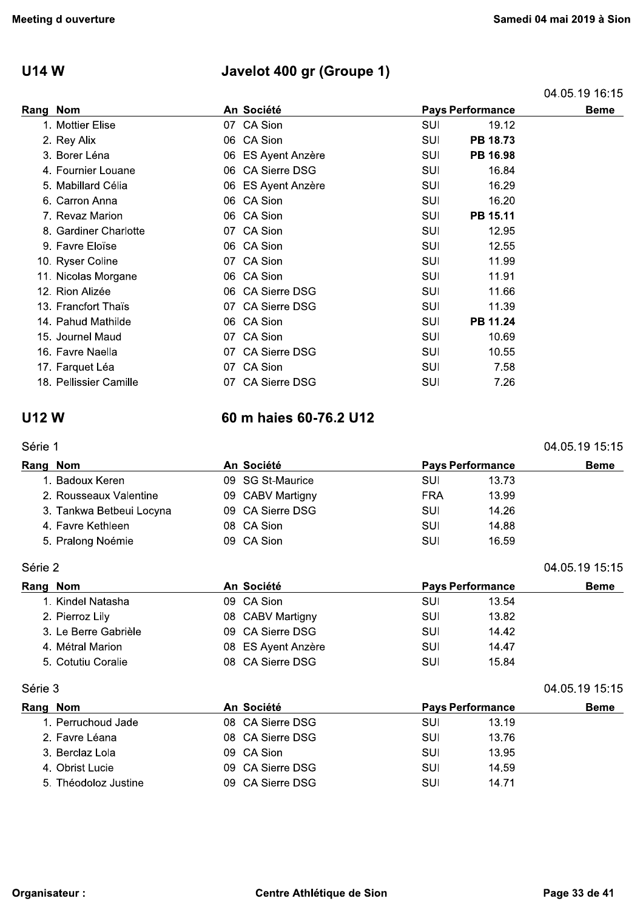#### **U14 W**

## Javelot 400 gr (Groupe 1)

04.05.19 16:15

04.05.19 15:15

| Rang Nom |                        |    | An Société         |            | <b>Pays Performance</b> | <b>Beme</b> |
|----------|------------------------|----|--------------------|------------|-------------------------|-------------|
|          | 1. Mottier Elise       |    | 07 CA Sion         | <b>SUI</b> | 19.12                   |             |
|          | 2. Rey Alix            |    | 06 CA Sion         | <b>SUI</b> | PB 18.73                |             |
|          | 3. Borer Léna          |    | 06 ES Ayent Anzère | SUI        | PB 16.98                |             |
|          | 4. Fournier Louane     |    | 06 CA Sierre DSG   | SUI        | 16.84                   |             |
|          | 5. Mabillard Célia     |    | 06 ES Ayent Anzère | SUI        | 16.29                   |             |
|          | 6. Carron Anna         |    | 06 CA Sion         | SUI        | 16.20                   |             |
|          | 7. Revaz Marion        |    | 06 CA Sion         | SUI        | PB 15.11                |             |
|          | 8. Gardiner Charlotte  |    | 07 CA Sion         | SUI        | 12.95                   |             |
|          | 9. Favre Eloïse        |    | 06 CA Sion         | SUI        | 12.55                   |             |
|          | 10. Ryser Coline       |    | 07 CA Sion         | SUI        | 11.99                   |             |
|          | 11. Nicolas Morgane    |    | 06 CA Sion         | SUI        | 11.91                   |             |
|          | 12. Rion Alizée        |    | 06 CA Sierre DSG   | SUI        | 11.66                   |             |
|          | 13. Francfort Thaïs    |    | 07 CA Sierre DSG   | SUI        | 11.39                   |             |
|          | 14. Pahud Mathilde     |    | 06 CA Sion         | SUI        | PB 11.24                |             |
|          | 15. Journel Maud       |    | 07 CA Sion         | SUI        | 10.69                   |             |
|          | 16. Favre Naella       |    | 07 CA Sierre DSG   | SUI        | 10.55                   |             |
|          | 17. Farquet Léa        |    | 07 CA Sion         | SUI        | 7.58                    |             |
|          | 18. Pellissier Camille | 07 | CA Sierre DSG      | SUI        | 7.26                    |             |
|          |                        |    |                    |            |                         |             |

#### **U12W**

60 m haies 60-76.2 U12

|  | Série | 1 |
|--|-------|---|
|  |       |   |

| Rang Nom                 | An Société         |               |            | <b>Pays Performance</b> | <b>Beme</b>    |
|--------------------------|--------------------|---------------|------------|-------------------------|----------------|
| 1. Badoux Keren          | 09 SG St-Maurice   |               | SUI        | 13.73                   |                |
| 2. Rousseaux Valentine   | 09 CABV Martigny   |               | <b>FRA</b> | 13.99                   |                |
| 3. Tankwa Betbeui Locyna | 09 CA Sierre DSG   |               | SUI        | 14.26                   |                |
| 4. Favre Kethleen        | 08 CA Sion         |               | SUI        | 14.88                   |                |
| 5. Pralong Noémie        | 09 CA Sion         |               | SUI        | 16.59                   |                |
| Série 2                  |                    |               |            |                         | 04.05.19 15:15 |
| Rang Nom                 | An Société         |               |            | <b>Pays Performance</b> | <b>Beme</b>    |
| 1. Kindel Natasha        | 09 CA Sion         |               | SUI        | 13.54                   |                |
| 2. Pierroz Lily          | 08 CABV Martigny   |               | SUI        | 13.82                   |                |
| 3. Le Berre Gabrièle     | 09 CA Sierre DSG   |               | SUI        | 14.42                   |                |
| 4. Métral Marion         | 08 ES Ayent Anzère |               | SUI        | 14.47                   |                |
| 5. Cotutiu Coralie       | 08.                | CA Sierre DSG | SUI        | 15.84                   |                |

### Série 3

| Rang Nom             | An Société       | <b>Pays Performance</b> | <b>Beme</b> |
|----------------------|------------------|-------------------------|-------------|
| 1. Perruchoud Jade   | 08 CA Sierre DSG | SUI<br>13.19            |             |
| 2. Favre Léana       | 08 CA Sierre DSG | SUI<br>13.76            |             |
| 3. Berclaz Lola      | 09 CA Sion       | SUI<br>13.95            |             |
| 4. Obrist Lucie      | 09 CA Sierre DSG | SUI<br>14.59            |             |
| 5. Théodoloz Justine | 09 CA Sierre DSG | SUI<br>14.71            |             |

04.05.19 15:15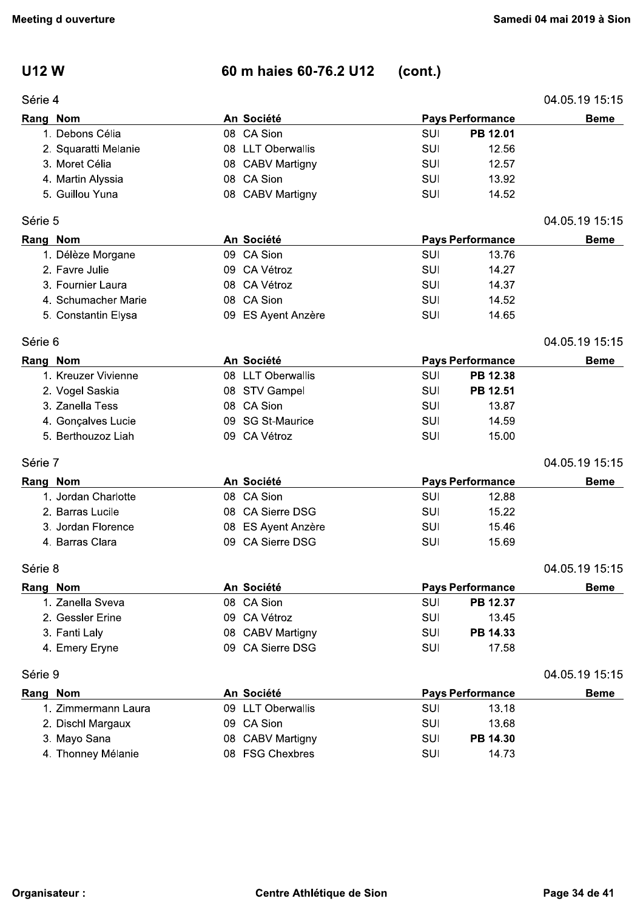## **U12W**

#### Série 4

#### 60 m haies 60-76.2 U12 (cont.)

| Série 4  |                      |                    |            |                         | 04.05.19 15:15 |
|----------|----------------------|--------------------|------------|-------------------------|----------------|
| Rang Nom |                      | An Société         |            | <b>Pays Performance</b> | <b>Beme</b>    |
|          | 1. Debons Célia      | 08 CA Sion         | SUI        | PB 12.01                |                |
|          | 2. Squaratti Melanie | 08 LLT Oberwallis  | SUI        | 12.56                   |                |
|          | 3. Moret Célia       | 08 CABV Martigny   | SUI        | 12.57                   |                |
|          | 4. Martin Alyssia    | 08 CA Sion         | SUI        | 13.92                   |                |
|          | 5. Guillou Yuna      | 08 CABV Martigny   | SUI        | 14.52                   |                |
| Série 5  |                      |                    |            |                         | 04.05.19 15:15 |
| Rang Nom |                      | An Société         |            | <b>Pays Performance</b> | <b>Beme</b>    |
|          | 1. Délèze Morgane    | 09 CA Sion         | SUI        | 13.76                   |                |
|          | 2. Favre Julie       | 09 CA Vétroz       | SUI        | 14.27                   |                |
|          | 3. Fournier Laura    | 08 CA Vétroz       | SUI        | 14.37                   |                |
|          | 4. Schumacher Marie  | 08 CA Sion         | SUI        | 14.52                   |                |
|          | 5. Constantin Elysa  | 09 ES Ayent Anzère | SUI        | 14.65                   |                |
| Série 6  |                      |                    |            |                         | 04.05.19 15:15 |
| Rang Nom |                      | An Société         |            | <b>Pays Performance</b> | <b>Beme</b>    |
|          | 1. Kreuzer Vivienne  | 08 LLT Oberwallis  | SUI        | PB 12.38                |                |
|          | 2. Vogel Saskia      | 08 STV Gampel      | <b>SUI</b> | PB 12.51                |                |
|          | 3. Zanella Tess      | 08 CA Sion         | SUI        | 13.87                   |                |
|          | 4. Gonçalves Lucie   | 09 SG St-Maurice   | SUI        | 14.59                   |                |
|          | 5. Berthouzoz Liah   | 09 CA Vétroz       | SUI        | 15.00                   |                |
| Série 7  |                      |                    |            |                         | 04.05.19 15:15 |
| Rang Nom |                      | An Société         |            | <b>Pays Performance</b> | <b>Beme</b>    |
|          | 1. Jordan Charlotte  | 08 CA Sion         | SUI        | 12.88                   |                |
|          | 2. Barras Lucile     | 08 CA Sierre DSG   | SUI        | 15.22                   |                |
|          | 3. Jordan Florence   | 08 ES Ayent Anzère | SUI        | 15.46                   |                |
|          | 4. Barras Clara      | 09 CA Sierre DSG   | SUI        | 15.69                   |                |
| Série 8  |                      |                    |            |                         | 04.05.19 15.15 |
|          | Rang Nom             | An Société         |            | <b>Pays Performance</b> | <b>Beme</b>    |
|          | 1. Zanella Sveva     | 08 CA Sion         | SUI        | PB 12.37                |                |
|          | 2. Gessler Erine     | 09 CA Vétroz       | SUI        | 13.45                   |                |
|          | 3. Fanti Laly        | 08 CABV Martigny   | SUI        | PB 14.33                |                |
|          | 4. Emery Eryne       | 09 CA Sierre DSG   | SUI        | 17.58                   |                |
| Série 9  |                      |                    |            |                         | 04.05.19 15:15 |
|          | Rang Nom             | An Société         |            | <b>Pays Performance</b> | <b>Beme</b>    |
|          | 1. Zimmermann Laura  | 09 LLT Oberwallis  | SUI        | 13.18                   |                |
|          | 2. Dischl Margaux    | 09 CA Sion         | SUI        | 13.68                   |                |
|          | 3. Mayo Sana         | 08 CABV Martigny   | SUI        | PB 14.30                |                |
|          | 4. Thonney Mélanie   | 08 FSG Chexbres    | SUI        | 14.73                   |                |
|          |                      |                    |            |                         |                |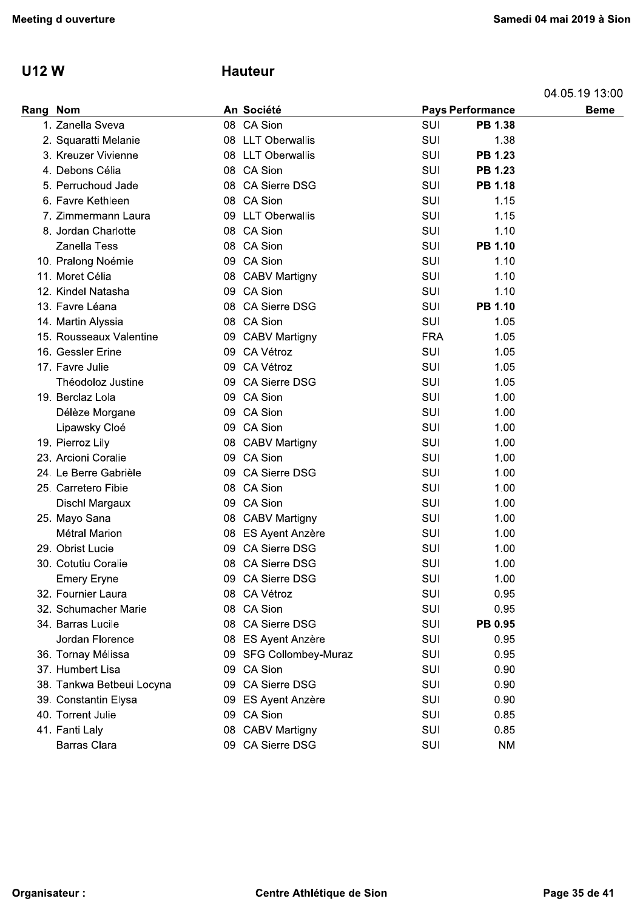## U12W

## **Hauteur**

|  | 04.05.19 13:00 |  |  |
|--|----------------|--|--|
|--|----------------|--|--|

| eeting d ouverture |                           |     |                        | Samedi 04 mai 2019 à Sio |                         |                |  |
|--------------------|---------------------------|-----|------------------------|--------------------------|-------------------------|----------------|--|
| <b>U12W</b>        |                           |     | <b>Hauteur</b>         |                          |                         |                |  |
|                    |                           |     |                        |                          |                         | 04.05.19 13:00 |  |
| Rang Nom           |                           |     | An Société             |                          | <b>Pays Performance</b> | <b>Beme</b>    |  |
|                    | 1. Zanella Sveva          |     | 08 CA Sion             | SUI                      | <b>PB 1.38</b>          |                |  |
|                    | 2. Squaratti Melanie      |     | 08 LLT Oberwallis      | SUI                      | 1.38                    |                |  |
|                    | 3. Kreuzer Vivienne       |     | 08 LLT Oberwallis      | SUI                      | PB 1.23                 |                |  |
|                    | 4. Debons Célia           |     | 08 CA Sion             | SUI                      | <b>PB 1.23</b>          |                |  |
|                    | 5. Perruchoud Jade        |     | 08 CA Sierre DSG       | SUI                      | <b>PB 1.18</b>          |                |  |
|                    | 6. Favre Kethleen         |     | 08 CA Sion             | SUI                      | 1.15                    |                |  |
|                    | 7. Zimmermann Laura       |     | 09 LLT Oberwallis      | SUI                      | 1.15                    |                |  |
|                    | 8. Jordan Charlotte       |     | 08 CA Sion             | SUI                      | 1.10                    |                |  |
|                    | <b>Zanella Tess</b>       |     | 08 CA Sion             | SUI                      | PB 1.10                 |                |  |
|                    | 10. Pralong Noémie        |     | 09 CA Sion             | SUI                      | 1.10                    |                |  |
|                    | 11. Moret Célia           |     | 08 CABV Martigny       | SUI                      | 1.10                    |                |  |
|                    | 12. Kindel Natasha        |     | 09 CA Sion             | SUI                      | 1.10                    |                |  |
|                    | 13. Favre Léana           |     | 08 CA Sierre DSG       | SUI                      | <b>PB 1.10</b>          |                |  |
|                    | 14. Martin Alyssia        |     | 08 CA Sion             | SUI                      | 1.05                    |                |  |
|                    | 15. Rousseaux Valentine   |     | 09 CABV Martigny       | <b>FRA</b>               | 1.05                    |                |  |
|                    | 16. Gessler Erine         |     | 09 CA Vétroz           | SUI                      | 1.05                    |                |  |
|                    | 17. Favre Julie           | 09. | CA Vétroz              | SUI                      | 1.05                    |                |  |
|                    | Théodoloz Justine         | 09  | CA Sierre DSG          | SUI                      | 1.05                    |                |  |
|                    | 19. Berclaz Lola          |     | 09 CA Sion             | SUI                      | 1.00                    |                |  |
|                    | Délèze Morgane            | 09  | CA Sion                | SUI                      | 1.00                    |                |  |
|                    | Lipawsky Cloé             |     | 09 CA Sion             | SUI                      | 1.00                    |                |  |
|                    | 19. Pierroz Lily          |     | 08 CABV Martigny       | SUI                      | 1.00                    |                |  |
|                    | 23. Arcioni Coralie       |     | 09 CA Sion             | SUI                      | 1.00                    |                |  |
|                    | 24. Le Berre Gabrièle     | 09. | <b>CA Sierre DSG</b>   | SUI                      | 1.00                    |                |  |
|                    | 25. Carretero Fibie       |     | 08 CA Sion             | SUI                      | 1.00                    |                |  |
|                    | Dischl Margaux            |     | 09 CA Sion             | SUI                      | 1.00                    |                |  |
|                    | 25. Mayo Sana             |     | 08 CABV Martigny       | SUI                      | 1.00                    |                |  |
|                    | Métral Marion             |     | 08 ES Ayent Anzère     | SUI                      | 1.00                    |                |  |
|                    | 29. Obrist Lucie          | 09  | <b>CA Sierre DSG</b>   | SUI                      | 1.00                    |                |  |
|                    | 30. Cotutiu Coralie       |     | 08 CA Sierre DSG       | SUI                      | 1.00                    |                |  |
|                    | <b>Emery Eryne</b>        |     | 09 CA Sierre DSG       | SUI                      | 1.00                    |                |  |
|                    | 32. Fournier Laura        |     | 08 CA Vétroz           | SUI                      | 0.95                    |                |  |
|                    | 32. Schumacher Marie      |     | 08 CA Sion             | SUI                      | 0.95                    |                |  |
|                    | 34. Barras Lucile         | 08  | <b>CA Sierre DSG</b>   | SUI                      | PB 0.95                 |                |  |
|                    | Jordan Florence           |     | 08 ES Ayent Anzère     | SUI                      | 0.95                    |                |  |
|                    | 36. Tornay Mélissa        |     | 09 SFG Collombey-Muraz | SUI                      | 0.95                    |                |  |
|                    | 37. Humbert Lisa          |     | 09 CA Sion             | SUI                      | 0.90                    |                |  |
|                    | 38. Tankwa Betbeui Locyna | 09  | <b>CA Sierre DSG</b>   | SUI                      | 0.90                    |                |  |
|                    | 39. Constantin Elysa      |     | 09 ES Ayent Anzère     | SUI                      | 0.90                    |                |  |
|                    | 40. Torrent Julie         | 09  | CA Sion                | SUI                      | 0.85                    |                |  |
|                    | 41. Fanti Laly            | 08  | <b>CABV Martigny</b>   | SUI                      | 0.85                    |                |  |
|                    | <b>Barras Clara</b>       |     | 09 CA Sierre DSG       | SUI                      | <b>NM</b>               |                |  |
|                    |                           |     |                        |                          |                         |                |  |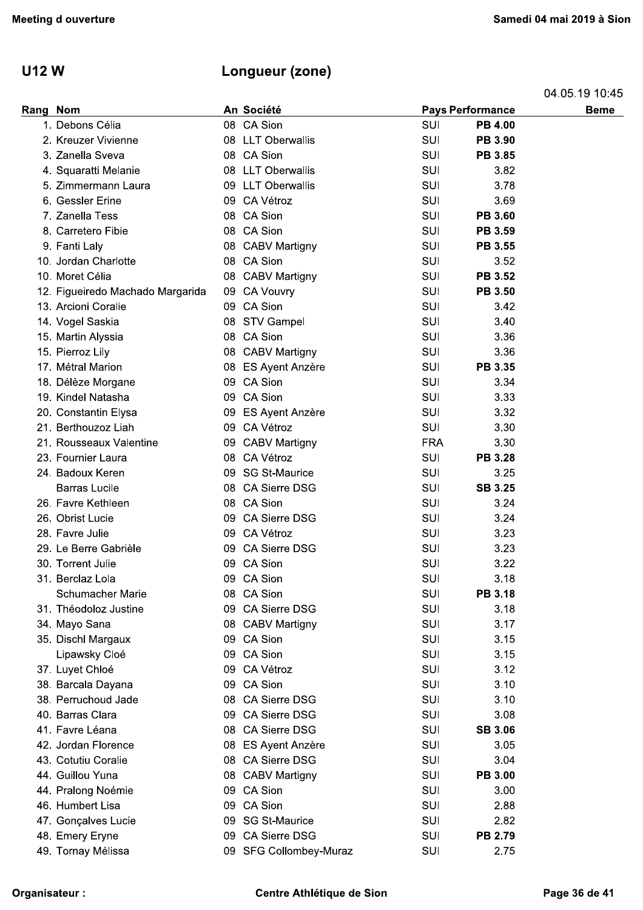## U12 W Longueur (zone)

| <b>U12W</b> |                                                         | Longueur (zone)                      |                   |                         |                               |
|-------------|---------------------------------------------------------|--------------------------------------|-------------------|-------------------------|-------------------------------|
| Rang Nom    |                                                         | An Société                           |                   | <b>Pays Performance</b> | 04.05.19 10.45<br><b>Beme</b> |
|             | 1. Debons Célia                                         | 08 CA Sion                           | SUI               | <b>PB 4.00</b>          |                               |
|             | 2. Kreuzer Vivienne                                     | 08 LLT Oberwallis                    | SUI               | <b>PB 3.90</b>          |                               |
|             | 3. Zanella Sveva                                        | 08 CA Sion                           | SUI               | <b>PB 3.85</b>          |                               |
|             | 4. Squaratti Melanie                                    | 08 LLT Oberwallis                    | SUI               | 3.82                    |                               |
|             | 5. Zimmermann Laura                                     | 09 LLT Oberwallis                    | SUI               | 3.78                    |                               |
|             | 6. Gessler Erine                                        | 09 CA Vétroz                         | SUI               | 3.69                    |                               |
|             | 7. Zanella Tess                                         | 08 CA Sion                           | SUI               | PB 3.60                 |                               |
|             | 8. Carretero Fibie                                      | 08 CA Sion                           | SUI               | PB 3.59                 |                               |
|             | 9. Fanti Laly                                           | 08 CABV Martigny                     | SUI               | <b>PB 3.55</b>          |                               |
|             | 10. Jordan Charlotte                                    | 08 CA Sion                           | SUI               | 3.52                    |                               |
|             | 10. Moret Célia                                         | 08 CABV Martigny                     | SUI               | PB 3.52                 |                               |
|             | 12. Figueiredo Machado Margarida<br>13. Arcioni Coralie | 09 CA Vouvry<br>09 CA Sion           | SUI<br><b>SUI</b> | PB 3.50<br>3.42         |                               |
|             | 14. Vogel Saskia                                        | 08 STV Gampel                        | SUI               | 3.40                    |                               |
|             | 15. Martin Alyssia                                      | 08 CA Sion                           | SUI               | 3.36                    |                               |
|             | 15. Pierroz Lily                                        | 08 CABV Martigny                     | SUI               | 3.36                    |                               |
|             | 17. Métral Marion                                       | 08 ES Ayent Anzère                   | SUI               | PB 3.35                 |                               |
|             | 18. Délèze Morgane                                      | 09 CA Sion                           | <b>SUI</b>        | 3.34                    |                               |
|             | 19. Kindel Natasha                                      | 09 CA Sion                           | SUI               | 3.33                    |                               |
|             | 20. Constantin Elysa                                    | 09 ES Ayent Anzère                   | SUI               | 3.32                    |                               |
|             | 21. Berthouzoz Liah                                     | 09 CA Vétroz                         | <b>SUI</b>        | 3.30                    |                               |
|             | 21. Rousseaux Valentine                                 | 09 CABV Martigny                     | <b>FRA</b>        | 3.30                    |                               |
|             | 23. Fournier Laura                                      | 08 CA Vétroz                         | SUI               | <b>PB 3.28</b>          |                               |
|             | 24. Badoux Keren                                        | 09 SG St-Maurice                     | SUI               | 3.25                    |                               |
|             | Barras Lucile                                           | 08 CA Sierre DSG                     | SUI               | <b>SB 3.25</b>          |                               |
|             | 26. Favre Kethleen                                      | 08 CA Sion                           | SUI               | 3.24                    |                               |
|             | 26. Obrist Lucie                                        | <b>CA Sierre DSG</b><br>09.          | SUI               | 3.24                    |                               |
|             | 28. Favre Julie                                         | 09 CA Vétroz                         | SUI               | 3.23                    |                               |
|             | 29. Le Berre Gabrièle<br>30. Torrent Julie              | 09 CA Sierre DSG<br>09 CA Sion       | SUI<br>SUI        | 3.23<br>3.22            |                               |
|             | 31. Berclaz Lola                                        | 09 CA Sion                           | SUI               | 3.18                    |                               |
|             | <b>Schumacher Marie</b>                                 | 08 CA Sion                           | SUI               | <b>PB 3.18</b>          |                               |
|             | 31. Théodoloz Justine                                   | 09 CA Sierre DSG                     | SUI               | 3.18                    |                               |
|             | 34. Mayo Sana                                           | 08 CABV Martigny                     | SUI               | 3.17                    |                               |
|             | 35. Dischl Margaux                                      | 09 CA Sion                           | SUI               | 3.15                    |                               |
|             | Lipawsky Cloé                                           | 09 CA Sion                           | SUI               | 3.15                    |                               |
|             | 37. Luyet Chloé                                         | 09 CA Vétroz                         | SUI               | 3.12                    |                               |
|             | 38. Barcala Dayana                                      | 09 CA Sion                           | SUI               | 3.10                    |                               |
|             | 38. Perruchoud Jade                                     | 08 CA Sierre DSG                     | SUI               | 3.10                    |                               |
|             | 40. Barras Clara                                        | 09 CA Sierre DSG                     | SUI               | 3.08                    |                               |
|             | 41. Favre Léana                                         | 08 CA Sierre DSG                     | SUI               | <b>SB 3.06</b>          |                               |
|             | 42. Jordan Florence                                     | 08 ES Ayent Anzère                   | SUI               | 3.05                    |                               |
|             | 43. Cotutiu Coralie<br>44. Guillou Yuna                 | 08 CA Sierre DSG<br>08 CABV Martigny | SUI<br>SUI        | 3.04<br><b>PB 3.00</b>  |                               |
|             | 44. Pralong Noémie                                      | 09 CA Sion                           | SUI               | 3.00                    |                               |
|             | 46. Humbert Lisa                                        | 09 CA Sion                           | SUI               | 2.88                    |                               |
|             | 47. Gonçalves Lucie                                     | 09 SG St-Maurice                     | SUI               | 2.82                    |                               |
|             | 48. Emery Eryne                                         | 09 CA Sierre DSG                     | <b>SUI</b>        | <b>PB 2.79</b>          |                               |
|             | 49. Tornay Mélissa                                      | 09 SFG Collombey-Muraz               | SUI               | 2.75                    |                               |
|             | rganisateur :                                           | Centre Athlétique de Sion            |                   |                         | Page 36 de 41                 |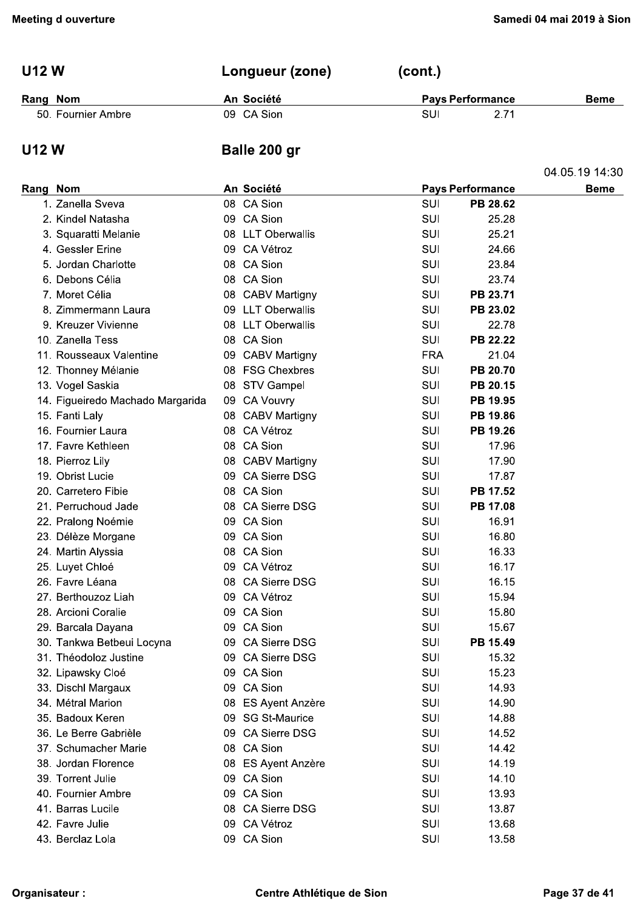| <b>U12 W</b>       | Longueur (zone) | (cont.)                 |             |  |  |
|--------------------|-----------------|-------------------------|-------------|--|--|
| Rang Nom           | An Société      | <b>Pays Performance</b> | <b>Beme</b> |  |  |
| 50. Fournier Ambre | 09 CA Sion      | SUI<br>2.71             |             |  |  |

## **U12W**

## Balle 200 gr

|          |                                  |     |                    |            |                         | 04.05.19 14:30 |
|----------|----------------------------------|-----|--------------------|------------|-------------------------|----------------|
| Rang Nom |                                  |     | An Société         |            | <b>Pays Performance</b> | <b>Beme</b>    |
|          | 1. Zanella Sveva                 |     | 08 CA Sion         | SUI        | PB 28.62                |                |
|          | 2. Kindel Natasha                |     | 09 CA Sion         | SUI        | 25.28                   |                |
|          | 3. Squaratti Melanie             |     | 08 LLT Oberwallis  | SUI        | 25.21                   |                |
|          | 4. Gessler Erine                 |     | 09 CA Vétroz       | SUI        | 24.66                   |                |
|          | 5. Jordan Charlotte              |     | 08 CA Sion         | SUI        | 23.84                   |                |
|          | 6. Debons Célia                  |     | 08 CA Sion         | SUI        | 23.74                   |                |
|          | 7. Moret Célia                   |     | 08 CABV Martigny   | SUI        | PB 23.71                |                |
|          | 8. Zimmermann Laura              |     | 09 LLT Oberwallis  | SUI        | PB 23.02                |                |
|          | 9. Kreuzer Vivienne              |     | 08 LLT Oberwallis  | SUI        | 22.78                   |                |
|          | 10. Zanella Tess                 |     | 08 CA Sion         | <b>SUI</b> | PB 22.22                |                |
|          | 11. Rousseaux Valentine          |     | 09 CABV Martigny   | <b>FRA</b> | 21.04                   |                |
|          | 12. Thonney Mélanie              |     | 08 FSG Chexbres    | SUI        | PB 20.70                |                |
|          | 13. Vogel Saskia                 | 08  | <b>STV Gampel</b>  | SUI        | PB 20.15                |                |
|          | 14. Figueiredo Machado Margarida | 09  | <b>CA Vouvry</b>   | SUI        | PB 19.95                |                |
|          | 15. Fanti Laly                   |     | 08 CABV Martigny   | SUI        | PB 19.86                |                |
|          | 16. Fournier Laura               |     | 08 CA Vétroz       | <b>SUI</b> | PB 19.26                |                |
|          | 17. Favre Kethleen               |     | 08 CA Sion         | SUI        | 17.96                   |                |
|          | 18. Pierroz Lily                 |     | 08 CABV Martigny   | SUI        | 17.90                   |                |
|          | 19. Obrist Lucie                 | 09  | CA Sierre DSG      | SUI        | 17.87                   |                |
|          | 20. Carretero Fibie              |     | 08 CA Sion         | SUI        | PB 17.52                |                |
|          | 21. Perruchoud Jade              |     | 08 CA Sierre DSG   | SUI        | PB 17.08                |                |
|          | 22. Pralong Noémie               |     | 09 CA Sion         | SUI        | 16.91                   |                |
|          | 23. Délèze Morgane               |     | 09 CA Sion         | SUI        | 16.80                   |                |
|          | 24. Martin Alyssia               |     | 08 CA Sion         | SUI        | 16.33                   |                |
|          | 25. Luyet Chloé                  | 09  | CA Vétroz          | SUI        | 16.17                   |                |
|          | 26. Favre Léana                  |     | 08 CA Sierre DSG   | SUI        | 16.15                   |                |
|          | 27. Berthouzoz Liah              |     | 09 CA Vétroz       | SUI        | 15.94                   |                |
|          | 28. Arcioni Coralie              |     | 09 CA Sion         | SUI        | 15.80                   |                |
|          | 29. Barcala Dayana               | 09. | CA Sion            | SUI        | 15.67                   |                |
|          | 30. Tankwa Betbeui Locyna        |     | 09 CA Sierre DSG   | SUI        | PB 15.49                |                |
|          | 31. Théodoloz Justine            |     | 09 CA Sierre DSG   | SUI        | 15.32                   |                |
|          | 32. Lipawsky Cloé                |     | 09 CA Sion         | SUI        | 15.23                   |                |
|          | 33. Dischl Margaux               |     | 09 CA Sion         | SUI        | 14.93                   |                |
|          | 34. Métral Marion                | 08  | ES Ayent Anzère    | SUI        | 14.90                   |                |
|          | 35. Badoux Keren                 |     | 09 SG St-Maurice   | SUI        | 14.88                   |                |
|          | 36. Le Berre Gabrièle            |     | 09 CA Sierre DSG   | <b>SUI</b> | 14.52                   |                |
|          | 37. Schumacher Marie             |     | 08 CA Sion         | SUI        | 14.42                   |                |
|          | 38. Jordan Florence              |     | 08 ES Ayent Anzère | SUI        | 14.19                   |                |
|          | 39. Torrent Julie                |     | 09 CA Sion         | <b>SUI</b> | 14.10                   |                |
|          | 40. Fournier Ambre               |     | 09 CA Sion         | SUI        | 13.93                   |                |
|          | 41. Barras Lucile                |     | 08 CA Sierre DSG   | SUI        | 13.87                   |                |
|          | 42. Favre Julie                  |     | 09 CA Vétroz       | SUI        | 13.68                   |                |
|          | 43. Berclaz Lola                 |     | 09 CA Sion         | SUI        | 13.58                   |                |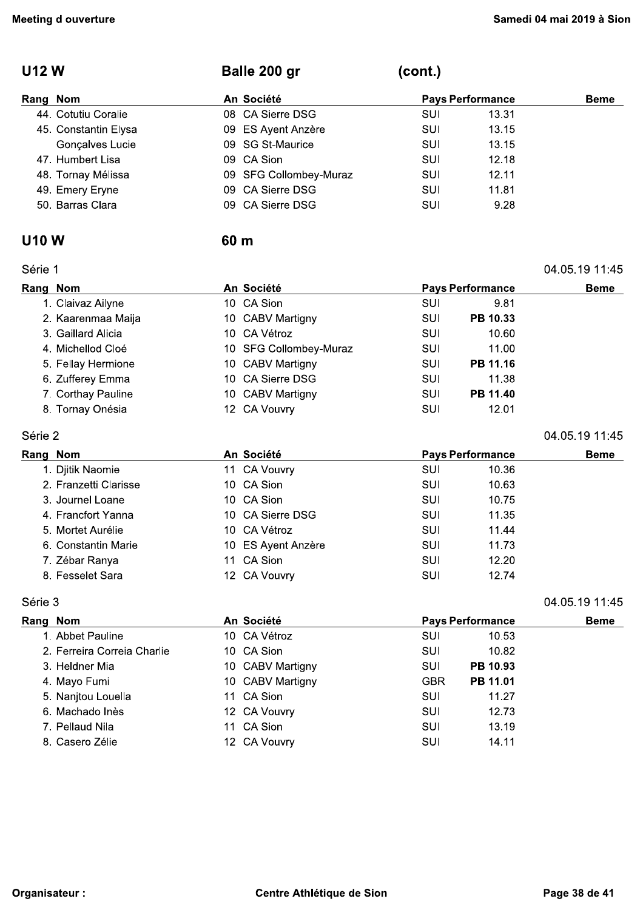#### **U12W**

#### (cont.) Balle 200 gr

60 m

| Rang Nom             | An Société             | <b>Pays Performance</b> |       | <b>Beme</b> |
|----------------------|------------------------|-------------------------|-------|-------------|
| 44. Cotutiu Coralie  | 08 CA Sierre DSG       | SUI                     | 13.31 |             |
| 45. Constantin Elysa | 09 ES Ayent Anzère     | SUI                     | 13.15 |             |
| Gonçalves Lucie      | 09 SG St-Maurice       | SUI                     | 13.15 |             |
| 47. Humbert Lisa     | 09 CA Sion             | SUI                     | 12.18 |             |
| 48. Tornay Mélissa   | 09 SFG Collombey-Muraz | SUI                     | 12.11 |             |
| 49. Emery Eryne      | 09 CA Sierre DSG       | SUI                     | 11.81 |             |
| 50. Barras Clara     | 09 CA Sierre DSG       | SUI                     | 9.28  |             |
|                      |                        |                         |       |             |

#### **U10W**

#### Série 1

| Série 1  |                    |                                       |                        |             |          | 04.05.19 11:45 |
|----------|--------------------|---------------------------------------|------------------------|-------------|----------|----------------|
| Rang Nom |                    | An Société<br><b>Pays Performance</b> |                        | <b>Beme</b> |          |                |
|          | 1. Claivaz Ailyne  |                                       | 10 CA Sion             | SUI         | 9.81     |                |
|          | 2. Kaarenmaa Maija |                                       | 10 CABV Martigny       | SUI         | PB 10.33 |                |
|          | 3. Gaillard Alicia |                                       | 10 CA Vétroz           | SUI         | 10.60    |                |
|          | 4. Michellod Cloé  |                                       | 10 SFG Collombey-Muraz | SUI         | 11.00    |                |
|          | 5. Fellay Hermione |                                       | 10 CABV Martigny       | SUI         | PB 11.16 |                |
|          | 6. Zufferey Emma   |                                       | 10 CA Sierre DSG       | SUI         | 11.38    |                |
|          | 7. Corthay Pauline |                                       | 10 CABV Martigny       | SUI         | PB 11.40 |                |
|          | 8. Tornay Onésia   |                                       | 12 CA Vouvry           | SUI         | 12.01    |                |

#### Série 2

| Rang Nom              | An Société         | <b>Pays Performance</b> | <b>Beme</b> |  |
|-----------------------|--------------------|-------------------------|-------------|--|
| 1. Djitik Naomie      | 11 CA Vouvry       | SUI                     | 10.36       |  |
| 2. Franzetti Clarisse | 10 CA Sion         | <b>SUI</b>              | 10.63       |  |
| 3. Journel Loane      | 10 CA Sion         | SUI                     | 10.75       |  |
| 4. Francfort Yanna    | 10 CA Sierre DSG   | <b>SUI</b>              | 11.35       |  |
| 5. Mortet Aurélie     | 10 CA Vétroz       | <b>SUI</b>              | 11.44       |  |
| 6. Constantin Marie   | 10 ES Ayent Anzère | SUI                     | 11.73       |  |
| 7. Zébar Ranya        | 11 CA Sion         | SUI                     | 12.20       |  |
| 8. Fesselet Sara      | 12 CA Vouvry       | SUI                     | 12.74       |  |

#### Série 3

| Rang Nom |                             | An Société       |            | <b>Pays Performance</b> | <b>Beme</b> |
|----------|-----------------------------|------------------|------------|-------------------------|-------------|
|          | 1. Abbet Pauline            | 10 CA Vétroz     | SUI        | 10.53                   |             |
|          | 2. Ferreira Correia Charlie | 10 CA Sion       | SUI        | 10.82                   |             |
|          | 3. Heldner Mia              | 10 CABV Martigny | SUI        | PB 10.93                |             |
|          | 4. Mayo Fumi                | 10 CABV Martigny | <b>GBR</b> | PB 11.01                |             |
|          | 5. Nanjtou Louella          | 11 CA Sion       | SUI        | 11.27                   |             |
|          | 6. Machado Inès             | 12 CA Vouvry     | SUI        | 12.73                   |             |
|          | 7. Pellaud Nila             | 11 CA Sion       | SUI        | 13.19                   |             |
|          | 8. Casero Zélie             | 12 CA Vouvry     | SUI        | 14.11                   |             |

04.05.19 11:45

04.05.19 11:45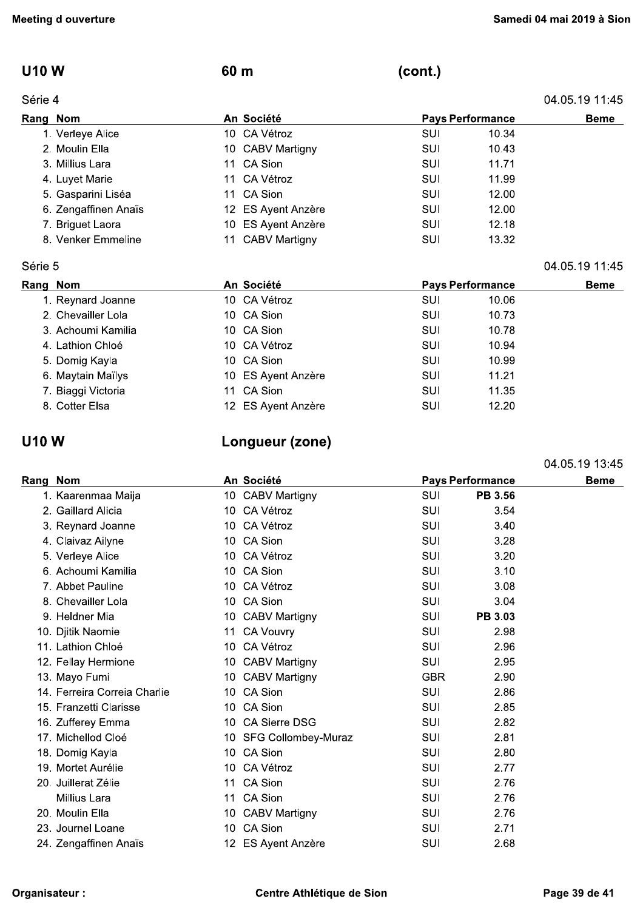### **U10W**

#### Série 4

| 04.05.19 11.45 |  |  |
|----------------|--|--|
|                |  |  |

04.05.19 11:45

04.05.19 13:45

| Rang Nom             | An Société         |            | <b>Pays Performance</b> | <b>Beme</b> |
|----------------------|--------------------|------------|-------------------------|-------------|
| 1. Verleye Alice     | 10 CA Vétroz       | SUI        | 10.34                   |             |
| 2. Moulin Ella       | 10 CABV Martigny   | SUI        | 10.43                   |             |
| 3. Millius Lara      | 11 CA Sion         | <b>SUI</b> | 11.71                   |             |
| 4. Luyet Marie       | 11 CA Vétroz       | SUI        | 11.99                   |             |
| 5. Gasparini Liséa   | 11 CA Sion         | SUI        | 12.00                   |             |
| 6. Zengaffinen Anaïs | 12 ES Ayent Anzère | <b>SUI</b> | 12.00                   |             |
| 7. Briguet Laora     | 10 ES Ayent Anzère | <b>SUI</b> | 12.18                   |             |
| 8. Venker Emmeline   | 11 CABV Martigny   | SUI        | 13.32                   |             |

60 m

#### Série 5

| Rang Nom |                    | An Société         | <b>Pays Performance</b> |       | <b>Beme</b> |
|----------|--------------------|--------------------|-------------------------|-------|-------------|
|          | 1. Reynard Joanne  | 10 CA Vétroz       | SUI                     | 10.06 |             |
|          | 2. Chevailler Lola | 10 CA Sion         | SUI                     | 10.73 |             |
|          | 3. Achoumi Kamilia | 10 CA Sion         | SUI                     | 10.78 |             |
|          | 4. Lathion Chloé   | 10 CA Vétroz       | SUI                     | 10.94 |             |
|          | 5. Domig Kayla     | 10 CA Sion         | <b>SUI</b>              | 10.99 |             |
|          | 6. Maytain Maïlys  | 10 ES Ayent Anzère | SUI                     | 11.21 |             |
|          | 7. Biaggi Victoria | 11 CA Sion         | SUI                     | 11.35 |             |
|          | 8. Cotter Elsa     | 12 ES Ayent Anzère | SUI                     | 12.20 |             |

### **U10W**

## Longueur (zone)

| Rang Nom |                              |     | An Société             |            | <b>Pays Performance</b> | <b>Beme</b> |
|----------|------------------------------|-----|------------------------|------------|-------------------------|-------------|
|          | 1. Kaarenmaa Maija           |     | 10 CABV Martigny       | SUI        | PB 3.56                 |             |
|          | 2. Gaillard Alicia           |     | 10 CA Vétroz           | <b>SUI</b> | 3.54                    |             |
|          | 3. Reynard Joanne            | 10  | CA Vétroz              | SUI        | 3.40                    |             |
|          | 4. Claivaz Ailyne            |     | 10 CA Sion             | SUI        | 3.28                    |             |
|          | 5. Verleye Alice             | 10  | CA Vétroz              | SUI        | 3.20                    |             |
|          | 6. Achoumi Kamilia           |     | 10 CA Sion             | <b>SUI</b> | 3.10                    |             |
|          | 7. Abbet Pauline             | 10. | CA Vétroz              | SUI        | 3.08                    |             |
|          | 8. Chevailler Lola           |     | 10 CA Sion             | <b>SUI</b> | 3.04                    |             |
|          | 9. Heldner Mia               |     | 10 CABV Martigny       | SUI        | <b>PB 3.03</b>          |             |
|          | 10. Djitik Naomie            | 11  | <b>CA Vouvry</b>       | SUI        | 2.98                    |             |
|          | 11. Lathion Chloé            | 10  | CA Vétroz              | SUI        | 2.96                    |             |
|          | 12. Fellay Hermione          | 10  | <b>CABV Martigny</b>   | SUI        | 2.95                    |             |
|          | 13. Mayo Fumi                |     | 10 CABV Martigny       | <b>GBR</b> | 2.90                    |             |
|          | 14. Ferreira Correia Charlie |     | 10 CA Sion             | <b>SUI</b> | 2.86                    |             |
|          | 15. Franzetti Clarisse       |     | 10 CA Sion             | SUI        | 2.85                    |             |
|          | 16. Zufferey Emma            |     | 10 CA Sierre DSG       | SUI        | 2.82                    |             |
|          | 17. Michellod Cloé           |     | 10 SFG Collombey-Muraz | SUI        | 2.81                    |             |
|          | 18. Domig Kayla              |     | 10 CA Sion             | SUI        | 2.80                    |             |
|          | 19. Mortet Aurélie           | 10. | CA Vétroz              | SUI        | 2.77                    |             |
|          | 20. Juillerat Zélie          |     | 11 CA Sion             | SUI        | 2.76                    |             |
|          | Millius Lara                 | 11  | CA Sion                | SUI        | 2.76                    |             |
|          | 20. Moulin Ella              |     | 10 CABV Martigny       | SUI        | 2.76                    |             |
|          | 23. Journel Loane            | 10  | CA Sion                | SUI        | 2.71                    |             |
|          | 24. Zengaffinen Anaïs        |     | 12 ES Ayent Anzère     | SUI        | 2.68                    |             |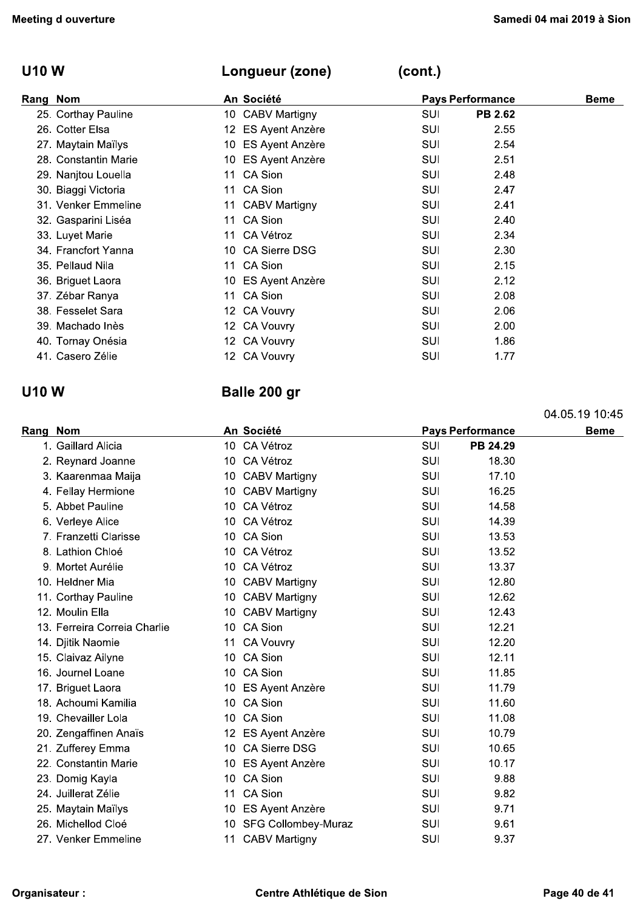## U10 W Longueur (zone)

| <b>Meeting d ouverture</b> |                    |            | Samedi 04 mai 2019 à Sior |             |  |
|----------------------------|--------------------|------------|---------------------------|-------------|--|
| <b>U10 W</b>               | Longueur (zone)    | (cont.)    |                           |             |  |
| Rang Nom                   | An Société         |            | <b>Pays Performance</b>   | <b>Beme</b> |  |
| 25. Corthay Pauline        | 10 CABV Martigny   | SUI        | <b>PB 2.62</b>            |             |  |
| 26. Cotter Elsa            | 12 ES Ayent Anzère | SUI        | 2.55                      |             |  |
| 27. Maytain Maïlys         | 10 ES Ayent Anzère | SUI        | 2.54                      |             |  |
| 28. Constantin Marie       | 10 ES Ayent Anzère | SUI        | 2.51                      |             |  |
| 29. Nanjtou Louella        | 11 CA Sion         | SUI        | 2.48                      |             |  |
| 30. Biaggi Victoria        | 11 CA Sion         | SUI        | 2.47                      |             |  |
| 31. Venker Emmeline        | 11 CABV Martigny   | SUI        | 2.41                      |             |  |
| 32. Gasparini Liséa        | 11 CA Sion         | <b>SUI</b> | 2.40                      |             |  |
| 33. Luyet Marie            | 11 CA Vétroz       | <b>SUI</b> | 2.34                      |             |  |
| 34. Francfort Yanna        | 10 CA Sierre DSG   | <b>SUI</b> | 2.30                      |             |  |
| 35. Pellaud Nila           | 11 CA Sion         | <b>SUI</b> | 2.15                      |             |  |
| 36. Briguet Laora          | 10 ES Ayent Anzère | SUI        | 2.12                      |             |  |
| 37. Zébar Ranya            | 11 CA Sion         | <b>SUI</b> | 2.08                      |             |  |
| 38. Fesselet Sara          | 12 CA Vouvry       | SUI        | 2.06                      |             |  |
| 39. Machado Inès           | 12 CA Vouvry       | SUI        | 2.00                      |             |  |
| 40. Tornay Onésia          | 12 CA Vouvry       | SUI        | 1.86                      |             |  |
| 41. Casero Zélie           | 12 CA Vouvry       | SUI        | 1.77                      |             |  |

|               | 38. Fesselet Sara            |                 | 12 CA Vouvry               | SUI | 2.06                    |                |
|---------------|------------------------------|-----------------|----------------------------|-----|-------------------------|----------------|
|               | 39. Machado Inès             |                 | 12 CA Vouvry               | SUI | 2.00                    |                |
|               | 40. Tornay Onésia            |                 | 12 CA Vouvry               | SUI | 1.86                    |                |
|               | 41. Casero Zélie             |                 | 12 CA Vouvry               | SUI | 1.77                    |                |
| <b>U10W</b>   |                              |                 | Balle 200 gr               |     |                         |                |
|               |                              |                 |                            |     |                         | 04.05.19 10:45 |
| Rang Nom      |                              |                 | An Société                 |     | <b>Pays Performance</b> | <b>Beme</b>    |
|               | 1. Gaillard Alicia           |                 | 10 CA Vétroz               | SUI | PB 24.29                |                |
|               | 2. Reynard Joanne            | 10              | CA Vétroz                  | SUI | 18.30                   |                |
|               | 3. Kaarenmaa Maija           |                 | 10 CABV Martigny           | SUI | 17.10                   |                |
|               | 4. Fellay Hermione           |                 | 10 CABV Martigny           | SUI | 16.25                   |                |
|               | 5. Abbet Pauline             | 10              | CA Vétroz                  | SUI | 14.58                   |                |
|               | 6. Verleye Alice             | 10              | CA Vétroz                  | SUI | 14.39                   |                |
|               | 7. Franzetti Clarisse        |                 | 10 CA Sion                 | SUI | 13.53                   |                |
|               | 8. Lathion Chloé             | 10              | CA Vétroz                  | SUI | 13.52                   |                |
|               | 9. Mortet Aurélie            | 10              | CA Vétroz                  | SUI | 13.37                   |                |
|               | 10. Heldner Mia              |                 | 10 CABV Martigny           | SUI | 12.80                   |                |
|               | 11. Corthay Pauline          | 10              | <b>CABV Martigny</b>       | SUI | 12.62                   |                |
|               | 12. Moulin Ella              | 10              | <b>CABV Martigny</b>       | SUI | 12.43                   |                |
|               | 13. Ferreira Correia Charlie |                 | 10 CA Sion                 | SUI | 12.21                   |                |
|               | 14. Djitik Naomie            | 11              | <b>CA Vouvry</b>           | SUI | 12.20                   |                |
|               | 15. Claivaz Ailyne           | 10              | CA Sion                    | SUI | 12.11                   |                |
|               | 16. Journel Loane            |                 | 10 CA Sion                 | SUI | 11.85                   |                |
|               | 17. Briguet Laora            | 10              | <b>ES Ayent Anzère</b>     | SUI | 11.79                   |                |
|               | 18. Achoumi Kamilia          |                 | 10 CA Sion                 | SUI | 11.60                   |                |
|               | 19. Chevailler Lola          |                 | 10 CA Sion                 | SUI | 11.08                   |                |
|               | 20. Zengaffinen Anaïs        |                 | 12 ES Ayent Anzère         | SUI | 10.79                   |                |
|               | 21. Zufferey Emma            | 10              | <b>CA Sierre DSG</b>       | SUI | 10.65                   |                |
|               | 22. Constantin Marie         |                 | 10 ES Ayent Anzère         | SUI | 10.17                   |                |
|               | 23. Domig Kayla              | 10 <sup>°</sup> | CA Sion                    | SUI | 9.88                    |                |
|               | 24. Juillerat Zélie          | 11              | CA Sion                    | SUI | 9.82                    |                |
|               | 25. Maytain Maïlys           |                 | 10 ES Ayent Anzère         | SUI | 9.71                    |                |
|               | 26. Michellod Cloé           | 10              | <b>SFG Collombey-Muraz</b> | SUI | 9.61                    |                |
|               | 27. Venker Emmeline          | 11              | <b>CABV Martigny</b>       | SUI | 9.37                    |                |
| Organisateur: |                              |                 | Centre Athlétique de Sion  |     |                         | Page 40 de 41  |